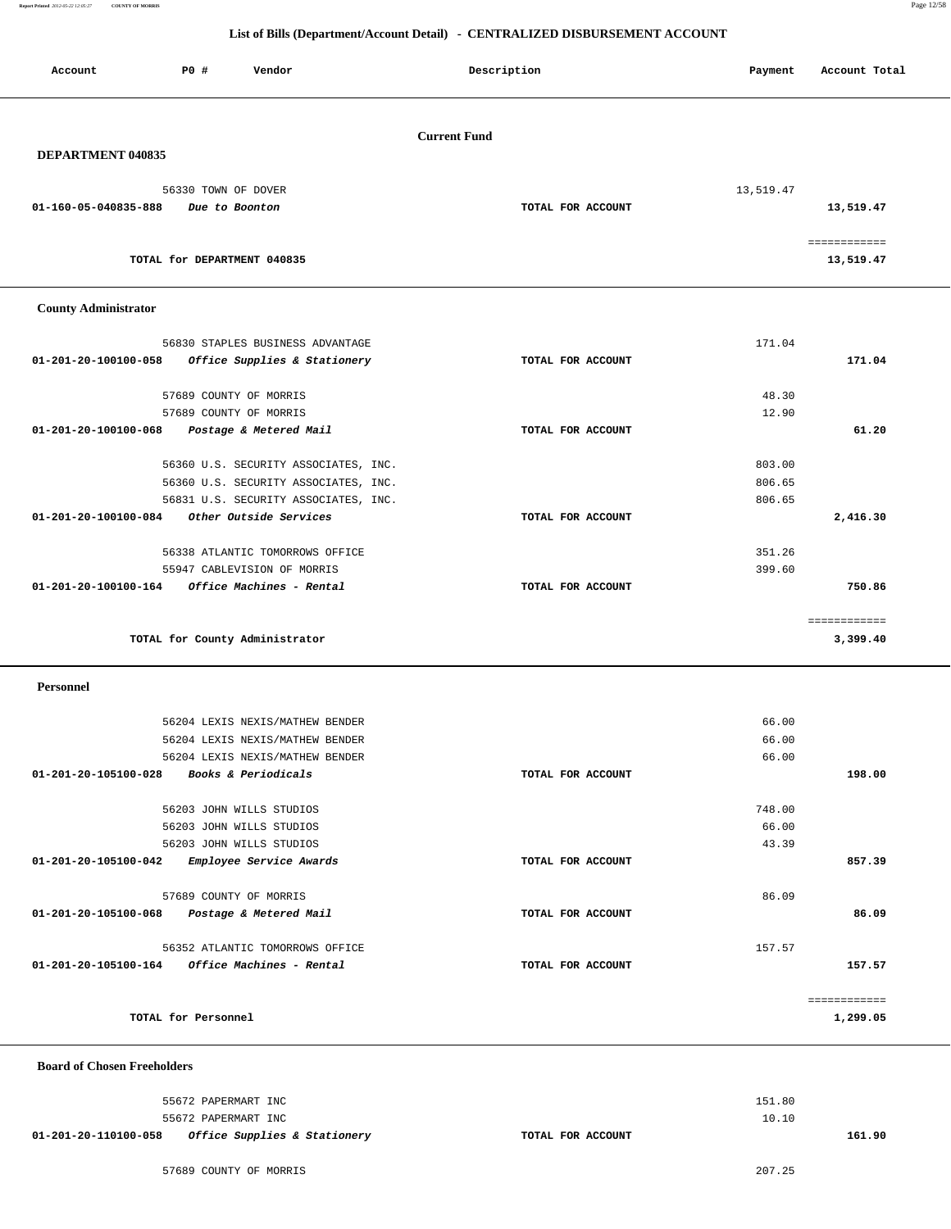**Report Printed** *2012-05-22 12:05:27* **COUNTY OF MORRIS** Page 12/58

### **List of Bills (Department/Account Detail) - CENTRALIZED DISBURSEMENT ACCOUNT**

| Account                     | P0 #<br>Vendor                                          | Description         | Payment   | Account Total            |
|-----------------------------|---------------------------------------------------------|---------------------|-----------|--------------------------|
|                             |                                                         | <b>Current Fund</b> |           |                          |
| <b>DEPARTMENT 040835</b>    |                                                         |                     |           |                          |
|                             | 56330 TOWN OF DOVER                                     |                     | 13,519.47 |                          |
| 01-160-05-040835-888        | Due to Boonton                                          | TOTAL FOR ACCOUNT   |           | 13,519.47                |
|                             |                                                         |                     |           |                          |
|                             | TOTAL for DEPARTMENT 040835                             |                     |           | 13,519.47                |
| <b>County Administrator</b> |                                                         |                     |           |                          |
|                             | 56830 STAPLES BUSINESS ADVANTAGE                        |                     | 171.04    |                          |
| 01-201-20-100100-058        | Office Supplies & Stationery                            | TOTAL FOR ACCOUNT   |           | 171.04                   |
|                             | 57689 COUNTY OF MORRIS                                  |                     | 48.30     |                          |
|                             | 57689 COUNTY OF MORRIS                                  |                     | 12.90     |                          |
| 01-201-20-100100-068        | Postage & Metered Mail                                  | TOTAL FOR ACCOUNT   |           | 61.20                    |
|                             | 56360 U.S. SECURITY ASSOCIATES, INC.                    |                     | 803.00    |                          |
|                             | 56360 U.S. SECURITY ASSOCIATES, INC.                    |                     | 806.65    |                          |
|                             | 56831 U.S. SECURITY ASSOCIATES, INC.                    |                     | 806.65    |                          |
| 01-201-20-100100-084        | Other Outside Services                                  | TOTAL FOR ACCOUNT   |           | 2,416.30                 |
|                             | 56338 ATLANTIC TOMORROWS OFFICE                         |                     | 351.26    |                          |
|                             | 55947 CABLEVISION OF MORRIS                             |                     | 399.60    |                          |
| 01-201-20-100100-164        | Office Machines - Rental                                | TOTAL FOR ACCOUNT   |           | 750.86                   |
|                             | TOTAL for County Administrator                          |                     |           | ============<br>3,399.40 |
|                             |                                                         |                     |           |                          |
| Personnel                   |                                                         |                     |           |                          |
|                             | 56204 LEXIS NEXIS/MATHEW BENDER                         |                     | 66.00     |                          |
|                             | 56204 LEXIS NEXIS/MATHEW BENDER                         |                     | 66.00     |                          |
|                             | 56204 LEXIS NEXIS/MATHEW BENDER                         |                     | 66.00     |                          |
|                             | 01-201-20-105100-028 Books & Periodicals                | TOTAL FOR ACCOUNT   |           | 198.00                   |
|                             | 56203 JOHN WILLS STUDIOS                                |                     | 748.00    |                          |
|                             | 56203 JOHN WILLS STUDIOS                                |                     | 66.00     |                          |
|                             | 56203 JOHN WILLS STUDIOS                                |                     | 43.39     |                          |
|                             | 01-201-20-105100-042 Employee Service Awards            | TOTAL FOR ACCOUNT   |           | 857.39                   |
|                             | 57689 COUNTY OF MORRIS                                  |                     | 86.09     |                          |
|                             | 01-201-20-105100-068 Postage & Metered Mail             | TOTAL FOR ACCOUNT   |           | 86.09                    |
|                             | 56352 ATLANTIC TOMORROWS OFFICE                         |                     | 157.57    |                          |
|                             | $01 - 201 - 20 - 105100 - 164$ Office Machines - Rental | TOTAL FOR ACCOUNT   |           | 157.57                   |
|                             |                                                         |                     |           | ============             |
|                             | TOTAL for Personnel                                     |                     |           | 1,299.05                 |

 **Board of Chosen Freeholders**

|                      | 55672 PAPERMART INC                     |                   | 151.80 |
|----------------------|-----------------------------------------|-------------------|--------|
|                      | 55672 PAPERMART INC                     |                   | 10.10  |
| 01-201-20-110100-058 | <i>Office Supplies &amp; Stationery</i> | TOTAL FOR ACCOUNT | 161.90 |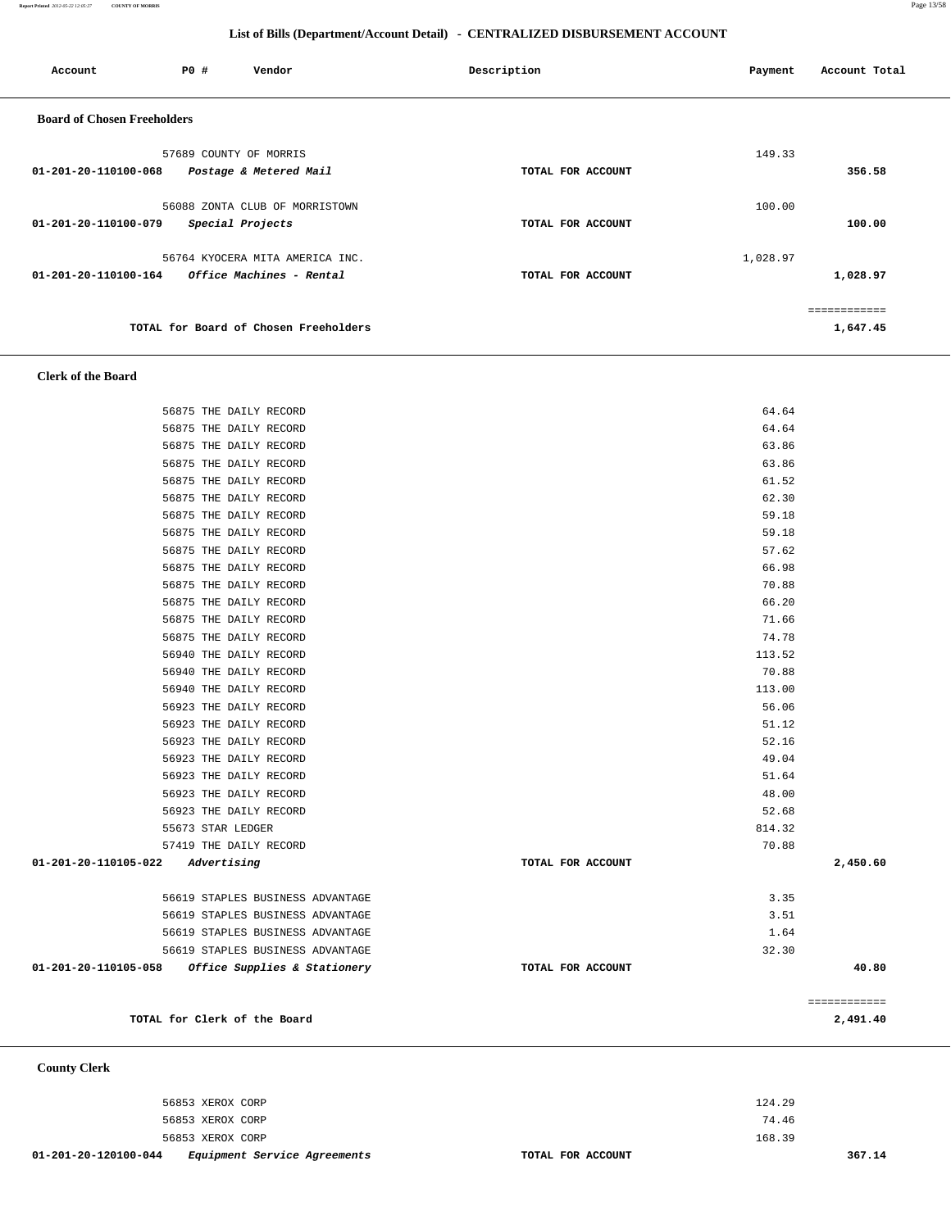**Report Printed** *2012-05-22 12:05:27* **COUNTY OF MORRIS** Page 13/58

## **List of Bills (Department/Account Detail) - CENTRALIZED DISBURSEMENT ACCOUNT**

| Account                            | PO#              | Vendor                                | Description       | Payment  | Account Total |  |  |
|------------------------------------|------------------|---------------------------------------|-------------------|----------|---------------|--|--|
| <b>Board of Chosen Freeholders</b> |                  |                                       |                   |          |               |  |  |
|                                    |                  | 57689 COUNTY OF MORRIS                |                   | 149.33   |               |  |  |
| 01-201-20-110100-068               |                  | Postage & Metered Mail                | TOTAL FOR ACCOUNT |          | 356.58        |  |  |
|                                    |                  | 56088 ZONTA CLUB OF MORRISTOWN        |                   | 100.00   |               |  |  |
| 01-201-20-110100-079               | Special Projects |                                       | TOTAL FOR ACCOUNT |          | 100.00        |  |  |
|                                    |                  | 56764 KYOCERA MITA AMERICA INC.       |                   | 1,028.97 |               |  |  |
| 01-201-20-110100-164               |                  | Office Machines - Rental              | TOTAL FOR ACCOUNT |          | 1,028.97      |  |  |
|                                    |                  |                                       |                   |          | ------------  |  |  |
|                                    |                  |                                       |                   |          |               |  |  |
|                                    |                  | TOTAL for Board of Chosen Freeholders |                   |          | 1,647.45      |  |  |

 **Clerk of the Board** 

 **County Clerk** 

| 56923 THE DAILY RECORD<br>56923 THE DAILY RECORD | 52.68  |
|--------------------------------------------------|--------|
|                                                  | 48.00  |
| 56923 THE DAILY RECORD                           | 51.64  |
| 56923 THE DAILY RECORD                           | 49.04  |
| 56923 THE DAILY RECORD                           | 52.16  |
| 56923 THE DAILY RECORD                           | 51.12  |
| 56923 THE DAILY RECORD                           | 56.06  |
| 56940 THE DAILY RECORD                           | 113.00 |
|                                                  |        |
| 56940 THE DAILY RECORD                           | 70.88  |
| 56940 THE DAILY RECORD                           | 113.52 |
|                                                  |        |
| 56875 THE DAILY RECORD                           | 74.78  |
| 56875 THE DAILY RECORD                           | 71.66  |
|                                                  |        |
| 56875 THE DAILY RECORD                           | 66.20  |
| 56875 THE DAILY RECORD                           | 70.88  |
| 56875 THE DAILY RECORD                           | 66.98  |
| 56875 THE DAILY RECORD                           | 57.62  |
| 56875 THE DAILY RECORD                           | 59.18  |
| 56875 THE DAILY RECORD                           | 59.18  |
| 56875 THE DAILY RECORD                           | 62.30  |
| 56875 THE DAILY RECORD                           | 61.52  |
| 56875 THE DAILY RECORD                           | 63.86  |
| 56875 THE DAILY RECORD                           | 63.86  |
| 56875 THE DAILY RECORD                           | 64.64  |
| 56875 THE DAILY RECORD                           | 64.64  |
|                                                  |        |

 56853 XEROX CORP 124.29 56853 XEROX CORP 74.46 56853 XEROX CORP 168.39  **01-201-20-120100-044 Equipment Service Agreements TOTAL FOR ACCOUNT 367.14**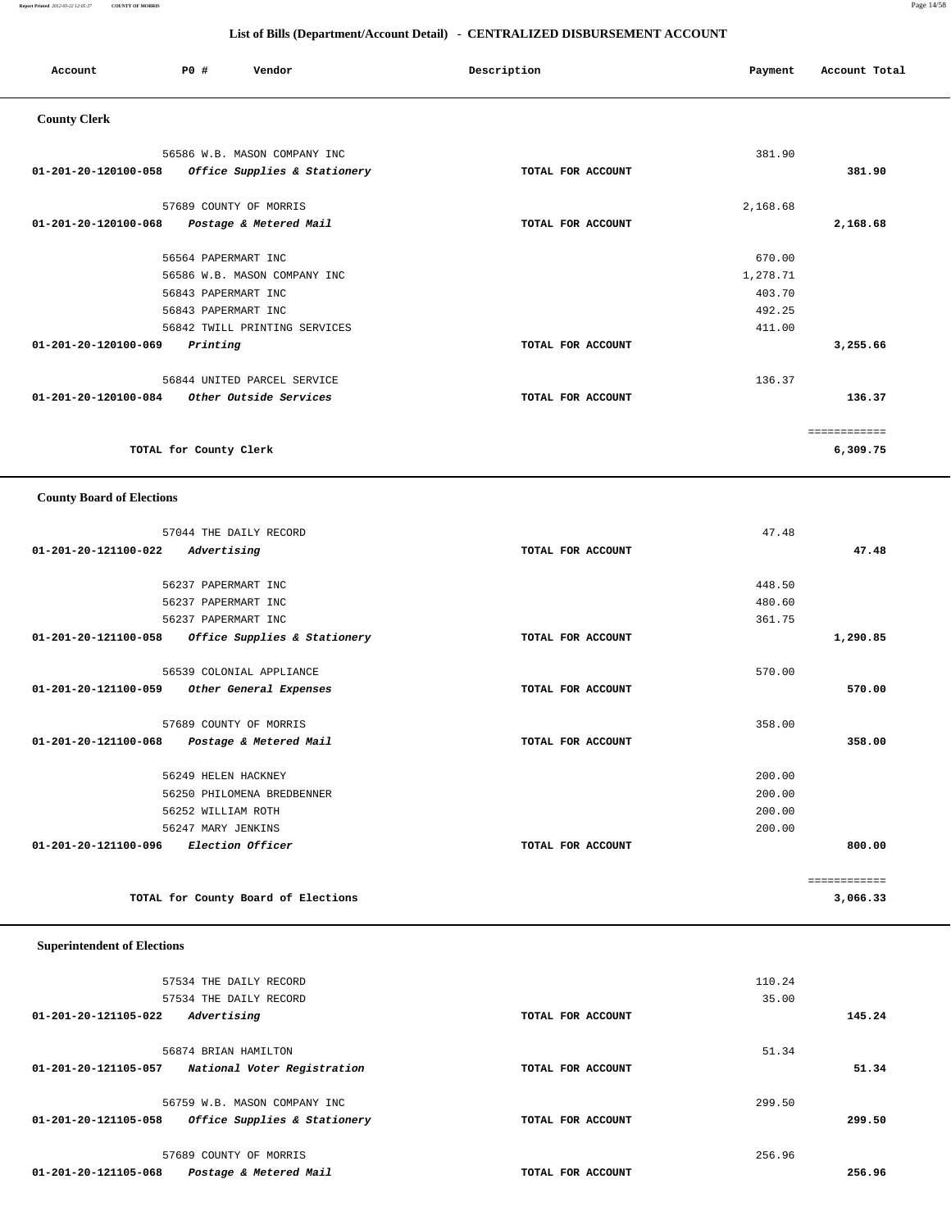### **Report Printed** *2012-05-22 12:05:27* **COUNTY OF MORRIS** Page 14/58

### **List of Bills (Department/Account Detail) - CENTRALIZED DISBURSEMENT ACCOUNT**

| Account                        | Vendor<br>PO#                 | Description       | Payment  | Account Total |
|--------------------------------|-------------------------------|-------------------|----------|---------------|
| <b>County Clerk</b>            |                               |                   |          |               |
|                                | 56586 W.B. MASON COMPANY INC  |                   | 381.90   |               |
| $01 - 201 - 20 - 120100 - 058$ | Office Supplies & Stationery  | TOTAL FOR ACCOUNT |          | 381.90        |
|                                | 57689 COUNTY OF MORRIS        |                   | 2,168.68 |               |
| 01-201-20-120100-068           | Postage & Metered Mail        | TOTAL FOR ACCOUNT |          | 2,168.68      |
|                                | 56564 PAPERMART INC           |                   | 670.00   |               |
|                                | 56586 W.B. MASON COMPANY INC  |                   | 1,278.71 |               |
|                                | 56843 PAPERMART INC           |                   | 403.70   |               |
|                                | 56843 PAPERMART INC           |                   | 492.25   |               |
|                                | 56842 TWILL PRINTING SERVICES |                   | 411.00   |               |
| 01-201-20-120100-069           | Printing                      | TOTAL FOR ACCOUNT |          | 3,255.66      |
|                                | 56844 UNITED PARCEL SERVICE   |                   | 136.37   |               |
| 01-201-20-120100-084           | Other Outside Services        | TOTAL FOR ACCOUNT |          | 136.37        |
|                                |                               |                   |          | ============  |
|                                | TOTAL for County Clerk        |                   |          | 6,309.75      |

### **County Board of Elections**

| 57044 THE DAILY RECORD                               |                   | 47.48        |
|------------------------------------------------------|-------------------|--------------|
| 01-201-20-121100-022<br>Advertising                  | TOTAL FOR ACCOUNT | 47.48        |
|                                                      |                   |              |
| 56237 PAPERMART INC                                  |                   | 448.50       |
| 56237 PAPERMART INC                                  |                   | 480.60       |
| 56237 PAPERMART INC                                  |                   | 361.75       |
| 01-201-20-121100-058<br>Office Supplies & Stationery | TOTAL FOR ACCOUNT | 1,290.85     |
| 56539 COLONIAL APPLIANCE                             |                   | 570.00       |
| 01-201-20-121100-059<br>Other General Expenses       | TOTAL FOR ACCOUNT | 570.00       |
| 57689 COUNTY OF MORRIS                               |                   | 358.00       |
| 01-201-20-121100-068<br>Postage & Metered Mail       | TOTAL FOR ACCOUNT | 358.00       |
| 56249 HELEN HACKNEY                                  |                   | 200.00       |
| 56250 PHILOMENA BREDBENNER                           |                   | 200.00       |
| 56252 WILLIAM ROTH                                   |                   | 200.00       |
| 56247 MARY JENKINS                                   |                   | 200.00       |
| 01-201-20-121100-096<br><i>Election Officer</i>      | TOTAL FOR ACCOUNT | 800.00       |
|                                                      |                   | ============ |
| TOTAL for County Board of Elections                  |                   | 3,066.33     |

## **Superintendent of Elections**

|                      | 57534 THE DAILY RECORD       |                   | 110.24 |        |
|----------------------|------------------------------|-------------------|--------|--------|
|                      | 57534 THE DAILY RECORD       |                   | 35.00  |        |
| 01-201-20-121105-022 | Advertising                  | TOTAL FOR ACCOUNT |        | 145.24 |
|                      |                              |                   |        |        |
|                      | 56874 BRIAN HAMILTON         |                   | 51.34  |        |
| 01-201-20-121105-057 | National Voter Registration  | TOTAL FOR ACCOUNT |        | 51.34  |
|                      |                              |                   |        |        |
|                      | 56759 W.B. MASON COMPANY INC |                   | 299.50 |        |
| 01-201-20-121105-058 | Office Supplies & Stationery | TOTAL FOR ACCOUNT |        | 299.50 |
|                      |                              |                   |        |        |
|                      | 57689 COUNTY OF MORRIS       |                   | 256.96 |        |
| 01-201-20-121105-068 | Postage & Metered Mail       | TOTAL FOR ACCOUNT |        | 256.96 |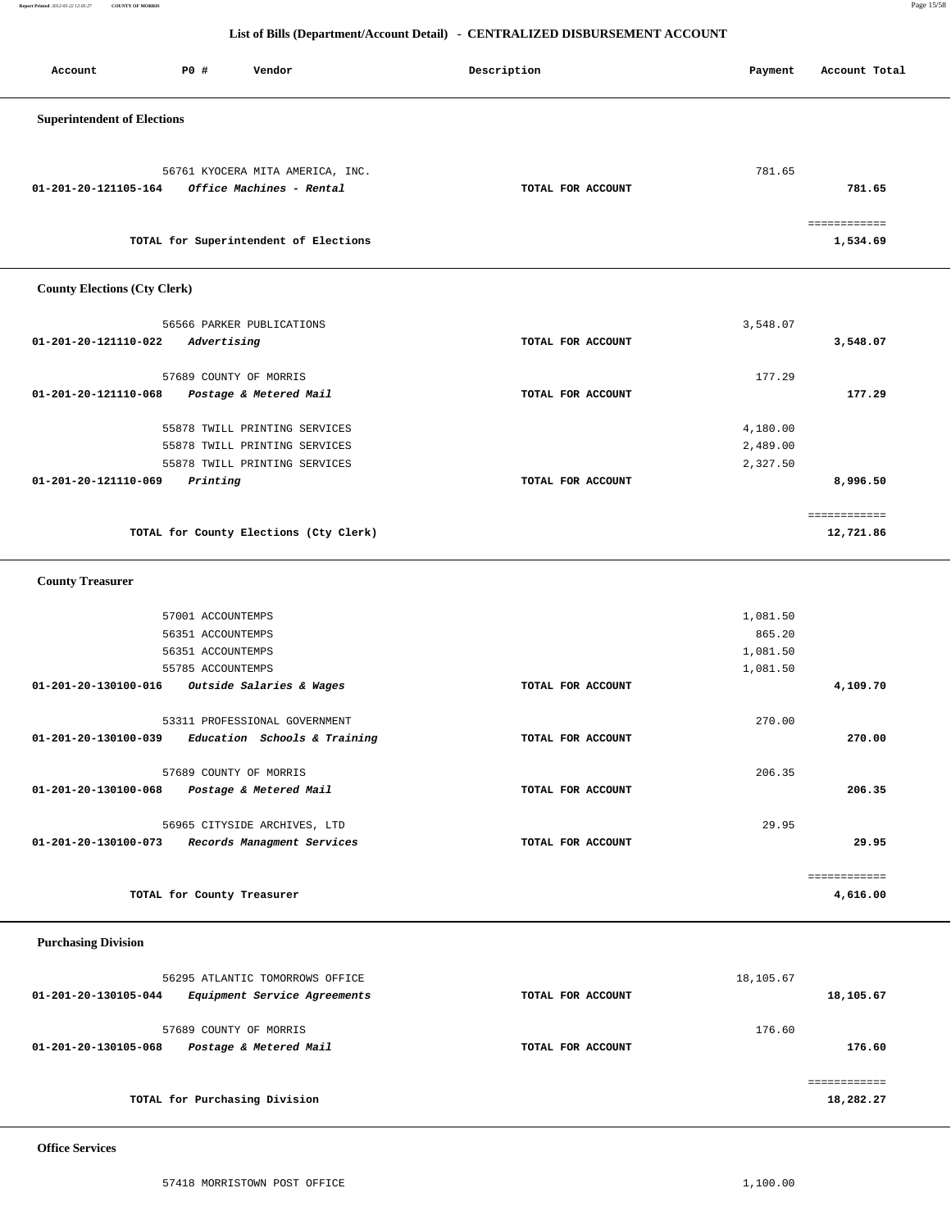**Report Printed** *2012-05-22 12:05:27* **COUNTY OF MORRIS** Page 15/58

### **List of Bills (Department/Account Detail) - CENTRALIZED DISBURSEMENT ACCOUNT**

| Account                             | P0 #<br>Vendor                                               | Description       | Payment   | Account Total |
|-------------------------------------|--------------------------------------------------------------|-------------------|-----------|---------------|
| <b>Superintendent of Elections</b>  |                                                              |                   |           |               |
|                                     |                                                              |                   |           |               |
|                                     |                                                              |                   |           |               |
| 01-201-20-121105-164                | 56761 KYOCERA MITA AMERICA, INC.<br>Office Machines - Rental | TOTAL FOR ACCOUNT | 781.65    | 781.65        |
|                                     |                                                              |                   |           |               |
|                                     |                                                              |                   |           | ============  |
|                                     | TOTAL for Superintendent of Elections                        |                   |           | 1,534.69      |
| <b>County Elections (Cty Clerk)</b> |                                                              |                   |           |               |
|                                     | 56566 PARKER PUBLICATIONS                                    |                   | 3,548.07  |               |
| 01-201-20-121110-022                | Advertising                                                  | TOTAL FOR ACCOUNT |           | 3,548.07      |
|                                     |                                                              |                   |           |               |
| 01-201-20-121110-068                | 57689 COUNTY OF MORRIS<br>Postage & Metered Mail             | TOTAL FOR ACCOUNT | 177.29    | 177.29        |
|                                     |                                                              |                   |           |               |
|                                     | 55878 TWILL PRINTING SERVICES                                |                   | 4,180.00  |               |
|                                     | 55878 TWILL PRINTING SERVICES                                |                   | 2,489.00  |               |
| 01-201-20-121110-069                | 55878 TWILL PRINTING SERVICES<br>Printing                    | TOTAL FOR ACCOUNT | 2,327.50  | 8,996.50      |
|                                     |                                                              |                   |           |               |
|                                     | TOTAL for County Elections (Cty Clerk)                       |                   |           | 12,721.86     |
|                                     |                                                              |                   |           |               |
| <b>County Treasurer</b>             |                                                              |                   |           |               |
|                                     | 57001 ACCOUNTEMPS                                            |                   | 1,081.50  |               |
|                                     | 56351 ACCOUNTEMPS                                            |                   | 865.20    |               |
|                                     | 56351 ACCOUNTEMPS                                            |                   | 1,081.50  |               |
|                                     | 55785 ACCOUNTEMPS                                            |                   | 1,081.50  |               |
| 01-201-20-130100-016                | Outside Salaries & Wages                                     | TOTAL FOR ACCOUNT |           | 4,109.70      |
|                                     | 53311 PROFESSIONAL GOVERNMENT                                |                   | 270.00    |               |
| 01-201-20-130100-039                | Education Schools & Training                                 | TOTAL FOR ACCOUNT |           | 270.00        |
|                                     | 57689 COUNTY OF MORRIS                                       |                   | 206.35    |               |
| 01-201-20-130100-068                | Postage & Metered Mail                                       | TOTAL FOR ACCOUNT |           | 206.35        |
|                                     |                                                              |                   |           |               |
|                                     | 56965 CITYSIDE ARCHIVES, LTD                                 |                   | 29.95     |               |
| 01-201-20-130100-073                | Records Managment Services                                   | TOTAL FOR ACCOUNT |           | 29.95         |
|                                     |                                                              |                   |           | ============  |
|                                     | TOTAL for County Treasurer                                   |                   |           | 4,616.00      |
|                                     |                                                              |                   |           |               |
| <b>Purchasing Division</b>          |                                                              |                   |           |               |
|                                     | 56295 ATLANTIC TOMORROWS OFFICE                              |                   | 18,105.67 |               |
| 01-201-20-130105-044                | Equipment Service Agreements                                 | TOTAL FOR ACCOUNT |           | 18,105.67     |
|                                     |                                                              |                   |           |               |
|                                     | 57689 COUNTY OF MORRIS                                       |                   | 176.60    |               |
| 01-201-20-130105-068                | Postage & Metered Mail                                       | TOTAL FOR ACCOUNT |           | 176.60        |

============

**TOTAL for Purchasing Division 18,282.27**

 **Office Services**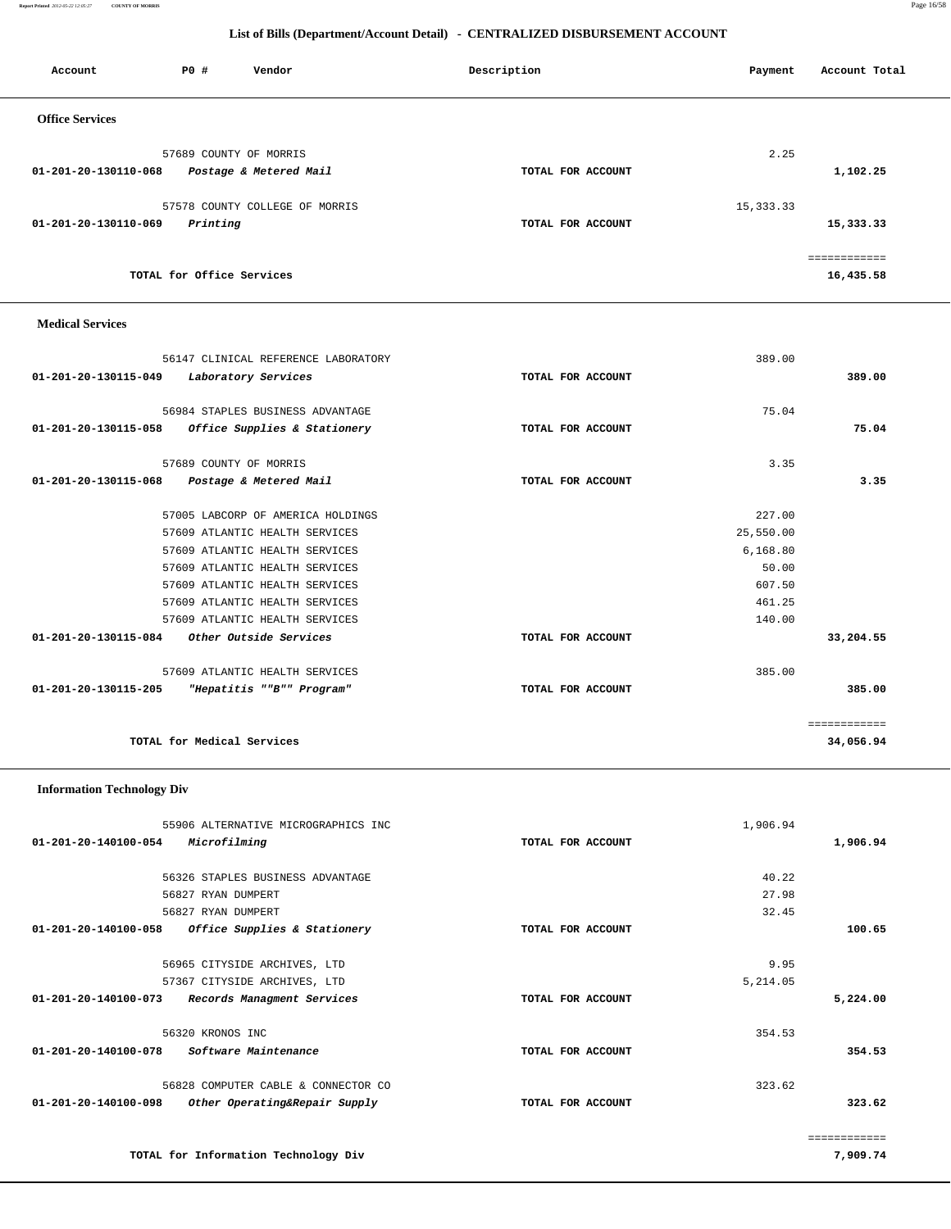**Report Printed** *2012-05-22 12:05:27* **COUNTY OF MORRIS** Page 16/58

### **List of Bills (Department/Account Detail) - CENTRALIZED DISBURSEMENT ACCOUNT**

| Account                | PO#                       | Vendor                         | Description       | Payment     | Account Total |
|------------------------|---------------------------|--------------------------------|-------------------|-------------|---------------|
| <b>Office Services</b> |                           |                                |                   |             |               |
|                        |                           | 57689 COUNTY OF MORRIS         |                   | 2.25        |               |
| 01-201-20-130110-068   |                           | Postage & Metered Mail         | TOTAL FOR ACCOUNT |             | 1,102.25      |
|                        |                           | 57578 COUNTY COLLEGE OF MORRIS |                   | 15, 333. 33 |               |
| 01-201-20-130110-069   | Printing                  |                                | TOTAL FOR ACCOUNT |             | 15,333.33     |
|                        |                           |                                |                   |             |               |
|                        | TOTAL for Office Services |                                |                   |             | 16,435.58     |

### **Medical Services**

| 56147 CLINICAL REFERENCE LABORATORY                  |                   | 389.00    |              |
|------------------------------------------------------|-------------------|-----------|--------------|
| 01-201-20-130115-049<br>Laboratory Services          | TOTAL FOR ACCOUNT |           | 389.00       |
|                                                      |                   |           |              |
| 56984 STAPLES BUSINESS ADVANTAGE                     |                   | 75.04     |              |
| Office Supplies & Stationery<br>01-201-20-130115-058 | TOTAL FOR ACCOUNT |           | 75.04        |
| 57689 COUNTY OF MORRIS                               |                   | 3.35      |              |
| 01-201-20-130115-068<br>Postage & Metered Mail       | TOTAL FOR ACCOUNT |           | 3.35         |
| 57005 LABCORP OF AMERICA HOLDINGS                    |                   | 227.00    |              |
| 57609 ATLANTIC HEALTH SERVICES                       |                   | 25,550.00 |              |
| 57609 ATLANTIC HEALTH SERVICES                       |                   | 6,168.80  |              |
| 57609 ATLANTIC HEALTH SERVICES                       |                   | 50.00     |              |
| 57609 ATLANTIC HEALTH SERVICES                       |                   | 607.50    |              |
| 57609 ATLANTIC HEALTH SERVICES                       |                   | 461.25    |              |
| 57609 ATLANTIC HEALTH SERVICES                       |                   | 140.00    |              |
| 01-201-20-130115-084<br>Other Outside Services       | TOTAL FOR ACCOUNT |           | 33,204.55    |
| 57609 ATLANTIC HEALTH SERVICES                       |                   | 385.00    |              |
| 01-201-20-130115-205<br>"Hepatitis ""B"" Program"    | TOTAL FOR ACCOUNT |           | 385.00       |
|                                                      |                   |           | ============ |
| TOTAL for Medical Services                           |                   |           | 34,056.94    |

# **Information Technology Div**

|                                | 55906 ALTERNATIVE MICROGRAPHICS INC |                   | 1,906.94 |              |
|--------------------------------|-------------------------------------|-------------------|----------|--------------|
| 01-201-20-140100-054           | Microfilming                        | TOTAL FOR ACCOUNT |          | 1,906.94     |
|                                |                                     |                   |          |              |
|                                | 56326 STAPLES BUSINESS ADVANTAGE    |                   | 40.22    |              |
|                                | 56827 RYAN DUMPERT                  |                   | 27.98    |              |
|                                | 56827 RYAN DUMPERT                  |                   | 32.45    |              |
| 01-201-20-140100-058           | Office Supplies & Stationery        | TOTAL FOR ACCOUNT |          | 100.65       |
|                                | 56965 CITYSIDE ARCHIVES, LTD        |                   | 9.95     |              |
|                                | 57367 CITYSIDE ARCHIVES, LTD        |                   | 5,214.05 |              |
| $01 - 201 - 20 - 140100 - 073$ | Records Managment Services          | TOTAL FOR ACCOUNT |          | 5,224.00     |
|                                | 56320 KRONOS INC                    |                   | 354.53   |              |
| 01-201-20-140100-078           | Software Maintenance                | TOTAL FOR ACCOUNT |          | 354.53       |
|                                | 56828 COMPUTER CABLE & CONNECTOR CO |                   | 323.62   |              |
| $01 - 201 - 20 - 140100 - 098$ | Other Operating&Repair Supply       | TOTAL FOR ACCOUNT |          | 323.62       |
|                                |                                     |                   |          | ============ |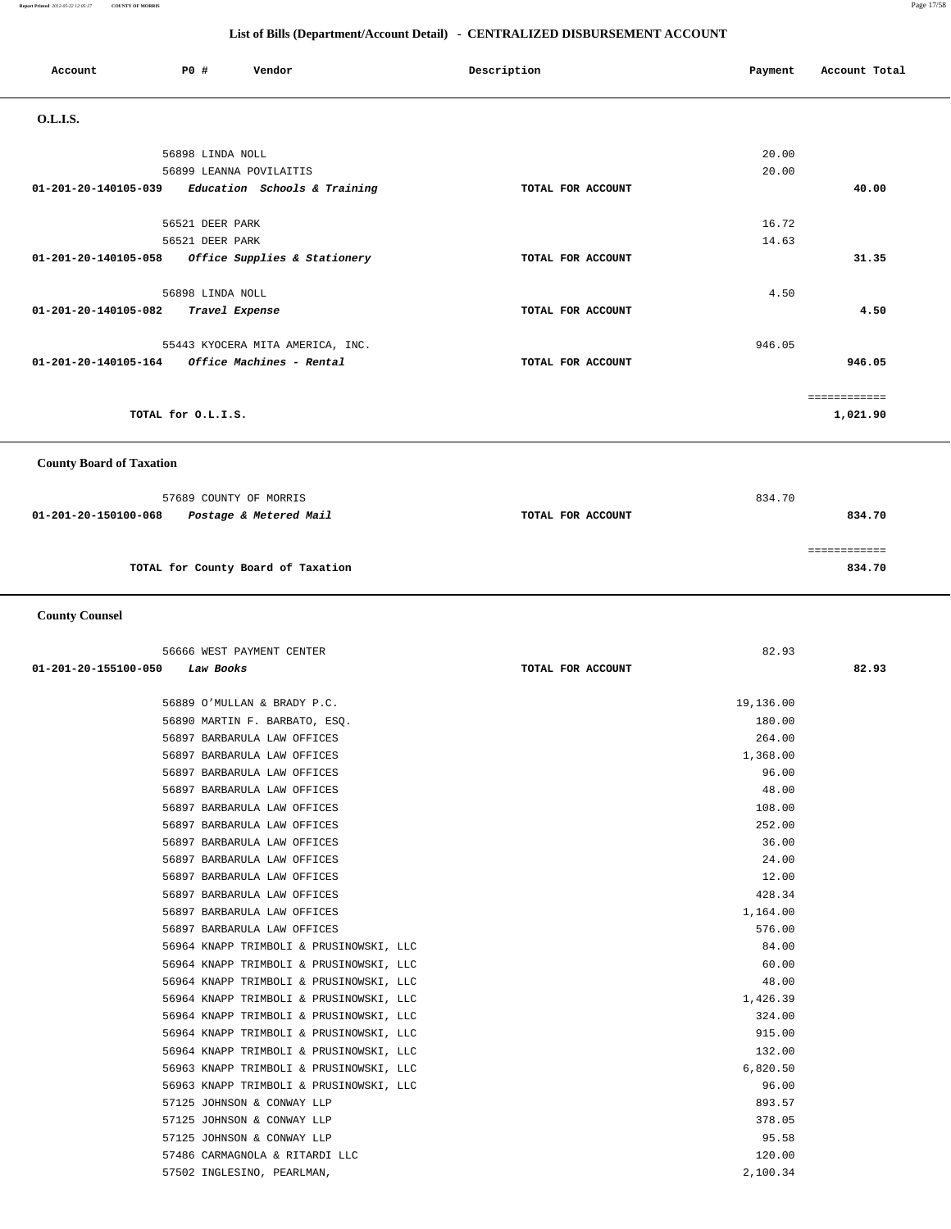**Report Printed** *2012-05-22 12:05:27* **COUNTY OF MORRIS** Page 17/58

### **List of Bills (Department/Account Detail) - CENTRALIZED DISBURSEMENT ACCOUNT**

| Account              | PO#                             |  | Vendor                           |  | Description |                   | Payment | Account Total |              |
|----------------------|---------------------------------|--|----------------------------------|--|-------------|-------------------|---------|---------------|--------------|
| O.L.I.S.             |                                 |  |                                  |  |             |                   |         |               |              |
|                      | 56898 LINDA NOLL                |  |                                  |  |             |                   |         | 20.00         |              |
|                      |                                 |  | 56899 LEANNA POVILAITIS          |  |             |                   |         | 20.00         |              |
| 01-201-20-140105-039 |                                 |  | Education Schools & Training     |  |             | TOTAL FOR ACCOUNT |         |               | 40.00        |
|                      | 56521 DEER PARK                 |  |                                  |  |             |                   |         | 16.72         |              |
|                      | 56521 DEER PARK                 |  |                                  |  |             |                   |         | 14.63         |              |
| 01-201-20-140105-058 |                                 |  | Office Supplies & Stationery     |  |             | TOTAL FOR ACCOUNT |         |               | 31.35        |
|                      | 56898 LINDA NOLL                |  |                                  |  |             |                   |         | 4.50          |              |
| 01-201-20-140105-082 |                                 |  | Travel Expense                   |  |             | TOTAL FOR ACCOUNT |         |               | 4.50         |
|                      |                                 |  | 55443 KYOCERA MITA AMERICA, INC. |  |             |                   |         | 946.05        |              |
| 01-201-20-140105-164 |                                 |  | Office Machines - Rental         |  |             | TOTAL FOR ACCOUNT |         |               | 946.05       |
|                      |                                 |  |                                  |  |             |                   |         |               | ============ |
|                      | TOTAL for O.L.I.S.              |  |                                  |  |             |                   |         |               | 1,021.90     |
|                      | <b>County Board of Taxation</b> |  |                                  |  |             |                   |         |               |              |

# 57689 COUNTY OF MORRIS 834.70  **01-201-20-150100-068 Postage & Metered Mail TOTAL FOR ACCOUNT 834.70** ============ **TOTAL for County Board of Taxation 834.70**

### **County Counsel**

| TOTAL FOR ACCOUNT | 82.93     |
|-------------------|-----------|
|                   |           |
|                   | 19,136.00 |
|                   | 180.00    |
|                   | 264.00    |
|                   | 1,368.00  |
|                   | 96.00     |
|                   | 48.00     |
|                   | 108.00    |
|                   | 252.00    |
|                   | 36.00     |
|                   | 24.00     |
|                   | 12.00     |
|                   | 428.34    |
|                   | 1,164.00  |
|                   | 576.00    |
|                   | 84.00     |
|                   | 60.00     |
|                   | 48.00     |
|                   | 1,426.39  |
|                   | 324.00    |
|                   | 915.00    |
|                   | 132.00    |
|                   | 6,820.50  |
|                   | 96.00     |
|                   | 893.57    |
|                   | 378.05    |
|                   | 95.58     |
|                   | 120.00    |
|                   | 2,100.34  |
|                   |           |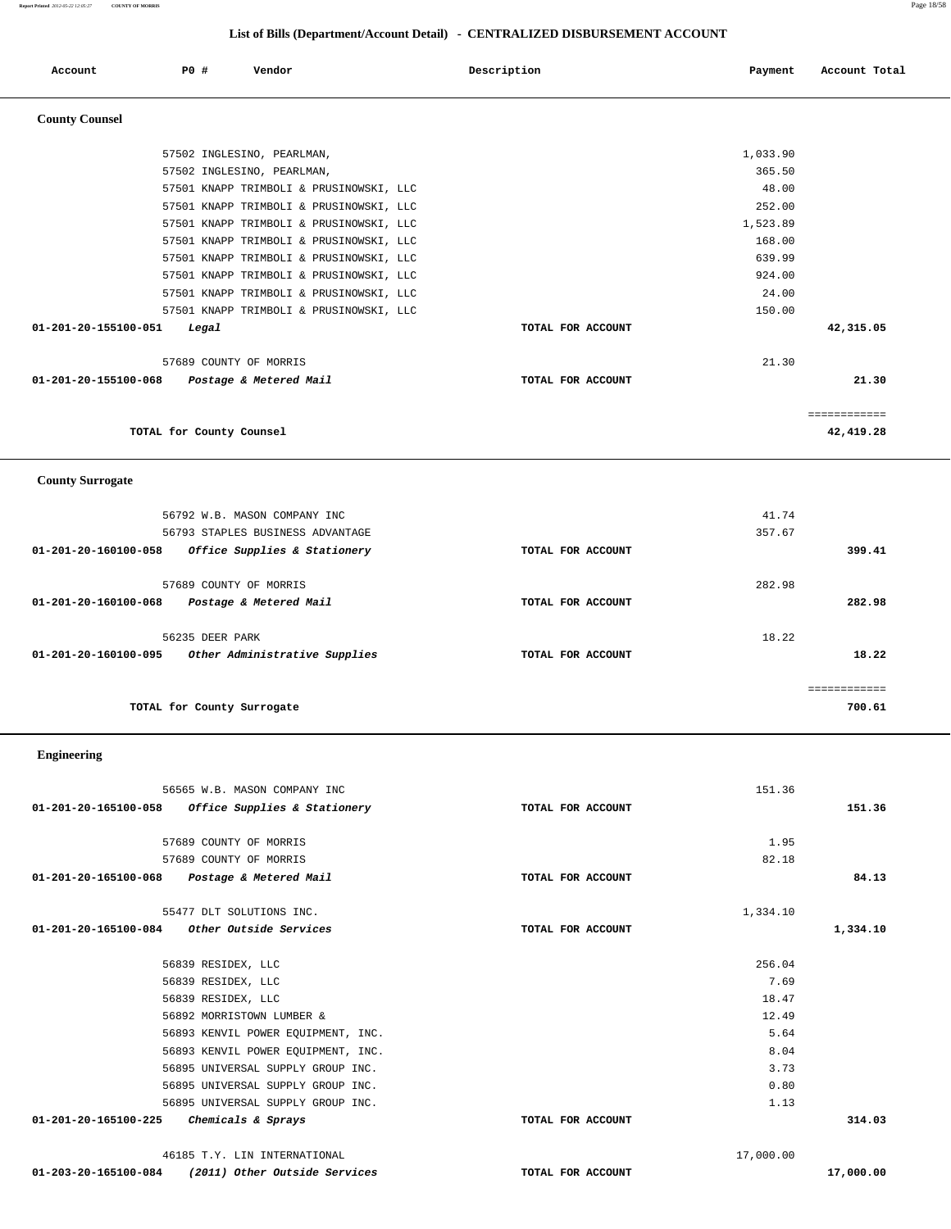**Report Printed** *2012-05-22 12:05:27* **COUNTY OF MORRIS** Page 18/58

## **List of Bills (Department/Account Detail) - CENTRALIZED DISBURSEMENT ACCOUNT**

| Account                 | <b>PO #</b>     | Vendor                                  | Description       | Payment  | Account Total |
|-------------------------|-----------------|-----------------------------------------|-------------------|----------|---------------|
| <b>County Counsel</b>   |                 |                                         |                   |          |               |
|                         |                 | 57502 INGLESINO, PEARLMAN,              |                   | 1,033.90 |               |
|                         |                 | 57502 INGLESINO, PEARLMAN,              |                   | 365.50   |               |
|                         |                 | 57501 KNAPP TRIMBOLI & PRUSINOWSKI, LLC |                   | 48.00    |               |
|                         |                 | 57501 KNAPP TRIMBOLI & PRUSINOWSKI, LLC |                   | 252.00   |               |
|                         |                 | 57501 KNAPP TRIMBOLI & PRUSINOWSKI, LLC |                   | 1,523.89 |               |
|                         |                 | 57501 KNAPP TRIMBOLI & PRUSINOWSKI, LLC |                   | 168.00   |               |
|                         |                 | 57501 KNAPP TRIMBOLI & PRUSINOWSKI, LLC |                   | 639.99   |               |
|                         |                 | 57501 KNAPP TRIMBOLI & PRUSINOWSKI, LLC |                   | 924.00   |               |
|                         |                 | 57501 KNAPP TRIMBOLI & PRUSINOWSKI, LLC |                   | 24.00    |               |
|                         |                 | 57501 KNAPP TRIMBOLI & PRUSINOWSKI, LLC |                   | 150.00   |               |
| 01-201-20-155100-051    | Legal           |                                         | TOTAL FOR ACCOUNT |          | 42,315.05     |
|                         |                 | 57689 COUNTY OF MORRIS                  |                   | 21.30    |               |
| 01-201-20-155100-068    |                 | Postage & Metered Mail                  | TOTAL FOR ACCOUNT |          | 21.30         |
|                         |                 |                                         |                   |          | ============  |
|                         |                 | TOTAL for County Counsel                |                   |          | 42,419.28     |
| <b>County Surrogate</b> |                 |                                         |                   |          |               |
|                         |                 | 56792 W.B. MASON COMPANY INC            |                   | 41.74    |               |
|                         |                 | 56793 STAPLES BUSINESS ADVANTAGE        |                   | 357.67   |               |
| 01-201-20-160100-058    |                 | Office Supplies & Stationery            | TOTAL FOR ACCOUNT |          | 399.41        |
|                         |                 | 57689 COUNTY OF MORRIS                  |                   | 282.98   |               |
| 01-201-20-160100-068    |                 | Postage & Metered Mail                  | TOTAL FOR ACCOUNT |          | 282.98        |
|                         |                 |                                         |                   |          |               |
|                         | 56235 DEER PARK |                                         |                   | 18.22    |               |
| 01-201-20-160100-095    |                 | Other Administrative Supplies           | TOTAL FOR ACCOUNT |          | 18.22         |
|                         |                 |                                         |                   |          | eeeeeeeeee    |
|                         |                 | TOTAL for County Surrogate              |                   |          | 700.61        |
| <b>Engineering</b>      |                 |                                         |                   |          |               |
|                         |                 | 56565 W.B. MASON COMPANY INC            |                   | 151.36   |               |
| 01-201-20-165100-058    |                 | Office Supplies & Stationery            | TOTAL FOR ACCOUNT |          | 151.36        |
|                         |                 |                                         |                   |          |               |
|                         |                 | 57689 COUNTY OF MORRIS                  |                   | 1.95     |               |
|                         |                 | 57689 COUNTY OF MORRIS                  |                   | 82.18    |               |

|                      | 55477 DLT SOLUTIONS INC.           |                   | 1,334.10  |           |
|----------------------|------------------------------------|-------------------|-----------|-----------|
| 01-201-20-165100-084 | Other Outside Services             | TOTAL FOR ACCOUNT |           | 1,334.10  |
|                      | 56839 RESIDEX, LLC                 |                   | 256.04    |           |
|                      | 56839 RESIDEX, LLC                 |                   | 7.69      |           |
|                      | 56839 RESIDEX, LLC                 |                   | 18.47     |           |
|                      | 56892 MORRISTOWN LUMBER &          |                   | 12.49     |           |
|                      | 56893 KENVIL POWER EQUIPMENT, INC. |                   | 5.64      |           |
|                      | 56893 KENVIL POWER EQUIPMENT, INC. |                   | 8.04      |           |
|                      | 56895 UNIVERSAL SUPPLY GROUP INC.  |                   | 3.73      |           |
|                      | 56895 UNIVERSAL SUPPLY GROUP INC.  |                   | 0.80      |           |
|                      | 56895 UNIVERSAL SUPPLY GROUP INC.  |                   | 1.13      |           |
| 01-201-20-165100-225 | Chemicals & Sprays                 | TOTAL FOR ACCOUNT |           | 314.03    |
|                      | 46185 T.Y. LIN INTERNATIONAL       |                   | 17,000.00 |           |
| 01-203-20-165100-084 | (2011) Other Outside Services      | TOTAL FOR ACCOUNT |           | 17,000.00 |

 **01-201-20-165100-068 Postage & Metered Mail TOTAL FOR ACCOUNT 84.13**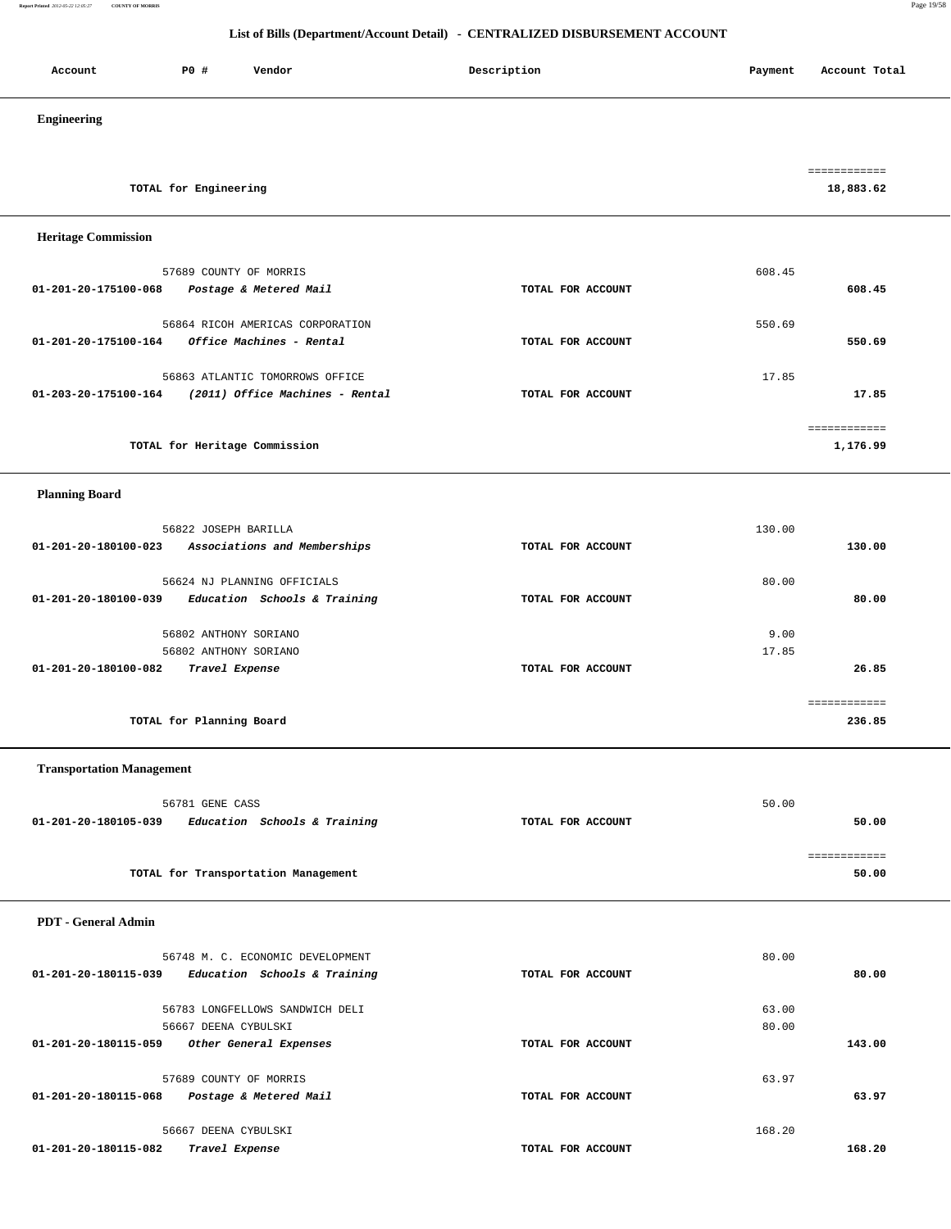**Report Printed** *2012-05-22 12:05:27* **COUNTY OF MORRIS** Page 19/58

| P0 #<br>Vendor<br>Account                                                                                 | Description       | Payment        | Account Total             |
|-----------------------------------------------------------------------------------------------------------|-------------------|----------------|---------------------------|
| Engineering                                                                                               |                   |                |                           |
| TOTAL for Engineering                                                                                     |                   |                | ============<br>18,883.62 |
| <b>Heritage Commission</b>                                                                                |                   |                |                           |
| 57689 COUNTY OF MORRIS<br>01-201-20-175100-068<br>Postage & Metered Mail                                  | TOTAL FOR ACCOUNT | 608.45         | 608.45                    |
| 56864 RICOH AMERICAS CORPORATION<br>Office Machines - Rental<br>01-201-20-175100-164                      | TOTAL FOR ACCOUNT | 550.69         | 550.69                    |
| 56863 ATLANTIC TOMORROWS OFFICE<br>01-203-20-175100-164<br>(2011) Office Machines - Rental                | TOTAL FOR ACCOUNT | 17.85          | 17.85                     |
| TOTAL for Heritage Commission                                                                             |                   |                | ============<br>1,176.99  |
| <b>Planning Board</b>                                                                                     |                   |                |                           |
| 56822 JOSEPH BARILLA<br>01-201-20-180100-023<br>Associations and Memberships                              | TOTAL FOR ACCOUNT | 130.00         | 130.00                    |
| 56624 NJ PLANNING OFFICIALS<br>Education Schools & Training<br>01-201-20-180100-039                       | TOTAL FOR ACCOUNT | 80.00          | 80.00                     |
| 56802 ANTHONY SORIANO<br>56802 ANTHONY SORIANO<br>01-201-20-180100-082<br>Travel Expense                  | TOTAL FOR ACCOUNT | 9.00<br>17.85  | 26.85                     |
| TOTAL for Planning Board                                                                                  |                   |                | ============<br>236.85    |
| <b>Transportation Management</b>                                                                          |                   |                |                           |
| 56781 GENE CASS<br>01-201-20-180105-039<br>Education Schools & Training                                   | TOTAL FOR ACCOUNT | 50.00          | 50.00                     |
| TOTAL for Transportation Management                                                                       |                   |                | ============<br>50.00     |
| <b>PDT</b> - General Admin                                                                                |                   |                |                           |
| 56748 M. C. ECONOMIC DEVELOPMENT<br>01-201-20-180115-039<br>Education Schools & Training                  | TOTAL FOR ACCOUNT | 80.00          | 80.00                     |
| 56783 LONGFELLOWS SANDWICH DELI<br>56667 DEENA CYBULSKI<br>01-201-20-180115-059<br>Other General Expenses | TOTAL FOR ACCOUNT | 63.00<br>80.00 | 143.00                    |
| 57689 COUNTY OF MORRIS<br>01-201-20-180115-068<br>Postage & Metered Mail                                  | TOTAL FOR ACCOUNT | 63.97          | 63.97                     |
| 56667 DEENA CYBULSKI<br>01-201-20-180115-082<br>Travel Expense                                            | TOTAL FOR ACCOUNT | 168.20         | 168.20                    |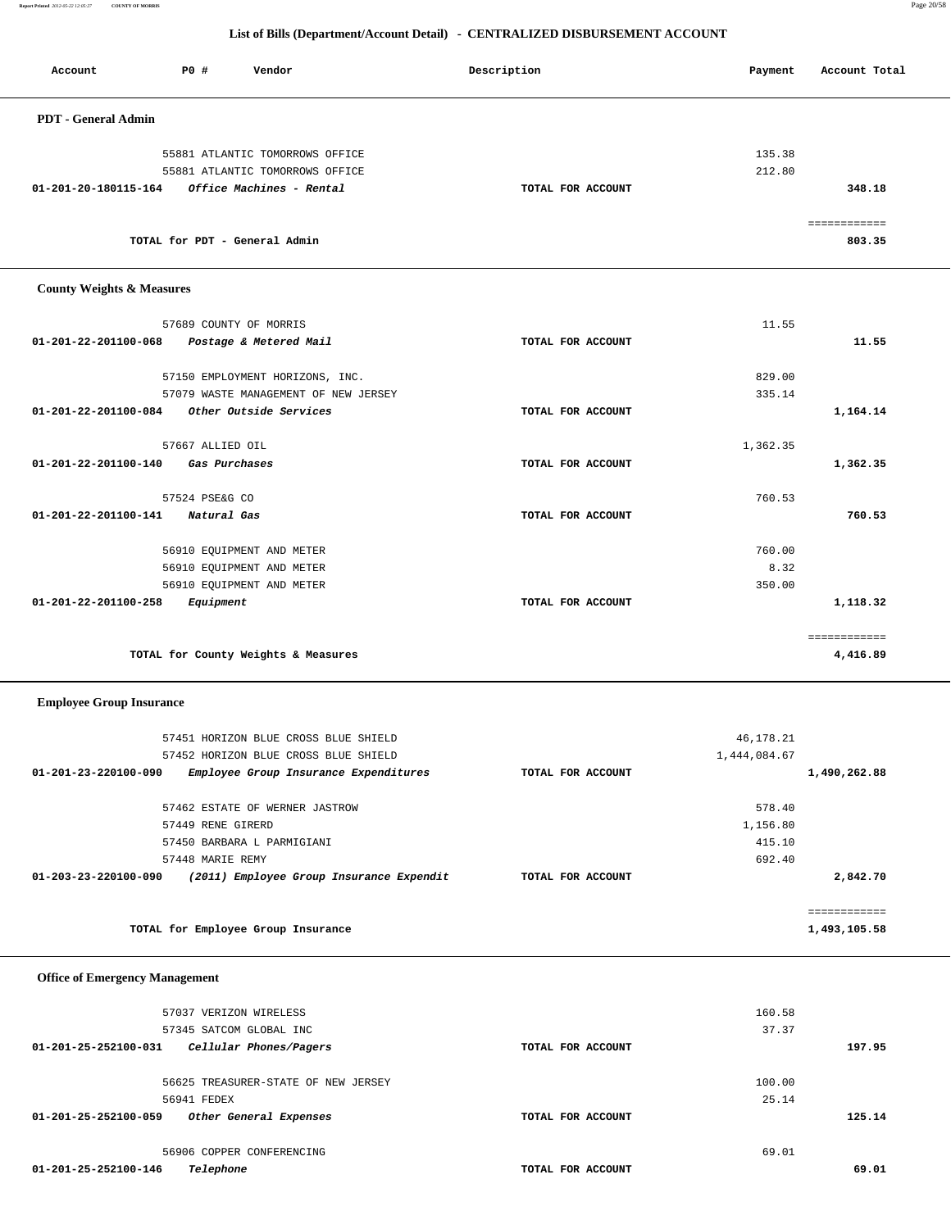**Report Printed** *2012-05-22 12:05:27* **COUNTY OF MORRIS** Page 20/58

 **Office of Emergency Management**

| Account                              | PO#                    | Vendor                               | Description       | Payment  | Account Total |
|--------------------------------------|------------------------|--------------------------------------|-------------------|----------|---------------|
| <b>PDT</b> - General Admin           |                        |                                      |                   |          |               |
|                                      |                        | 55881 ATLANTIC TOMORROWS OFFICE      |                   | 135.38   |               |
|                                      |                        | 55881 ATLANTIC TOMORROWS OFFICE      |                   | 212.80   |               |
| 01-201-20-180115-164                 |                        | Office Machines - Rental             | TOTAL FOR ACCOUNT |          | 348.18        |
|                                      |                        |                                      |                   |          |               |
|                                      |                        |                                      |                   |          |               |
|                                      |                        | TOTAL for PDT - General Admin        |                   |          | 803.35        |
| <b>County Weights &amp; Measures</b> |                        |                                      |                   |          |               |
|                                      | 57689 COUNTY OF MORRIS |                                      |                   | 11.55    |               |
| 01-201-22-201100-068                 |                        | Postage & Metered Mail               | TOTAL FOR ACCOUNT |          | 11.55         |
|                                      |                        |                                      |                   |          |               |
|                                      |                        | 57150 EMPLOYMENT HORIZONS, INC.      |                   | 829.00   |               |
|                                      |                        | 57079 WASTE MANAGEMENT OF NEW JERSEY |                   | 335.14   |               |
| 01-201-22-201100-084                 |                        | Other Outside Services               | TOTAL FOR ACCOUNT |          | 1,164.14      |
|                                      | 57667 ALLIED OIL       |                                      |                   | 1,362.35 |               |
| 01-201-22-201100-140                 | Gas Purchases          |                                      | TOTAL FOR ACCOUNT |          | 1,362.35      |
|                                      | 57524 PSE&G CO         |                                      |                   | 760.53   |               |
| 01-201-22-201100-141                 | Natural Gas            |                                      | TOTAL FOR ACCOUNT |          | 760.53        |
|                                      |                        | 56910 EQUIPMENT AND METER            |                   | 760.00   |               |
|                                      |                        | 56910 EQUIPMENT AND METER            |                   | 8.32     |               |
|                                      |                        | 56910 EQUIPMENT AND METER            |                   | 350.00   |               |
| 01-201-22-201100-258                 | Equipment              |                                      | TOTAL FOR ACCOUNT |          | 1,118.32      |
|                                      |                        |                                      |                   |          |               |
|                                      |                        | TOTAL for County Weights & Measures  |                   |          | 4,416.89      |
| <b>Employee Group Insurance</b>      |                        |                                      |                   |          |               |

|                                | 57451 HORIZON BLUE CROSS BLUE SHIELD     |  |                   | 46,178.21    |              |
|--------------------------------|------------------------------------------|--|-------------------|--------------|--------------|
|                                | 57452 HORIZON BLUE CROSS BLUE SHIELD     |  |                   | 1,444,084.67 |              |
| $01 - 201 - 23 - 220100 - 090$ | Employee Group Insurance Expenditures    |  | TOTAL FOR ACCOUNT |              | 1,490,262.88 |
|                                |                                          |  |                   |              |              |
|                                | 57462 ESTATE OF WERNER JASTROW           |  |                   | 578.40       |              |
|                                | 57449 RENE GIRERD                        |  |                   | 1,156.80     |              |
|                                | 57450 BARBARA L PARMIGIANI               |  |                   | 415.10       |              |
|                                | 57448 MARIE REMY                         |  |                   | 692.40       |              |
| $01 - 203 - 23 - 220100 - 090$ | (2011) Employee Group Insurance Expendit |  | TOTAL FOR ACCOUNT |              | 2,842.70     |
|                                |                                          |  |                   |              |              |
|                                |                                          |  |                   |              |              |
|                                | TOTAL for Employee Group Insurance       |  |                   |              | 1,493,105.58 |

| 57037 VERIZON WIRELESS                         |                   | 160.58 |        |
|------------------------------------------------|-------------------|--------|--------|
| 57345 SATCOM GLOBAL INC                        |                   | 37.37  |        |
| Cellular Phones/Pagers<br>01-201-25-252100-031 | TOTAL FOR ACCOUNT |        | 197.95 |
|                                                |                   |        |        |
| 56625 TREASURER-STATE OF NEW JERSEY            |                   | 100.00 |        |
| 56941 FEDEX                                    |                   | 25.14  |        |
| 01-201-25-252100-059<br>Other General Expenses | TOTAL FOR ACCOUNT |        | 125.14 |
|                                                |                   |        |        |
| 56906 COPPER CONFERENCING                      |                   | 69.01  |        |
| Telephone<br>01-201-25-252100-146              | TOTAL FOR ACCOUNT |        | 69.01  |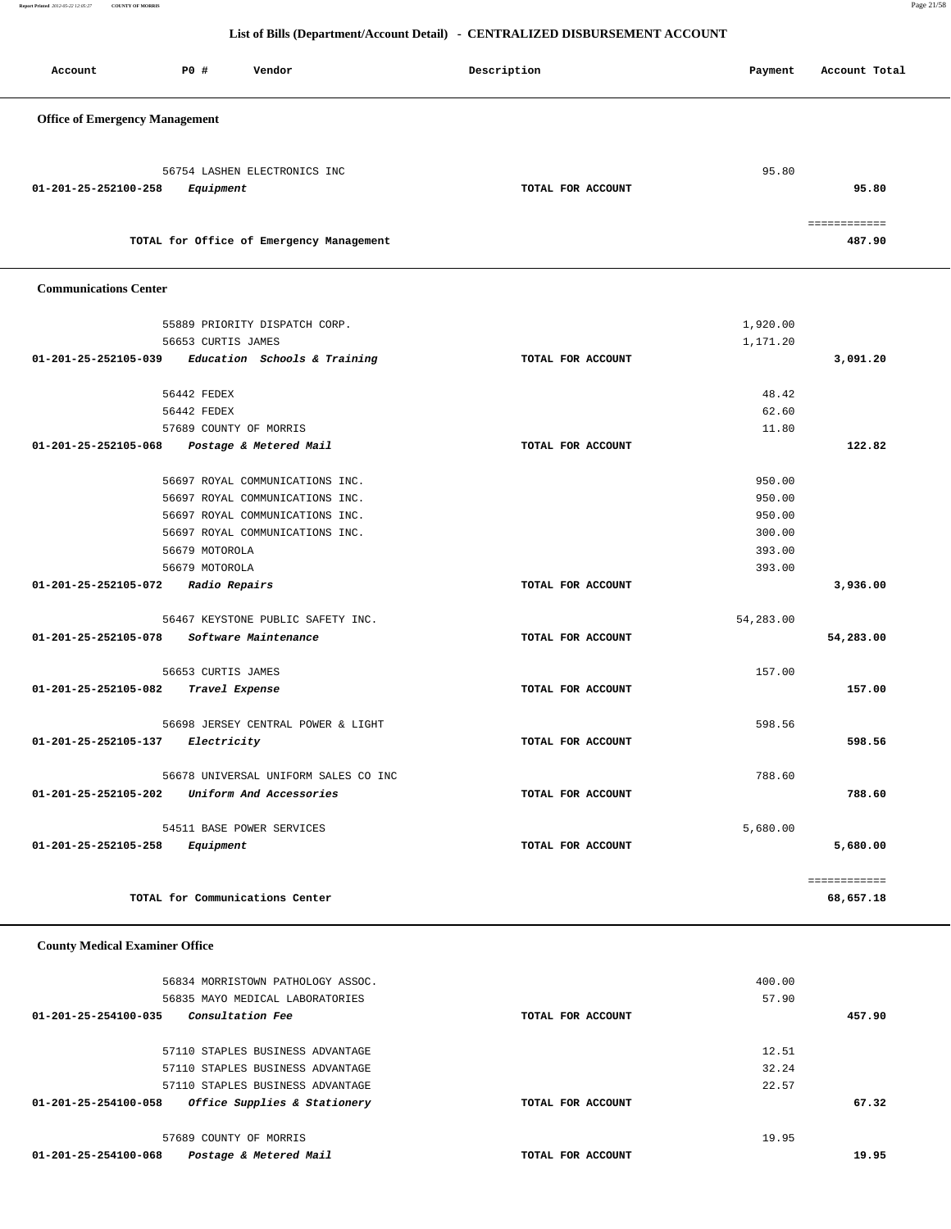**Report Printed** *2012-05-22 12:05:27* **COUNTY OF MORRIS** Page 21/58

### **List of Bills (Department/Account Detail) - CENTRALIZED DISBURSEMENT ACCOUNT**

| Account                               | PO#                    | Vendor                                                             | Description       | Payment          | Account Total          |
|---------------------------------------|------------------------|--------------------------------------------------------------------|-------------------|------------------|------------------------|
| <b>Office of Emergency Management</b> |                        |                                                                    |                   |                  |                        |
|                                       |                        |                                                                    |                   |                  |                        |
| 01-201-25-252100-258                  | Equipment              | 56754 LASHEN ELECTRONICS INC                                       | TOTAL FOR ACCOUNT | 95.80            | 95.80                  |
|                                       |                        | TOTAL for Office of Emergency Management                           |                   |                  | ============<br>487.90 |
| <b>Communications Center</b>          |                        |                                                                    |                   |                  |                        |
|                                       |                        | 55889 PRIORITY DISPATCH CORP.                                      |                   | 1,920.00         |                        |
|                                       | 56653 CURTIS JAMES     |                                                                    |                   | 1,171.20         |                        |
| 01-201-25-252105-039                  |                        | Education Schools & Training                                       | TOTAL FOR ACCOUNT |                  | 3,091.20               |
|                                       | 56442 FEDEX            |                                                                    |                   | 48.42            |                        |
|                                       | 56442 FEDEX            |                                                                    |                   | 62.60            |                        |
|                                       | 57689 COUNTY OF MORRIS |                                                                    |                   | 11.80            |                        |
| 01-201-25-252105-068                  |                        | Postage & Metered Mail                                             | TOTAL FOR ACCOUNT |                  | 122.82                 |
|                                       |                        |                                                                    |                   |                  |                        |
|                                       |                        | 56697 ROYAL COMMUNICATIONS INC.                                    |                   | 950.00           |                        |
|                                       |                        | 56697 ROYAL COMMUNICATIONS INC.                                    |                   | 950.00           |                        |
|                                       |                        | 56697 ROYAL COMMUNICATIONS INC.<br>56697 ROYAL COMMUNICATIONS INC. |                   | 950.00<br>300.00 |                        |
|                                       | 56679 MOTOROLA         |                                                                    |                   | 393.00           |                        |
|                                       | 56679 MOTOROLA         |                                                                    |                   | 393.00           |                        |
| 01-201-25-252105-072                  | Radio Repairs          |                                                                    | TOTAL FOR ACCOUNT |                  | 3,936.00               |
|                                       |                        |                                                                    |                   |                  |                        |
|                                       |                        | 56467 KEYSTONE PUBLIC SAFETY INC.                                  |                   | 54,283.00        |                        |
| 01-201-25-252105-078                  |                        | Software Maintenance                                               | TOTAL FOR ACCOUNT |                  | 54,283.00              |
|                                       | 56653 CURTIS JAMES     |                                                                    |                   | 157.00           |                        |
| 01-201-25-252105-082                  | Travel Expense         |                                                                    | TOTAL FOR ACCOUNT |                  | 157.00                 |
|                                       |                        | 56698 JERSEY CENTRAL POWER & LIGHT                                 |                   | 598.56           |                        |
| 01-201-25-252105-137                  | <i>Electricity</i>     |                                                                    | TOTAL FOR ACCOUNT |                  | 598.56                 |
|                                       |                        |                                                                    |                   |                  |                        |
|                                       |                        | 56678 UNIVERSAL UNIFORM SALES CO INC                               |                   | 788.60           |                        |
| 01-201-25-252105-202                  |                        | Uniform And Accessories                                            | TOTAL FOR ACCOUNT |                  | 788.60                 |
|                                       |                        | 54511 BASE POWER SERVICES                                          |                   | 5,680.00         |                        |
| 01-201-25-252105-258                  | Equipment              |                                                                    | TOTAL FOR ACCOUNT |                  | 5,680.00               |
|                                       |                        |                                                                    |                   |                  | ============           |
|                                       |                        | TOTAL for Communications Center                                    |                   |                  | 68,657.18              |

## **County Medical Examiner Office**

| 56834 MORRISTOWN PATHOLOGY ASSOC.<br>56835 MAYO MEDICAL LABORATORIES |                   | 400.00<br>57.90 |        |
|----------------------------------------------------------------------|-------------------|-----------------|--------|
| <i>Consultation Fee</i><br>01-201-25-254100-035                      | TOTAL FOR ACCOUNT |                 | 457.90 |
| 57110 STAPLES BUSINESS ADVANTAGE                                     |                   | 12.51           |        |
| 57110 STAPLES BUSINESS ADVANTAGE                                     |                   | 32.24           |        |
| 57110 STAPLES BUSINESS ADVANTAGE                                     |                   | 22.57           |        |
| Office Supplies & Stationery<br>01-201-25-254100-058                 | TOTAL FOR ACCOUNT |                 | 67.32  |
| 57689 COUNTY OF MORRIS                                               |                   | 19.95           |        |
| Postage & Metered Mail<br>01-201-25-254100-068                       | TOTAL FOR ACCOUNT |                 | 19.95  |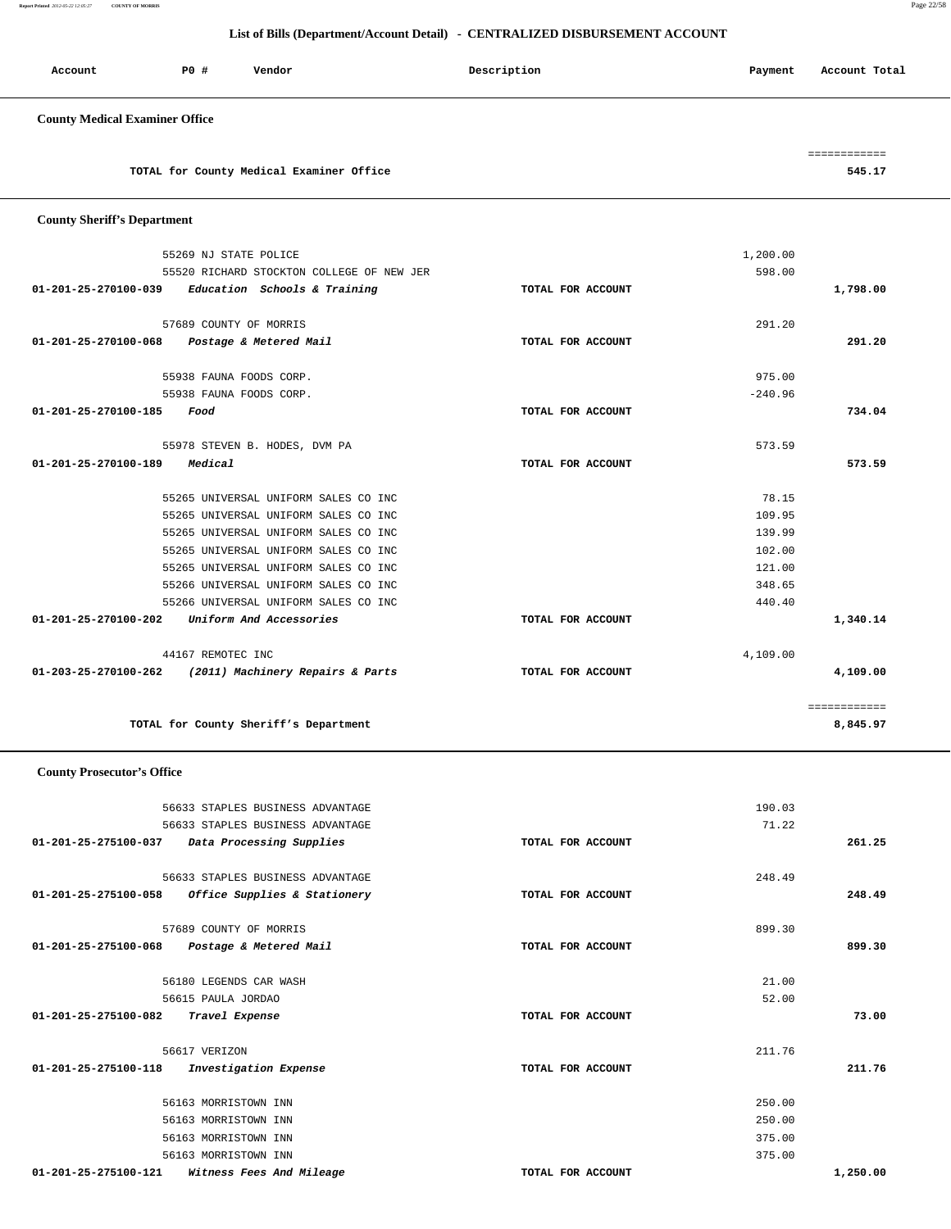**Report Printed** *2012-05-22 12:05:27* **COUNTY OF MORRIS** Page 22/58

### **List of Bills (Department/Account Detail) - CENTRALIZED DISBURSEMENT ACCOUNT**

| <b>sccount</b> | P0 # | Vendor | Description | Payment | Account Total<br>. |
|----------------|------|--------|-------------|---------|--------------------|
|                |      |        |             |         |                    |

## **County Medical Examiner Office**

|                                          | ------------<br>____________ |
|------------------------------------------|------------------------------|
| TOTAL for County Medical Examiner Office | 545.17                       |

### **County Sheriff's Department**

|                                             | 44167 REMOTEC INC<br>01-203-25-270100-262 (2011) Machinery Repairs & Parts | TOTAL FOR ACCOUNT | 4,109.00  | 4,109.00 |
|---------------------------------------------|----------------------------------------------------------------------------|-------------------|-----------|----------|
|                                             |                                                                            |                   |           |          |
| 01-201-25-270100-202                        | Uniform And Accessories                                                    | TOTAL FOR ACCOUNT |           | 1,340.14 |
|                                             | 55266 UNIVERSAL UNIFORM SALES CO INC                                       |                   | 440.40    |          |
|                                             | 55266 UNIVERSAL UNIFORM SALES CO INC                                       |                   | 348.65    |          |
|                                             | 55265 UNIVERSAL UNIFORM SALES CO INC                                       |                   | 121.00    |          |
|                                             | 55265 UNIVERSAL UNIFORM SALES CO INC                                       |                   | 102.00    |          |
|                                             | 55265 UNIVERSAL UNIFORM SALES CO INC                                       |                   | 139.99    |          |
|                                             | 55265 UNIVERSAL UNIFORM SALES CO INC                                       |                   | 109.95    |          |
|                                             | 55265 UNIVERSAL UNIFORM SALES CO INC                                       |                   | 78.15     |          |
| 01-201-25-270100-189                        | <i>Medical</i>                                                             | TOTAL FOR ACCOUNT |           | 573.59   |
|                                             | 55978 STEVEN B. HODES, DVM PA                                              |                   | 573.59    |          |
| 01-201-25-270100-185                        | Food                                                                       | TOTAL FOR ACCOUNT |           | 734.04   |
|                                             | 55938 FAUNA FOODS CORP.                                                    |                   | $-240.96$ |          |
|                                             | 55938 FAUNA FOODS CORP.                                                    |                   | 975.00    |          |
|                                             |                                                                            |                   |           |          |
| 01-201-25-270100-068 Postage & Metered Mail |                                                                            | TOTAL FOR ACCOUNT |           | 291.20   |
|                                             | 57689 COUNTY OF MORRIS                                                     |                   | 291.20    |          |
|                                             | 01-201-25-270100-039 Education Schools & Training                          | TOTAL FOR ACCOUNT |           | 1,798.00 |
|                                             | 55520 RICHARD STOCKTON COLLEGE OF NEW JER                                  |                   | 598.00    |          |
|                                             | 55269 NJ STATE POLICE                                                      |                   | 1,200.00  |          |

 **County Prosecutor's Office**

|                                        | 56633 STAPLES BUSINESS ADVANTAGE |                   | 190.03 |          |
|----------------------------------------|----------------------------------|-------------------|--------|----------|
|                                        | 56633 STAPLES BUSINESS ADVANTAGE |                   | 71.22  |          |
| 01-201-25-275100-037                   | Data Processing Supplies         | TOTAL FOR ACCOUNT |        | 261.25   |
|                                        | 56633 STAPLES BUSINESS ADVANTAGE |                   | 248.49 |          |
| 01-201-25-275100-058                   | Office Supplies & Stationery     | TOTAL FOR ACCOUNT |        | 248.49   |
| 57689 COUNTY OF MORRIS                 |                                  |                   | 899.30 |          |
| 01-201-25-275100-068                   | Postage & Metered Mail           | TOTAL FOR ACCOUNT |        | 899.30   |
| 56180 LEGENDS CAR WASH                 |                                  |                   | 21.00  |          |
| 56615 PAULA JORDAO                     |                                  |                   | 52.00  |          |
| 01-201-25-275100-082<br>Travel Expense |                                  | TOTAL FOR ACCOUNT |        | 73.00    |
| 56617 VERIZON                          |                                  |                   | 211.76 |          |
| 01-201-25-275100-118                   | Investigation Expense            | TOTAL FOR ACCOUNT |        | 211.76   |
| 56163 MORRISTOWN INN                   |                                  |                   | 250.00 |          |
| 56163 MORRISTOWN INN                   |                                  |                   | 250.00 |          |
| 56163 MORRISTOWN INN                   |                                  |                   | 375.00 |          |
| 56163 MORRISTOWN INN                   |                                  |                   | 375.00 |          |
| 01-201-25-275100-121                   | Witness Fees And Mileage         | TOTAL FOR ACCOUNT |        | 1,250.00 |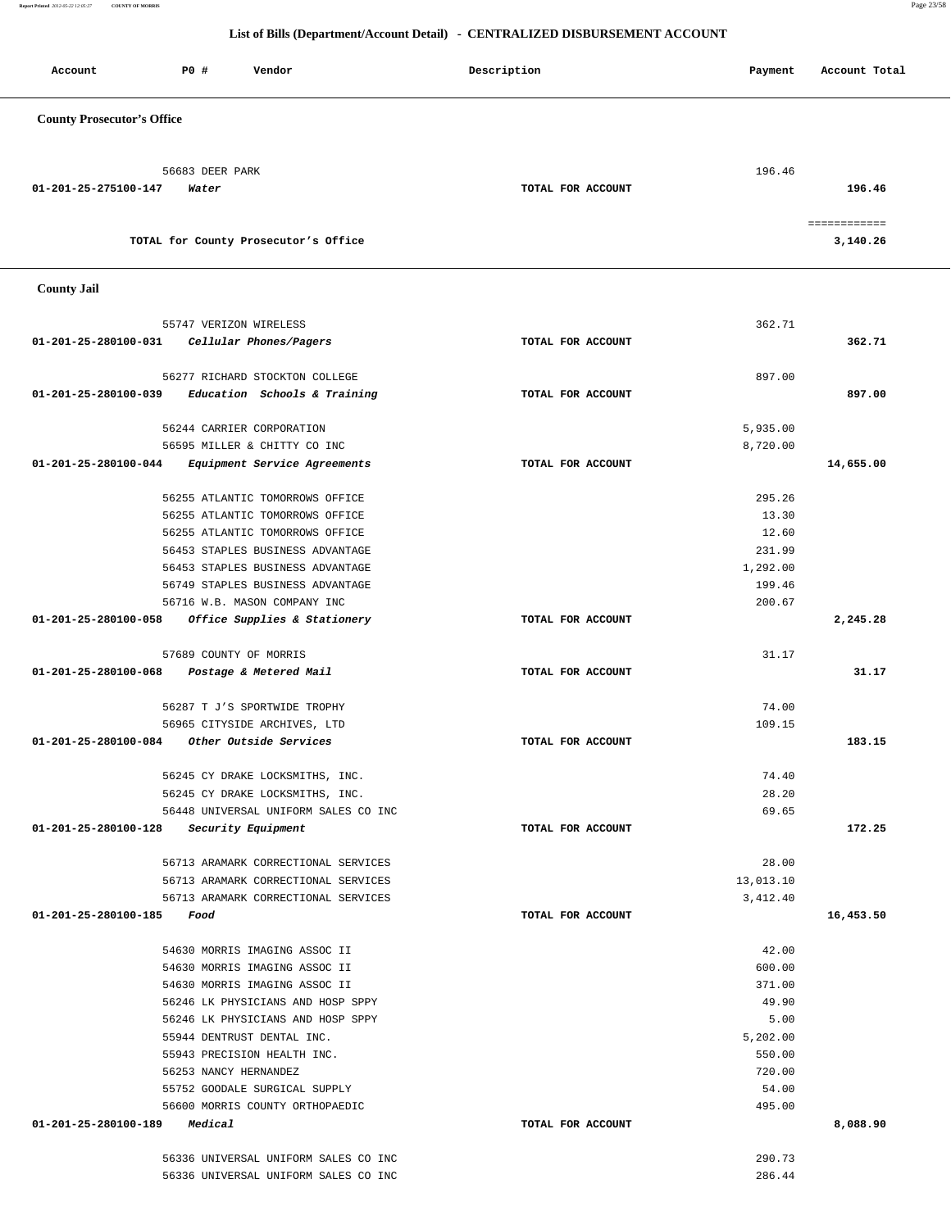**Report Printed** *2012-05-22 12:05:27* **COUNTY OF MORRIS** Page 23/58

|                                                                                        | Description       | Payment   | Account Total            |
|----------------------------------------------------------------------------------------|-------------------|-----------|--------------------------|
| <b>County Prosecutor's Office</b>                                                      |                   |           |                          |
| 56683 DEER PARK                                                                        |                   | 196.46    |                          |
| 01-201-25-275100-147<br>Water                                                          | TOTAL FOR ACCOUNT |           | 196.46                   |
| TOTAL for County Prosecutor's Office                                                   |                   |           | ============<br>3,140.26 |
| <b>County Jail</b>                                                                     |                   |           |                          |
| 55747 VERIZON WIRELESS                                                                 |                   | 362.71    |                          |
| 01-201-25-280100-031<br>Cellular Phones/Pagers                                         | TOTAL FOR ACCOUNT |           | 362.71                   |
|                                                                                        |                   |           |                          |
| 56277 RICHARD STOCKTON COLLEGE<br>Education Schools & Training<br>01-201-25-280100-039 | TOTAL FOR ACCOUNT | 897.00    | 897.00                   |
|                                                                                        |                   |           |                          |
| 56244 CARRIER CORPORATION                                                              |                   | 5,935.00  |                          |
| 56595 MILLER & CHITTY CO INC<br>01-201-25-280100-044<br>Equipment Service Agreements   | TOTAL FOR ACCOUNT | 8,720.00  | 14,655.00                |
|                                                                                        |                   |           |                          |
| 56255 ATLANTIC TOMORROWS OFFICE                                                        |                   | 295.26    |                          |
| 56255 ATLANTIC TOMORROWS OFFICE                                                        |                   | 13.30     |                          |
| 56255 ATLANTIC TOMORROWS OFFICE                                                        |                   | 12.60     |                          |
| 56453 STAPLES BUSINESS ADVANTAGE                                                       |                   | 231.99    |                          |
| 56453 STAPLES BUSINESS ADVANTAGE                                                       |                   | 1,292.00  |                          |
| 56749 STAPLES BUSINESS ADVANTAGE                                                       |                   | 199.46    |                          |
| 56716 W.B. MASON COMPANY INC<br>01-201-25-280100-058<br>Office Supplies & Stationery   | TOTAL FOR ACCOUNT | 200.67    | 2,245.28                 |
|                                                                                        |                   |           |                          |
| 57689 COUNTY OF MORRIS                                                                 |                   | 31.17     |                          |
| 01-201-25-280100-068<br>Postage & Metered Mail                                         | TOTAL FOR ACCOUNT |           | 31.17                    |
| 56287 T J'S SPORTWIDE TROPHY                                                           |                   | 74.00     |                          |
| 56965 CITYSIDE ARCHIVES, LTD                                                           |                   | 109.15    |                          |
| Other Outside Services<br>01-201-25-280100-084                                         | TOTAL FOR ACCOUNT |           | 183.15                   |
| 56245 CY DRAKE LOCKSMITHS, INC.                                                        |                   | 74.40     |                          |
| 56245 CY DRAKE LOCKSMITHS, INC.                                                        |                   | 28.20     |                          |
| 56448 UNIVERSAL UNIFORM SALES CO INC                                                   |                   | 69.65     |                          |
| 01-201-25-280100-128 Security Equipment                                                | TOTAL FOR ACCOUNT |           | 172.25                   |
| 56713 ARAMARK CORRECTIONAL SERVICES                                                    |                   | 28.00     |                          |
| 56713 ARAMARK CORRECTIONAL SERVICES                                                    |                   | 13,013.10 |                          |
| 56713 ARAMARK CORRECTIONAL SERVICES                                                    |                   | 3,412.40  |                          |
| 01-201-25-280100-185<br>Food                                                           | TOTAL FOR ACCOUNT |           | 16,453.50                |
| 54630 MORRIS IMAGING ASSOC II                                                          |                   | 42.00     |                          |
| 54630 MORRIS IMAGING ASSOC II                                                          |                   | 600.00    |                          |
| 54630 MORRIS IMAGING ASSOC II                                                          |                   | 371.00    |                          |
| 56246 LK PHYSICIANS AND HOSP SPPY                                                      |                   | 49.90     |                          |
| 56246 LK PHYSICIANS AND HOSP SPPY                                                      |                   | 5.00      |                          |
| 55944 DENTRUST DENTAL INC.                                                             |                   | 5,202.00  |                          |
| 55943 PRECISION HEALTH INC.                                                            |                   | 550.00    |                          |
| 56253 NANCY HERNANDEZ                                                                  |                   | 720.00    |                          |
| 55752 GOODALE SURGICAL SUPPLY                                                          |                   | 54.00     |                          |
| 56600 MORRIS COUNTY ORTHOPAEDIC                                                        |                   | 495.00    |                          |
| 01-201-25-280100-189 Medical                                                           | TOTAL FOR ACCOUNT |           | 8,088.90                 |
| 56336 UNIVERSAL UNIFORM SALES CO INC                                                   |                   | 290.73    |                          |
| 56336 UNIVERSAL UNIFORM SALES CO INC                                                   |                   | 286.44    |                          |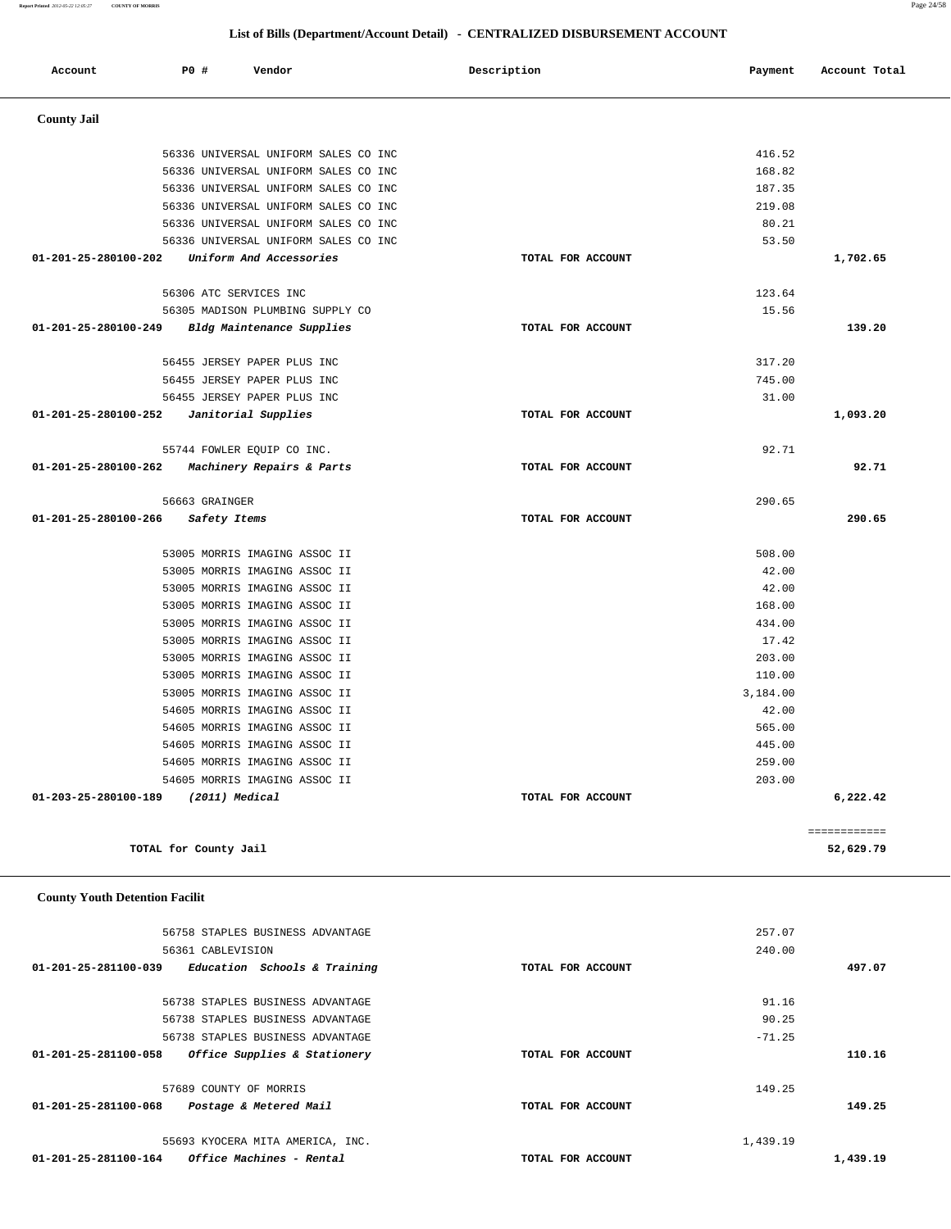| 257.07   |                   | 56758 STAPLES BUSINESS ADVANTAGE                     |
|----------|-------------------|------------------------------------------------------|
| 240.00   |                   | 56361 CABLEVISION                                    |
| 497.07   | TOTAL FOR ACCOUNT | 01-201-25-281100-039<br>Education Schools & Training |
| 91.16    |                   | 56738 STAPLES BUSINESS ADVANTAGE                     |
| 90.25    |                   | 56738 STAPLES BUSINESS ADVANTAGE                     |
| $-71.25$ |                   | 56738 STAPLES BUSINESS ADVANTAGE                     |
| 110.16   | TOTAL FOR ACCOUNT | Office Supplies & Stationery<br>01-201-25-281100-058 |
| 149.25   |                   | 57689 COUNTY OF MORRIS                               |
| 149.25   | TOTAL FOR ACCOUNT | Postage & Metered Mail<br>01-201-25-281100-068       |
| 1,439.19 |                   | 55693 KYOCERA MITA AMERICA, INC.                     |
| 1,439.19 | TOTAL FOR ACCOUNT | Office Machines - Rental<br>01-201-25-281100-164     |

### **County Youth Detention Facilit**

| 56305 MADISON PLUMBING SUPPLY CO                  | 15.56             |          |          |
|---------------------------------------------------|-------------------|----------|----------|
| 01-201-25-280100-249 Bldg Maintenance Supplies    | TOTAL FOR ACCOUNT |          | 139.20   |
| 56455 JERSEY PAPER PLUS INC                       |                   | 317.20   |          |
| 56455 JERSEY PAPER PLUS INC                       |                   | 745.00   |          |
| 56455 JERSEY PAPER PLUS INC                       |                   | 31.00    |          |
| Janitorial Supplies<br>01-201-25-280100-252       | TOTAL FOR ACCOUNT |          | 1,093.20 |
| 55744 FOWLER EQUIP CO INC.                        |                   | 92.71    |          |
| 01-201-25-280100-262<br>Machinery Repairs & Parts | TOTAL FOR ACCOUNT |          | 92.71    |
| 56663 GRAINGER                                    |                   | 290.65   |          |
| 01-201-25-280100-266<br>Safety Items              | TOTAL FOR ACCOUNT |          | 290.65   |
| 53005 MORRIS IMAGING ASSOC II                     |                   | 508.00   |          |
| 53005 MORRIS IMAGING ASSOC II                     |                   | 42.00    |          |
| 53005 MORRIS IMAGING ASSOC II                     |                   | 42.00    |          |
| 53005 MORRIS IMAGING ASSOC II                     |                   | 168.00   |          |
| 53005 MORRIS IMAGING ASSOC II                     |                   | 434.00   |          |
| 53005 MORRIS IMAGING ASSOC II                     |                   | 17.42    |          |
| 53005 MORRIS IMAGING ASSOC II                     |                   | 203.00   |          |
| 53005 MORRIS IMAGING ASSOC II                     |                   | 110.00   |          |
| 53005 MORRIS IMAGING ASSOC II                     |                   | 3,184.00 |          |
| 54605 MORRIS IMAGING ASSOC II                     |                   | 42.00    |          |
| 54605 MORRIS IMAGING ASSOC II                     |                   | 565.00   |          |

 54605 MORRIS IMAGING ASSOC II 445.00 54605 MORRIS IMAGING ASSOC II 259.00 54605 MORRIS IMAGING ASSOC II 203.00  **01-203-25-280100-189 (2011) Medical TOTAL FOR ACCOUNT 6,222.42**

**TOTAL for County Jail 52,629.79**

============

| Account              | <b>PO #</b>            | Vendor                               | Description       | Payment  | Account Total |
|----------------------|------------------------|--------------------------------------|-------------------|----------|---------------|
| <b>County Jail</b>   |                        |                                      |                   |          |               |
|                      |                        |                                      |                   |          |               |
|                      |                        | 56336 UNIVERSAL UNIFORM SALES CO INC |                   | 416.52   |               |
|                      |                        | 56336 UNIVERSAL UNIFORM SALES CO INC |                   | 168.82   |               |
|                      |                        | 56336 UNIVERSAL UNIFORM SALES CO INC |                   | 187.35   |               |
|                      |                        | 56336 UNIVERSAL UNIFORM SALES CO INC |                   | 219.08   |               |
|                      |                        | 56336 UNIVERSAL UNIFORM SALES CO INC |                   | 80.21    |               |
|                      |                        | 56336 UNIVERSAL UNIFORM SALES CO INC |                   | 53.50    |               |
| 01-201-25-280100-202 |                        | Uniform And Accessories              | TOTAL FOR ACCOUNT |          | 1,702.65      |
|                      | 56306 ATC SERVICES INC |                                      |                   | 123.64   |               |
|                      |                        | 56305 MADISON PLUMBING SUPPLY CO     |                   | 15.56    |               |
| 01-201-25-280100-249 |                        | Bldg Maintenance Supplies            | TOTAL FOR ACCOUNT |          | 139.20        |
|                      |                        | 56455 JERSEY PAPER PLUS INC          |                   | 317.20   |               |
|                      |                        | 56455 JERSEY PAPER PLUS INC          |                   | 745.00   |               |
|                      |                        | 56455 JERSEY PAPER PLUS INC          |                   | 31.00    |               |
| 01-201-25-280100-252 | Janitorial Supplies    |                                      | TOTAL FOR ACCOUNT |          | 1,093.20      |
|                      |                        | 55744 FOWLER EQUIP CO INC.           |                   | 92.71    |               |
| 01-201-25-280100-262 |                        | Machinery Repairs & Parts            | TOTAL FOR ACCOUNT |          | 92.71         |
|                      | 56663 GRAINGER         |                                      |                   | 290.65   |               |
| 01-201-25-280100-266 | Safety Items           |                                      | TOTAL FOR ACCOUNT |          | 290.65        |
|                      |                        | 53005 MORRIS IMAGING ASSOC II        |                   | 508.00   |               |
|                      |                        | 53005 MORRIS IMAGING ASSOC II        |                   | 42.00    |               |
|                      |                        | 53005 MORRIS IMAGING ASSOC II        |                   | 42.00    |               |
|                      |                        | 53005 MORRIS IMAGING ASSOC II        |                   | 168.00   |               |
|                      |                        | 53005 MORRIS IMAGING ASSOC II        |                   | 434.00   |               |
|                      |                        | 53005 MORRIS IMAGING ASSOC II        |                   | 17.42    |               |
|                      |                        | 53005 MORRIS IMAGING ASSOC II        |                   | 203.00   |               |
|                      |                        | 53005 MORRIS IMAGING ASSOC II        |                   | 110.00   |               |
|                      |                        | 53005 MORRIS IMAGING ASSOC II        |                   | 3,184.00 |               |
|                      |                        | 54605 MORRIS IMAGING ASSOC II        |                   | 42.00    |               |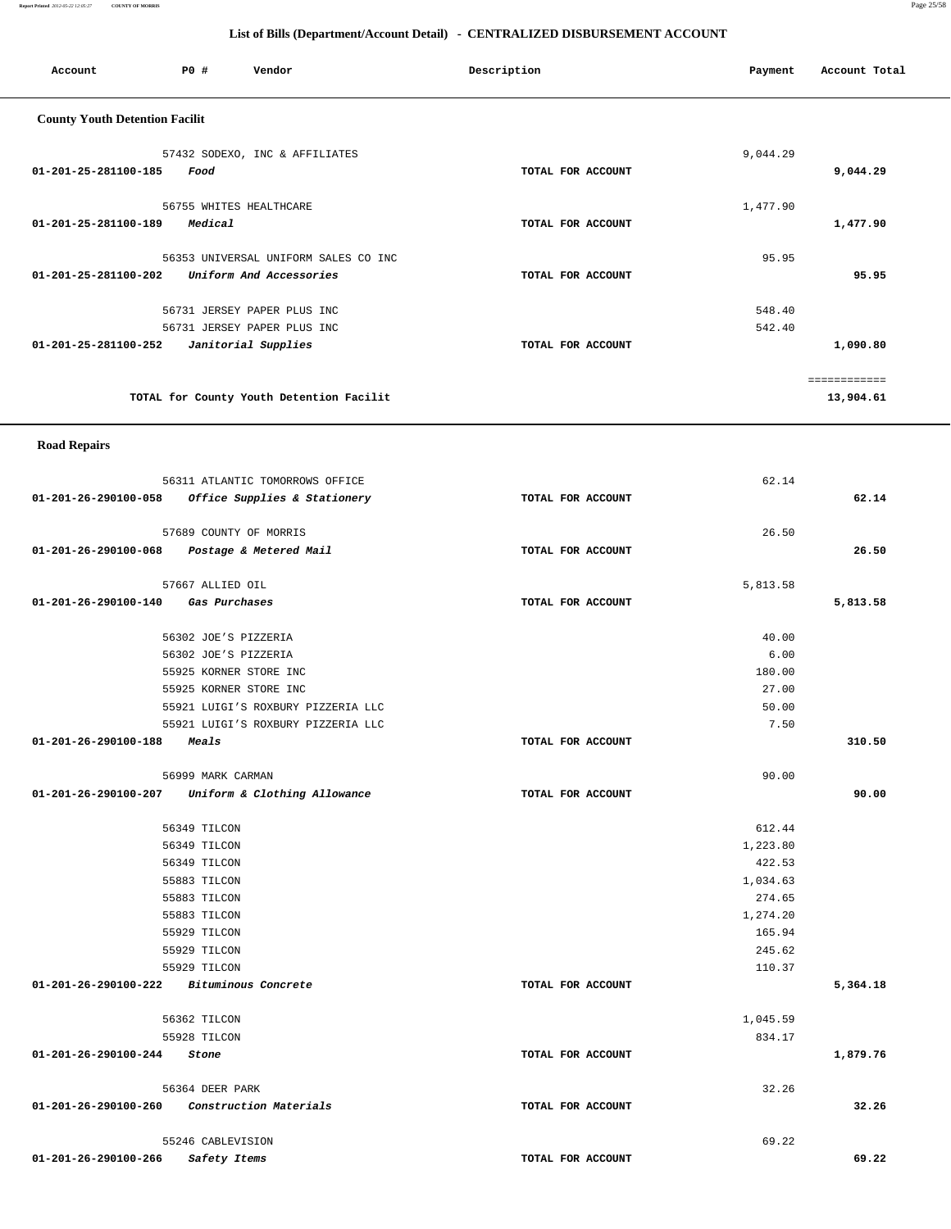**Report Printed** *2012-05-22 12:05:27* **COUNTY OF MORRIS** Page 25/58

| Account                                  | P0 #                         | Vendor                                                          | Description       | Payment            | Account Total |  |  |  |  |
|------------------------------------------|------------------------------|-----------------------------------------------------------------|-------------------|--------------------|---------------|--|--|--|--|
| <b>County Youth Detention Facilit</b>    |                              |                                                                 |                   |                    |               |  |  |  |  |
|                                          |                              | 57432 SODEXO, INC & AFFILIATES                                  |                   | 9,044.29           |               |  |  |  |  |
| 01-201-25-281100-185                     | Food                         |                                                                 | TOTAL FOR ACCOUNT |                    | 9,044.29      |  |  |  |  |
|                                          |                              |                                                                 |                   |                    |               |  |  |  |  |
|                                          |                              | 56755 WHITES HEALTHCARE                                         |                   | 1,477.90           |               |  |  |  |  |
| 01-201-25-281100-189                     | Medical                      |                                                                 | TOTAL FOR ACCOUNT |                    | 1,477.90      |  |  |  |  |
|                                          |                              | 56353 UNIVERSAL UNIFORM SALES CO INC                            |                   | 95.95              |               |  |  |  |  |
| 01-201-25-281100-202                     |                              | Uniform And Accessories                                         | TOTAL FOR ACCOUNT |                    | 95.95         |  |  |  |  |
|                                          |                              |                                                                 |                   |                    |               |  |  |  |  |
|                                          |                              | 56731 JERSEY PAPER PLUS INC<br>56731 JERSEY PAPER PLUS INC      |                   | 548.40<br>542.40   |               |  |  |  |  |
| 01-201-25-281100-252                     |                              | Janitorial Supplies                                             | TOTAL FOR ACCOUNT |                    | 1,090.80      |  |  |  |  |
|                                          |                              |                                                                 |                   |                    |               |  |  |  |  |
|                                          |                              |                                                                 |                   |                    | ============  |  |  |  |  |
|                                          |                              | TOTAL for County Youth Detention Facilit                        |                   |                    | 13,904.61     |  |  |  |  |
| <b>Road Repairs</b>                      |                              |                                                                 |                   |                    |               |  |  |  |  |
|                                          |                              |                                                                 |                   |                    |               |  |  |  |  |
| 01-201-26-290100-058                     |                              | 56311 ATLANTIC TOMORROWS OFFICE<br>Office Supplies & Stationery | TOTAL FOR ACCOUNT | 62.14              | 62.14         |  |  |  |  |
|                                          |                              |                                                                 |                   |                    |               |  |  |  |  |
|                                          |                              | 57689 COUNTY OF MORRIS                                          |                   | 26.50              |               |  |  |  |  |
| 01-201-26-290100-068                     |                              | Postage & Metered Mail                                          | TOTAL FOR ACCOUNT |                    | 26.50         |  |  |  |  |
|                                          | 57667 ALLIED OIL             |                                                                 |                   | 5,813.58           |               |  |  |  |  |
| 01-201-26-290100-140                     |                              | Gas Purchases                                                   | TOTAL FOR ACCOUNT |                    | 5,813.58      |  |  |  |  |
|                                          |                              |                                                                 |                   |                    |               |  |  |  |  |
|                                          |                              | 56302 JOE'S PIZZERIA                                            |                   | 40.00              |               |  |  |  |  |
|                                          |                              | 56302 JOE'S PIZZERIA<br>55925 KORNER STORE INC                  |                   | 6.00<br>180.00     |               |  |  |  |  |
|                                          |                              | 55925 KORNER STORE INC                                          |                   | 27.00              |               |  |  |  |  |
|                                          |                              | 55921 LUIGI'S ROXBURY PIZZERIA LLC                              |                   | 50.00              |               |  |  |  |  |
|                                          |                              | 55921 LUIGI'S ROXBURY PIZZERIA LLC                              |                   | 7.50               |               |  |  |  |  |
| 01-201-26-290100-188                     | Meals                        |                                                                 | TOTAL FOR ACCOUNT |                    | 310.50        |  |  |  |  |
|                                          | 56999 MARK CARMAN            |                                                                 |                   | 90.00              |               |  |  |  |  |
|                                          |                              | 01-201-26-290100-207 Uniform & Clothing Allowance               | TOTAL FOR ACCOUNT |                    | 90.00         |  |  |  |  |
|                                          |                              |                                                                 |                   |                    |               |  |  |  |  |
|                                          | 56349 TILCON<br>56349 TILCON |                                                                 |                   | 612.44<br>1,223.80 |               |  |  |  |  |
|                                          | 56349 TILCON                 |                                                                 |                   | 422.53             |               |  |  |  |  |
|                                          | 55883 TILCON                 |                                                                 |                   | 1,034.63           |               |  |  |  |  |
|                                          | 55883 TILCON                 |                                                                 |                   | 274.65             |               |  |  |  |  |
|                                          | 55883 TILCON                 |                                                                 |                   | 1,274.20           |               |  |  |  |  |
|                                          | 55929 TILCON<br>55929 TILCON |                                                                 |                   | 165.94<br>245.62   |               |  |  |  |  |
|                                          | 55929 TILCON                 |                                                                 |                   | 110.37             |               |  |  |  |  |
| 01-201-26-290100-222 Bituminous Concrete |                              |                                                                 | TOTAL FOR ACCOUNT |                    | 5,364.18      |  |  |  |  |
|                                          | 56362 TILCON                 |                                                                 |                   | 1,045.59           |               |  |  |  |  |
|                                          | 55928 TILCON                 |                                                                 |                   | 834.17             |               |  |  |  |  |
| 01-201-26-290100-244                     | Stone                        |                                                                 | TOTAL FOR ACCOUNT |                    | 1,879.76      |  |  |  |  |
|                                          | 56364 DEER PARK              |                                                                 |                   | 32.26              |               |  |  |  |  |
| 01-201-26-290100-260                     |                              | Construction Materials                                          | TOTAL FOR ACCOUNT |                    | 32.26         |  |  |  |  |
|                                          |                              |                                                                 |                   |                    |               |  |  |  |  |
|                                          | 55246 CABLEVISION            |                                                                 |                   | 69.22              |               |  |  |  |  |
| 01-201-26-290100-266                     | Safety Items                 |                                                                 | TOTAL FOR ACCOUNT |                    | 69.22         |  |  |  |  |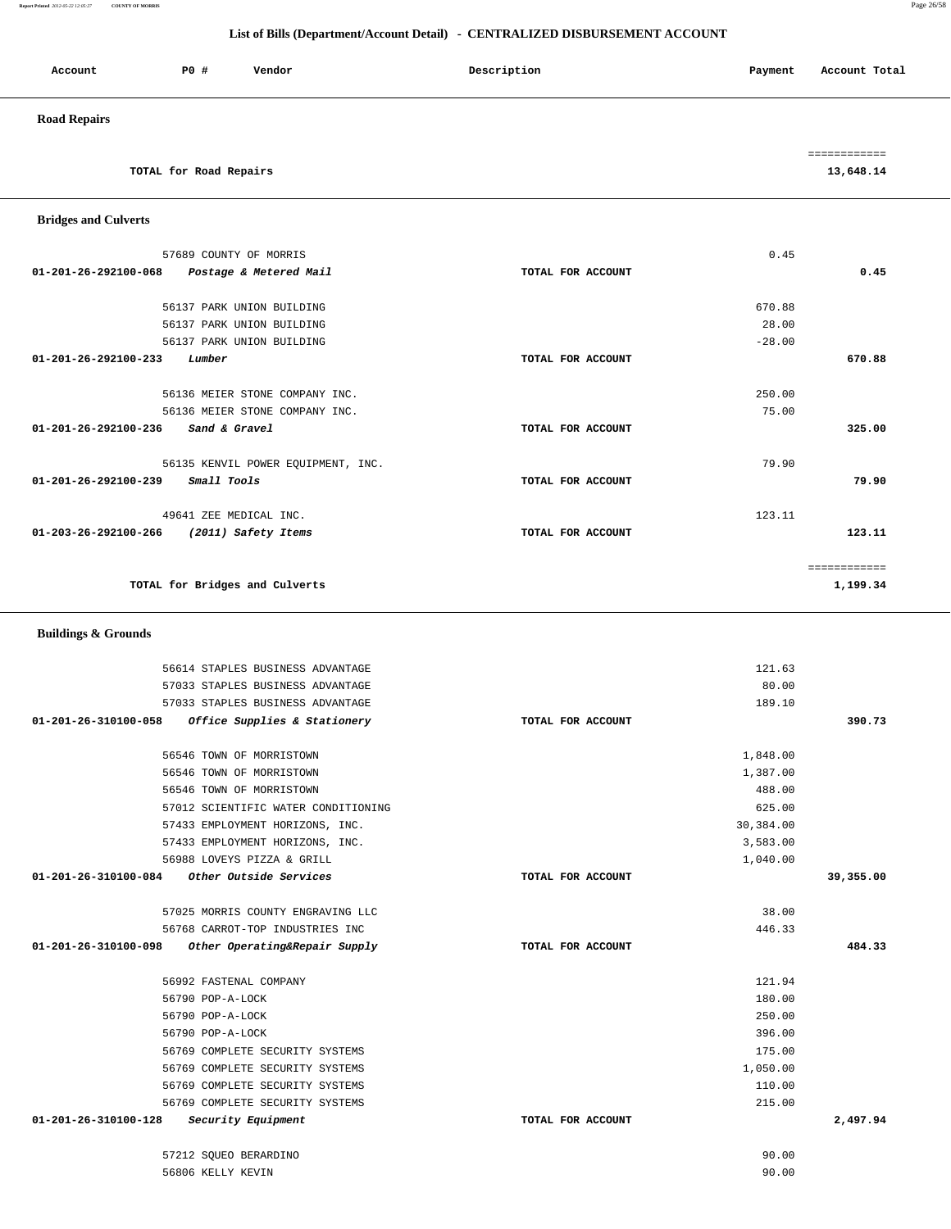| <b>Buildings &amp; Grounds</b> |                                     |                   |           |
|--------------------------------|-------------------------------------|-------------------|-----------|
|                                | 56614 STAPLES BUSINESS ADVANTAGE    | 121.63            |           |
|                                | 57033 STAPLES BUSINESS ADVANTAGE    | 80.00             |           |
|                                | 57033 STAPLES BUSINESS ADVANTAGE    | 189.10            |           |
| 01-201-26-310100-058           | Office Supplies & Stationery        | TOTAL FOR ACCOUNT | 390.73    |
|                                | 56546 TOWN OF MORRISTOWN            | 1,848.00          |           |
|                                | 56546 TOWN OF MORRISTOWN            | 1,387.00          |           |
|                                | 56546 TOWN OF MORRISTOWN            | 488.00            |           |
|                                | 57012 SCIENTIFIC WATER CONDITIONING | 625.00            |           |
|                                | 57433 EMPLOYMENT HORIZONS, INC.     | 30,384.00         |           |
|                                | 57433 EMPLOYMENT HORIZONS, INC.     | 3,583.00          |           |
|                                | 56988 LOVEYS PIZZA & GRILL          | 1,040.00          |           |
| $01 - 201 - 26 - 310100 - 084$ | Other Outside Services              | TOTAL FOR ACCOUNT | 39,355.00 |
|                                | 57025 MORRIS COUNTY ENGRAVING LLC   | 38.00             |           |
|                                | 56768 CARROT-TOP INDUSTRIES INC     | 446.33            |           |
| 01-201-26-310100-098           | Other Operating&Repair Supply       | TOTAL FOR ACCOUNT | 484.33    |
|                                | 56992 FASTENAL COMPANY              | 121.94            |           |
|                                | 56790 POP-A-LOCK                    | 180.00            |           |
|                                | 56790 POP-A-LOCK                    | 250.00            |           |
|                                | 56790 POP-A-LOCK                    | 396.00            |           |
|                                | 56769 COMPLETE SECURITY SYSTEMS     | 175.00            |           |
|                                | 56769 COMPLETE SECURITY SYSTEMS     | 1,050.00          |           |
|                                | 56769 COMPLETE SECURITY SYSTEMS     | 110.00            |           |
|                                | 56769 COMPLETE SECURITY SYSTEMS     | 215.00            |           |
| 01-201-26-310100-128           | Security Equipment                  | TOTAL FOR ACCOUNT | 2,497.94  |
|                                | 57212 SOUEO BERARDINO               | 90.00             |           |
|                                | 56806 KELLY KEVIN                   | 90.00             |           |

| 57689 COUNTY OF MORRIS                                   |                   | 0.45     |          |
|----------------------------------------------------------|-------------------|----------|----------|
| $01 - 201 - 26 - 292100 - 068$<br>Postage & Metered Mail | TOTAL FOR ACCOUNT |          | 0.45     |
|                                                          |                   |          |          |
| 56137 PARK UNION BUILDING                                |                   | 670.88   |          |
| 56137 PARK UNION BUILDING                                |                   | 28.00    |          |
| 56137 PARK UNION BUILDING                                |                   | $-28.00$ |          |
| 01-201-26-292100-233<br>Lumber                           | TOTAL FOR ACCOUNT |          | 670.88   |
| 56136 MEIER STONE COMPANY INC.                           |                   | 250.00   |          |
| 56136 MEIER STONE COMPANY INC.                           |                   | 75.00    |          |
| <i>Sand &amp; Gravel</i><br>01-201-26-292100-236         | TOTAL FOR ACCOUNT |          | 325.00   |
| 56135 KENVIL POWER EQUIPMENT, INC.                       |                   | 79.90    |          |
| Small Tools<br>$01 - 201 - 26 - 292100 - 239$            | TOTAL FOR ACCOUNT |          | 79.90    |
| 49641 ZEE MEDICAL INC.                                   |                   | 123.11   |          |
| 01-203-26-292100-266<br>(2011) Safety Items              | TOTAL FOR ACCOUNT |          | 123.11   |
|                                                          |                   |          |          |
| TOTAL for Bridges and Culverts                           |                   |          | 1,199.34 |

 **Bridges and Culverts** 

# Account **PO #** Vendor **Payment Payment Payment** Payment Payment Payment Account Total  **Road Repairs**  ============ **TOTAL for Road Repairs 13,648.14**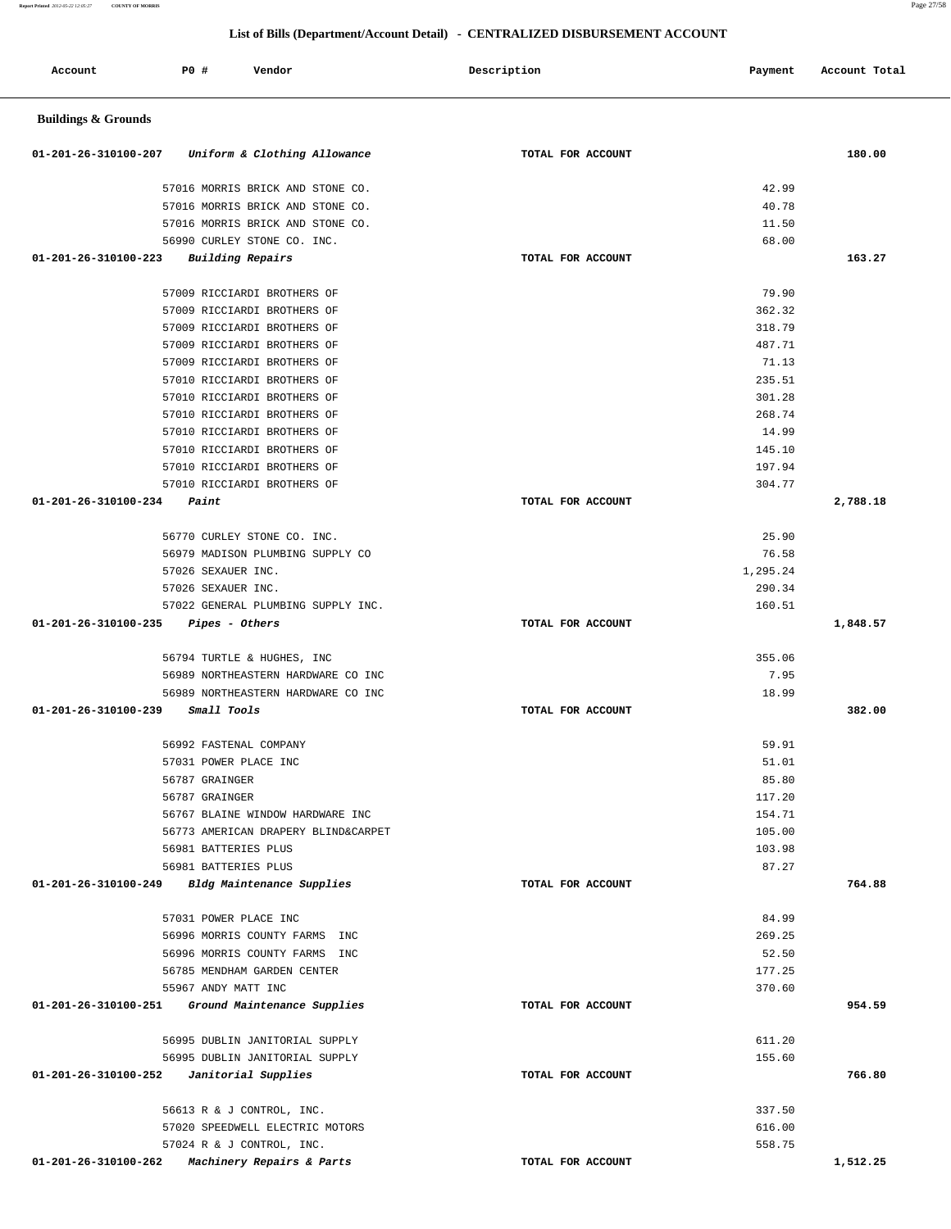**List of Bills (Department/Account Detail) - CENTRALIZED DISBURSEMENT ACCOUNT Account P0 # Vendor Description Payment Account Total Buildings & Grounds 01-201-26-310100-207 Uniform & Clothing Allowance TOTAL FOR ACCOUNT 180.00** 57016 MORRIS BRICK AND STONE CO. 42.99 57016 MORRIS BRICK AND STONE CO. 40.78 57016 MORRIS BRICK AND STONE CO. 11.50 56990 CURLEY STONE CO. INC. 68.00  **01-201-26-310100-223 Building Repairs TOTAL FOR ACCOUNT 163.27** 57009 RICCIARDI BROTHERS OF 79.90 57009 RICCIARDI BROTHERS OF 362.32 57009 RICCIARDI BROTHERS OF 318.79 57009 RICCIARDI BROTHERS OF 487.71 57009 RICCIARDI BROTHERS OF 71.13 57010 RICCIARDI BROTHERS OF 235.51 57010 RICCIARDI BROTHERS OF 301.28 57010 RICCIARDI BROTHERS OF 268.74 57010 RICCIARDI BROTHERS OF 14.99 57010 RICCIARDI BROTHERS OF 145.10 57010 RICCIARDI BROTHERS OF 197.94 57010 RICCIARDI BROTHERS OF 304.77  **01-201-26-310100-234 Paint TOTAL FOR ACCOUNT 2,788.18** 56770 CURLEY STONE CO. INC. 25.90 56979 MADISON PLUMBING SUPPLY CO 76.58 57026 SEXAUER INC. 1,295.24 57026 SEXAUER INC. 290.34 57022 GENERAL PLUMBING SUPPLY INC. 160.51  **01-201-26-310100-235 Pipes - Others TOTAL FOR ACCOUNT 1,848.57** 56794 TURTLE & HUGHES, INC 355.06 56989 NORTHEASTERN HARDWARE CO INC 7.95 56989 NORTHEASTERN HARDWARE CO INC 18.99  **01-201-26-310100-239 Small Tools TOTAL FOR ACCOUNT 382.00** 56992 FASTENAL COMPANY 59.91 57031 POWER PLACE INC 51.01 56787 GRAINGER 85.80 56787 GRAINGER 117.20 56767 BLAINE WINDOW HARDWARE INC 154.71 56773 AMERICAN DRAPERY BLIND&CARPET 105.00 56981 BATTERIES PLUS 103.98 56981 BATTERIES PLUS 87.27  **01-201-26-310100-249 Bldg Maintenance Supplies TOTAL FOR ACCOUNT 764.88** 57031 POWER PLACE INC 84.99 56996 MORRIS COUNTY FARMS INC 269.25 56996 MORRIS COUNTY FARMS INC 52.50 56785 MENDHAM GARDEN CENTER 177.25 55967 ANDY MATT INC 370.60  **01-201-26-310100-251 Ground Maintenance Supplies TOTAL FOR ACCOUNT 954.59** 56995 DUBLIN JANITORIAL SUPPLY 611.20 56995 DUBLIN JANITORIAL SUPPLY 155.60  **01-201-26-310100-252 Janitorial Supplies TOTAL FOR ACCOUNT 766.80** 56613 R & J CONTROL, INC. 337.50 57020 SPEEDWELL ELECTRIC MOTORS 616.00 57024 R & J CONTROL, INC. 558.75

 **01-201-26-310100-262 Machinery Repairs & Parts TOTAL FOR ACCOUNT 1,512.25**

**Report Printed** *2012-05-22 12:05:27* **COUNTY OF MORRIS** Page 27/58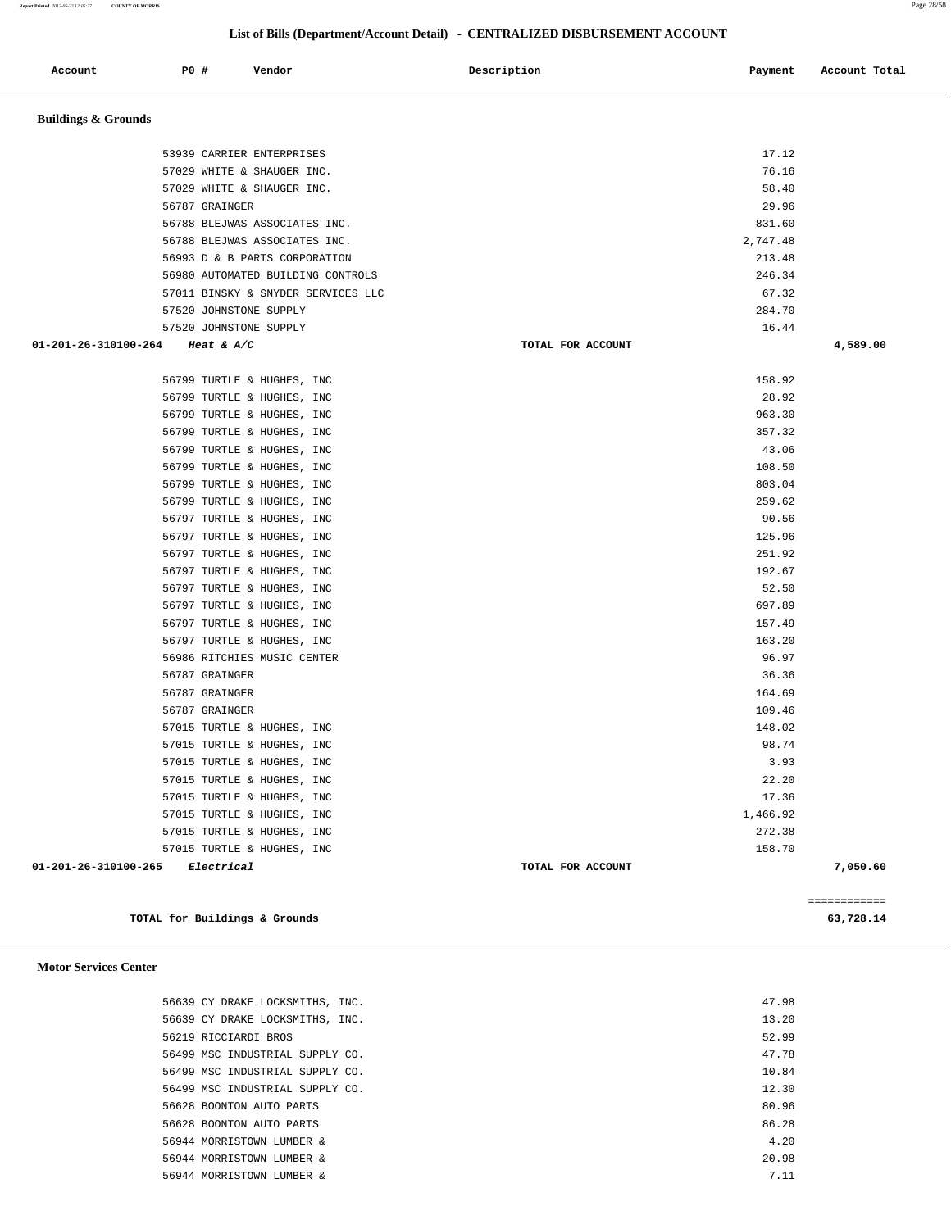**Report Printed** *2012-05-22 12:05:27* **COUNTY OF MORRIS** Page 28/58

 **List of Bills (Department/Account Detail) - CENTRALIZED DISBURSEMENT ACCOUNT**

| Account                                   | P0 # |                | Vendor                             | Description       | Payment  | Account Total |
|-------------------------------------------|------|----------------|------------------------------------|-------------------|----------|---------------|
| <b>Buildings &amp; Grounds</b>            |      |                |                                    |                   |          |               |
|                                           |      |                | 53939 CARRIER ENTERPRISES          |                   | 17.12    |               |
|                                           |      |                | 57029 WHITE & SHAUGER INC.         |                   | 76.16    |               |
|                                           |      |                | 57029 WHITE & SHAUGER INC.         |                   | 58.40    |               |
|                                           |      | 56787 GRAINGER |                                    |                   | 29.96    |               |
|                                           |      |                | 56788 BLEJWAS ASSOCIATES INC.      |                   | 831.60   |               |
|                                           |      |                | 56788 BLEJWAS ASSOCIATES INC.      |                   | 2,747.48 |               |
|                                           |      |                | 56993 D & B PARTS CORPORATION      |                   | 213.48   |               |
|                                           |      |                | 56980 AUTOMATED BUILDING CONTROLS  |                   | 246.34   |               |
|                                           |      |                | 57011 BINSKY & SNYDER SERVICES LLC |                   | 67.32    |               |
|                                           |      |                | 57520 JOHNSTONE SUPPLY             |                   | 284.70   |               |
|                                           |      |                | 57520 JOHNSTONE SUPPLY             |                   | 16.44    |               |
| 01-201-26-310100-264                      |      | Heat & $A/C$   |                                    | TOTAL FOR ACCOUNT |          | 4,589.00      |
|                                           |      |                | 56799 TURTLE & HUGHES, INC         |                   | 158.92   |               |
|                                           |      |                | 56799 TURTLE & HUGHES, INC         |                   | 28.92    |               |
|                                           |      |                | 56799 TURTLE & HUGHES, INC         |                   | 963.30   |               |
|                                           |      |                | 56799 TURTLE & HUGHES, INC         |                   | 357.32   |               |
|                                           |      |                | 56799 TURTLE & HUGHES, INC         |                   | 43.06    |               |
|                                           |      |                | 56799 TURTLE & HUGHES, INC         |                   | 108.50   |               |
|                                           |      |                | 56799 TURTLE & HUGHES, INC         |                   | 803.04   |               |
|                                           |      |                | 56799 TURTLE & HUGHES, INC         |                   | 259.62   |               |
|                                           |      |                | 56797 TURTLE & HUGHES, INC         |                   | 90.56    |               |
|                                           |      |                | 56797 TURTLE & HUGHES, INC         |                   | 125.96   |               |
|                                           |      |                | 56797 TURTLE & HUGHES, INC         |                   | 251.92   |               |
|                                           |      |                | 56797 TURTLE & HUGHES, INC         |                   | 192.67   |               |
|                                           |      |                | 56797 TURTLE & HUGHES, INC         |                   | 52.50    |               |
|                                           |      |                | 56797 TURTLE & HUGHES, INC         |                   | 697.89   |               |
|                                           |      |                | 56797 TURTLE & HUGHES, INC         |                   | 157.49   |               |
|                                           |      |                | 56797 TURTLE & HUGHES, INC         |                   | 163.20   |               |
|                                           |      |                | 56986 RITCHIES MUSIC CENTER        |                   | 96.97    |               |
|                                           |      | 56787 GRAINGER |                                    |                   | 36.36    |               |
|                                           |      | 56787 GRAINGER |                                    |                   | 164.69   |               |
|                                           |      | 56787 GRAINGER |                                    |                   | 109.46   |               |
|                                           |      |                | 57015 TURTLE & HUGHES, INC         |                   | 148.02   |               |
|                                           |      |                | 57015 TURTLE & HUGHES, INC         |                   | 98.74    |               |
|                                           |      |                | 57015 TURTLE & HUGHES, INC         |                   | 3.93     |               |
|                                           |      |                | 57015 TURTLE & HUGHES, INC         |                   | 22.20    |               |
|                                           |      |                | 57015 TURTLE & HUGHES, INC         |                   | 17.36    |               |
|                                           |      |                | 57015 TURTLE & HUGHES, INC         |                   | 1,466.92 |               |
|                                           |      |                | 57015 TURTLE & HUGHES, INC         |                   | 272.38   |               |
|                                           |      |                | 57015 TURTLE & HUGHES, INC         |                   | 158.70   |               |
| $01 - 201 - 26 - 310100 - 265$ Electrical |      |                |                                    | TOTAL FOR ACCOUNT |          | 7,050.60      |
|                                           |      |                |                                    |                   |          | ============  |

**TOTAL for Buildings & Grounds 63,728.14**

 **Motor Services Center** 

 56639 CY DRAKE LOCKSMITHS, INC. 47.98 56639 CY DRAKE LOCKSMITHS, INC. 13.20 56219 RICCIARDI BROS 52.99 56499 MSC INDUSTRIAL SUPPLY CO. 47.78 56499 MSC INDUSTRIAL SUPPLY CO. 10.84 56499 MSC INDUSTRIAL SUPPLY CO. 12.30 56628 BOONTON AUTO PARTS 80.96 56628 BOONTON AUTO PARTS 86.28 56944 MORRISTOWN LUMBER & 4.20 56944 MORRISTOWN LUMBER & 20.98 56944 MORRISTOWN LUMBER & 7.11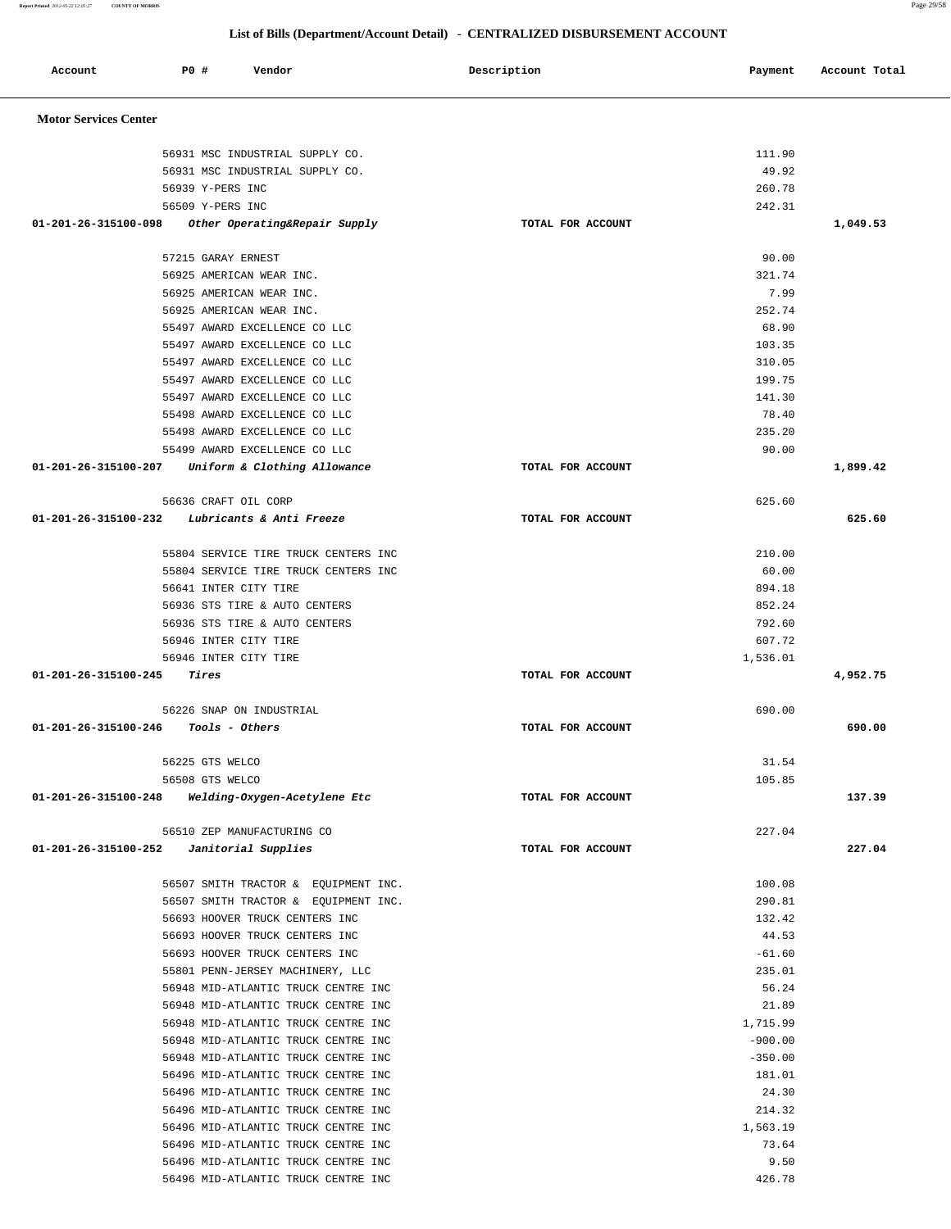| Account                      | <b>PO #</b><br>Vendor                                                      | Description       | Payment           | Account Total |
|------------------------------|----------------------------------------------------------------------------|-------------------|-------------------|---------------|
| <b>Motor Services Center</b> |                                                                            |                   |                   |               |
|                              | 56931 MSC INDUSTRIAL SUPPLY CO.                                            |                   | 111.90            |               |
|                              | 56931 MSC INDUSTRIAL SUPPLY CO.                                            |                   | 49.92             |               |
|                              | 56939 Y-PERS INC                                                           |                   | 260.78            |               |
|                              | 56509 Y-PERS INC                                                           |                   | 242.31            |               |
| 01-201-26-315100-098         | Other Operating&Repair Supply                                              | TOTAL FOR ACCOUNT |                   | 1,049.53      |
|                              | 57215 GARAY ERNEST                                                         |                   | 90.00             |               |
|                              | 56925 AMERICAN WEAR INC.                                                   |                   | 321.74            |               |
|                              | 56925 AMERICAN WEAR INC.                                                   |                   | 7.99              |               |
|                              | 56925 AMERICAN WEAR INC.                                                   |                   | 252.74            |               |
|                              | 55497 AWARD EXCELLENCE CO LLC                                              |                   | 68.90             |               |
|                              | 55497 AWARD EXCELLENCE CO LLC                                              |                   | 103.35            |               |
|                              | 55497 AWARD EXCELLENCE CO LLC                                              |                   | 310.05            |               |
|                              | 55497 AWARD EXCELLENCE CO LLC                                              |                   | 199.75            |               |
|                              | 55497 AWARD EXCELLENCE CO LLC                                              |                   | 141.30            |               |
|                              | 55498 AWARD EXCELLENCE CO LLC                                              |                   | 78.40             |               |
|                              | 55498 AWARD EXCELLENCE CO LLC                                              |                   | 235.20            |               |
|                              | 55499 AWARD EXCELLENCE CO LLC                                              |                   | 90.00             |               |
| 01-201-26-315100-207         | Uniform & Clothing Allowance                                               | TOTAL FOR ACCOUNT |                   | 1,899.42      |
|                              | 56636 CRAFT OIL CORP                                                       |                   | 625.60            |               |
| 01-201-26-315100-232         | Lubricants & Anti Freeze                                                   | TOTAL FOR ACCOUNT |                   | 625.60        |
|                              | 55804 SERVICE TIRE TRUCK CENTERS INC                                       |                   | 210.00            |               |
|                              | 55804 SERVICE TIRE TRUCK CENTERS INC                                       |                   | 60.00             |               |
|                              | 56641 INTER CITY TIRE                                                      |                   | 894.18            |               |
|                              | 56936 STS TIRE & AUTO CENTERS                                              |                   | 852.24            |               |
|                              | 56936 STS TIRE & AUTO CENTERS                                              |                   | 792.60            |               |
|                              | 56946 INTER CITY TIRE                                                      |                   | 607.72            |               |
|                              | 56946 INTER CITY TIRE                                                      |                   | 1,536.01          |               |
| 01-201-26-315100-245         | Tires                                                                      | TOTAL FOR ACCOUNT |                   | 4,952.75      |
|                              | 56226 SNAP ON INDUSTRIAL                                                   |                   | 690.00            |               |
| 01-201-26-315100-246         | Tools - Others                                                             | TOTAL FOR ACCOUNT |                   | 690.00        |
|                              | 56225 GTS WELCO                                                            |                   | 31.54             |               |
|                              | 56508 GTS WELCO                                                            |                   | 105.85            |               |
| 01-201-26-315100-248         | Welding-Oxygen-Acetylene Etc                                               | TOTAL FOR ACCOUNT |                   | 137.39        |
|                              | 56510 ZEP MANUFACTURING CO                                                 |                   | 227.04            |               |
| 01-201-26-315100-252         | Janitorial Supplies                                                        | TOTAL FOR ACCOUNT |                   | 227.04        |
|                              | 56507 SMITH TRACTOR & EQUIPMENT INC.                                       |                   | 100.08            |               |
|                              | 56507 SMITH TRACTOR & EQUIPMENT INC.                                       |                   | 290.81            |               |
|                              | 56693 HOOVER TRUCK CENTERS INC                                             |                   | 132.42            |               |
|                              | 56693 HOOVER TRUCK CENTERS INC                                             |                   | 44.53             |               |
|                              | 56693 HOOVER TRUCK CENTERS INC                                             |                   | $-61.60$          |               |
|                              | 55801 PENN-JERSEY MACHINERY, LLC                                           |                   | 235.01            |               |
|                              | 56948 MID-ATLANTIC TRUCK CENTRE INC                                        |                   | 56.24             |               |
|                              | 56948 MID-ATLANTIC TRUCK CENTRE INC<br>56948 MID-ATLANTIC TRUCK CENTRE INC |                   | 21.89<br>1,715.99 |               |
|                              | 56948 MID-ATLANTIC TRUCK CENTRE INC                                        |                   | $-900.00$         |               |
|                              | 56948 MID-ATLANTIC TRUCK CENTRE INC                                        |                   | $-350.00$         |               |
|                              | 56496 MID-ATLANTIC TRUCK CENTRE INC                                        |                   | 181.01            |               |
|                              | 56496 MID-ATLANTIC TRUCK CENTRE INC                                        |                   | 24.30             |               |
|                              | 56496 MID-ATLANTIC TRUCK CENTRE INC                                        |                   | 214.32            |               |
|                              | 56496 MID-ATLANTIC TRUCK CENTRE INC                                        |                   | 1,563.19          |               |
|                              | 56496 MID-ATLANTIC TRUCK CENTRE INC                                        |                   | 73.64             |               |
|                              | 56496 MID-ATLANTIC TRUCK CENTRE INC                                        |                   | 9.50              |               |
|                              | 56496 MID-ATLANTIC TRUCK CENTRE INC                                        |                   | 426.78            |               |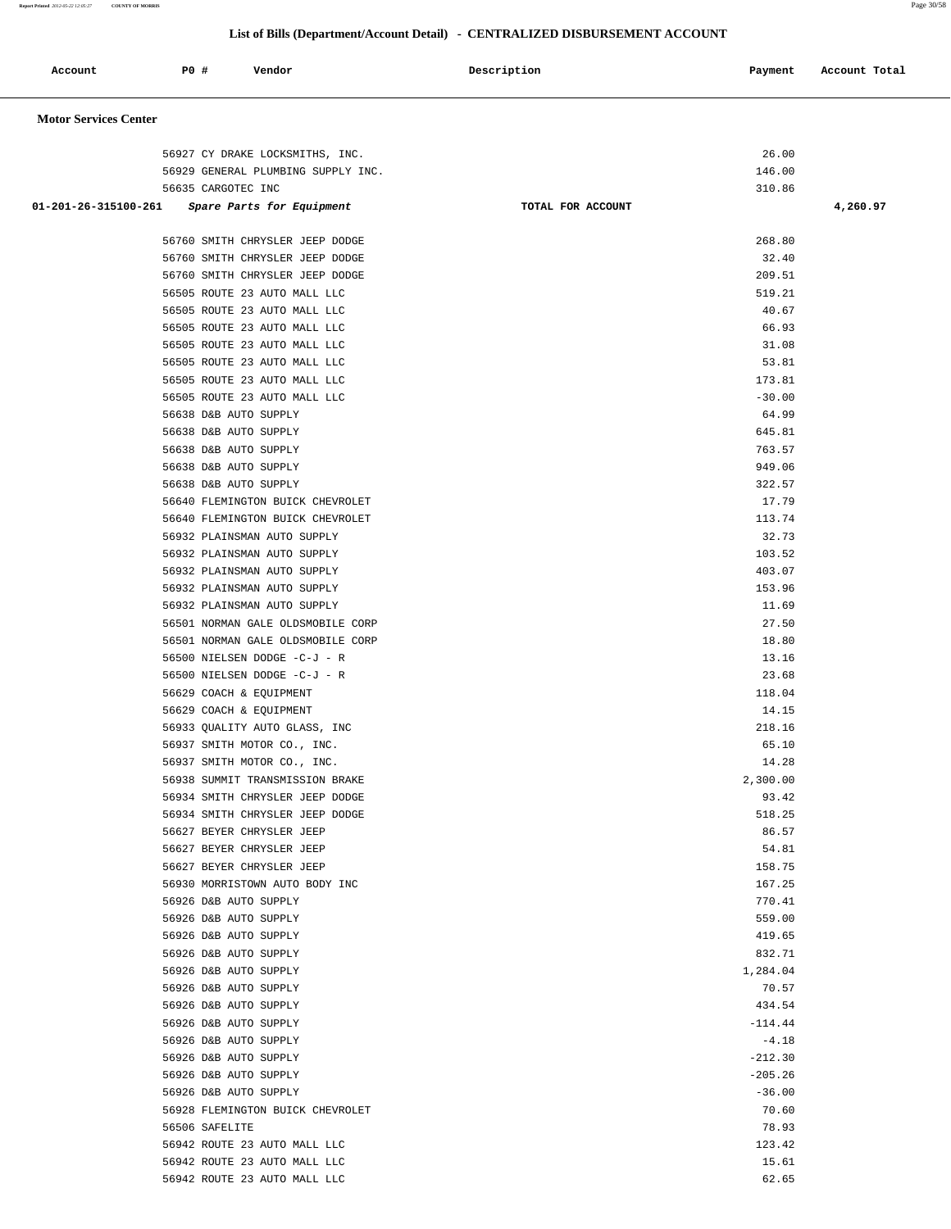**Report Printed** *2012-05-22 12:05:27* **COUNTY OF MORRIS** Page 30/58

| Account                      | <b>PO #</b>                                    | Vendor                                                             | Description       | Payment               | Account Total |
|------------------------------|------------------------------------------------|--------------------------------------------------------------------|-------------------|-----------------------|---------------|
| <b>Motor Services Center</b> |                                                |                                                                    |                   |                       |               |
|                              |                                                | 56927 CY DRAKE LOCKSMITHS, INC.                                    |                   | 26.00                 |               |
|                              |                                                | 56929 GENERAL PLUMBING SUPPLY INC.                                 |                   | 146.00                |               |
|                              | 56635 CARGOTEC INC                             |                                                                    |                   | 310.86                |               |
| 01-201-26-315100-261         |                                                | Spare Parts for Equipment                                          | TOTAL FOR ACCOUNT |                       | 4,260.97      |
|                              |                                                |                                                                    |                   |                       |               |
|                              |                                                | 56760 SMITH CHRYSLER JEEP DODGE                                    |                   | 268.80                |               |
|                              |                                                | 56760 SMITH CHRYSLER JEEP DODGE<br>56760 SMITH CHRYSLER JEEP DODGE |                   | 32.40<br>209.51       |               |
|                              |                                                | 56505 ROUTE 23 AUTO MALL LLC                                       |                   | 519.21                |               |
|                              |                                                | 56505 ROUTE 23 AUTO MALL LLC                                       |                   | 40.67                 |               |
|                              |                                                | 56505 ROUTE 23 AUTO MALL LLC                                       |                   | 66.93                 |               |
|                              |                                                | 56505 ROUTE 23 AUTO MALL LLC                                       |                   | 31.08                 |               |
|                              |                                                | 56505 ROUTE 23 AUTO MALL LLC                                       |                   | 53.81                 |               |
|                              |                                                | 56505 ROUTE 23 AUTO MALL LLC                                       |                   | 173.81                |               |
|                              |                                                | 56505 ROUTE 23 AUTO MALL LLC                                       |                   | $-30.00$              |               |
|                              | 56638 D&B AUTO SUPPLY                          |                                                                    |                   | 64.99                 |               |
|                              | 56638 D&B AUTO SUPPLY<br>56638 D&B AUTO SUPPLY |                                                                    |                   | 645.81<br>763.57      |               |
|                              | 56638 D&B AUTO SUPPLY                          |                                                                    |                   | 949.06                |               |
|                              | 56638 D&B AUTO SUPPLY                          |                                                                    |                   | 322.57                |               |
|                              |                                                | 56640 FLEMINGTON BUICK CHEVROLET                                   |                   | 17.79                 |               |
|                              |                                                | 56640 FLEMINGTON BUICK CHEVROLET                                   |                   | 113.74                |               |
|                              |                                                | 56932 PLAINSMAN AUTO SUPPLY                                        |                   | 32.73                 |               |
|                              |                                                | 56932 PLAINSMAN AUTO SUPPLY                                        |                   | 103.52                |               |
|                              |                                                | 56932 PLAINSMAN AUTO SUPPLY                                        |                   | 403.07                |               |
|                              |                                                | 56932 PLAINSMAN AUTO SUPPLY                                        |                   | 153.96                |               |
|                              |                                                | 56932 PLAINSMAN AUTO SUPPLY<br>56501 NORMAN GALE OLDSMOBILE CORP   |                   | 11.69<br>27.50        |               |
|                              |                                                | 56501 NORMAN GALE OLDSMOBILE CORP                                  |                   | 18.80                 |               |
|                              |                                                | 56500 NIELSEN DODGE -C-J - R                                       |                   | 13.16                 |               |
|                              |                                                | 56500 NIELSEN DODGE -C-J - R                                       |                   | 23.68                 |               |
|                              | 56629 COACH & EQUIPMENT                        |                                                                    |                   | 118.04                |               |
|                              | 56629 COACH & EQUIPMENT                        |                                                                    |                   | 14.15                 |               |
|                              |                                                | 56933 QUALITY AUTO GLASS, INC                                      |                   | 218.16                |               |
|                              |                                                | 56937 SMITH MOTOR CO., INC.                                        |                   | 65.10                 |               |
|                              |                                                | 56937 SMITH MOTOR CO., INC.<br>56938 SUMMIT TRANSMISSION BRAKE     |                   | 14.28<br>2,300.00     |               |
|                              |                                                | 56934 SMITH CHRYSLER JEEP DODGE                                    |                   | 93.42                 |               |
|                              |                                                | 56934 SMITH CHRYSLER JEEP DODGE                                    |                   | 518.25                |               |
|                              | 56627 BEYER CHRYSLER JEEP                      |                                                                    |                   | 86.57                 |               |
|                              | 56627 BEYER CHRYSLER JEEP                      |                                                                    |                   | 54.81                 |               |
|                              | 56627 BEYER CHRYSLER JEEP                      |                                                                    |                   | 158.75                |               |
|                              |                                                | 56930 MORRISTOWN AUTO BODY INC                                     |                   | 167.25                |               |
|                              | 56926 D&B AUTO SUPPLY                          |                                                                    |                   | 770.41                |               |
|                              | 56926 D&B AUTO SUPPLY<br>56926 D&B AUTO SUPPLY |                                                                    |                   | 559.00<br>419.65      |               |
|                              | 56926 D&B AUTO SUPPLY                          |                                                                    |                   | 832.71                |               |
|                              | 56926 D&B AUTO SUPPLY                          |                                                                    |                   | 1,284.04              |               |
|                              | 56926 D&B AUTO SUPPLY                          |                                                                    |                   | 70.57                 |               |
|                              | 56926 D&B AUTO SUPPLY                          |                                                                    |                   | 434.54                |               |
|                              | 56926 D&B AUTO SUPPLY                          |                                                                    |                   | $-114.44$             |               |
|                              | 56926 D&B AUTO SUPPLY                          |                                                                    |                   | $-4.18$               |               |
|                              | 56926 D&B AUTO SUPPLY                          |                                                                    |                   | $-212.30$             |               |
|                              | 56926 D&B AUTO SUPPLY<br>56926 D&B AUTO SUPPLY |                                                                    |                   | $-205.26$<br>$-36.00$ |               |
|                              |                                                | 56928 FLEMINGTON BUICK CHEVROLET                                   |                   | 70.60                 |               |
|                              | 56506 SAFELITE                                 |                                                                    |                   | 78.93                 |               |
|                              |                                                | 56942 ROUTE 23 AUTO MALL LLC                                       |                   | 123.42                |               |
|                              |                                                | 56942 ROUTE 23 AUTO MALL LLC                                       |                   | 15.61                 |               |
|                              |                                                | 56942 ROUTE 23 AUTO MALL LLC                                       |                   | 62.65                 |               |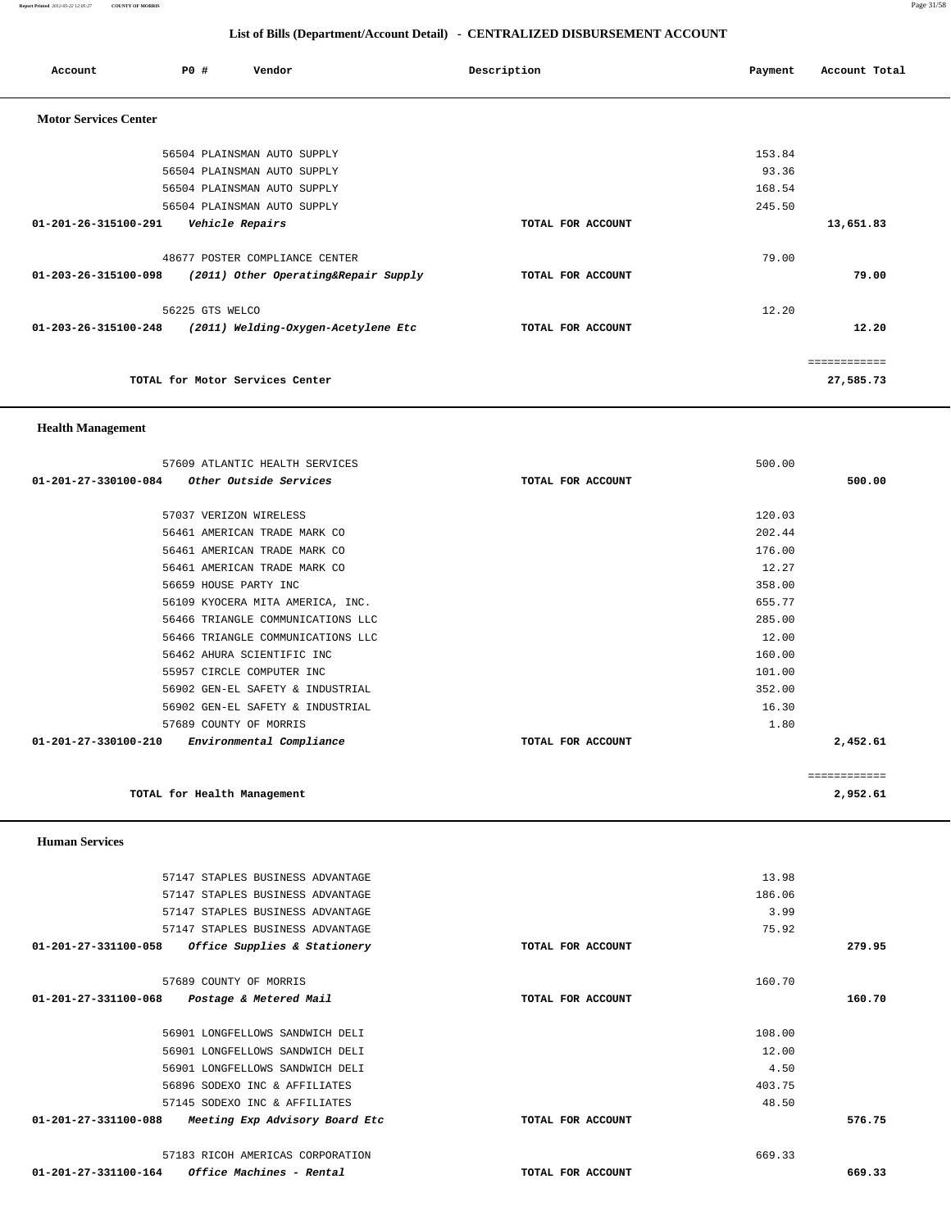**Report Printed** *2012-05-22 12:05:27* **COUNTY OF MORRIS** Page 31/58

## **List of Bills (Department/Account Detail) - CENTRALIZED DISBURSEMENT ACCOUNT**

| Account                      | PO#             | Vendor                               | Description       | Payment | Account Total |
|------------------------------|-----------------|--------------------------------------|-------------------|---------|---------------|
| <b>Motor Services Center</b> |                 |                                      |                   |         |               |
|                              |                 | 56504 PLAINSMAN AUTO SUPPLY          |                   | 153.84  |               |
|                              |                 | 56504 PLAINSMAN AUTO SUPPLY          |                   | 93.36   |               |
|                              |                 | 56504 PLAINSMAN AUTO SUPPLY          |                   | 168.54  |               |
|                              |                 | 56504 PLAINSMAN AUTO SUPPLY          |                   | 245.50  |               |
| 01-201-26-315100-291         |                 | Vehicle Repairs                      | TOTAL FOR ACCOUNT |         | 13,651.83     |
|                              |                 | 48677 POSTER COMPLIANCE CENTER       |                   | 79.00   |               |
| 01-203-26-315100-098         |                 | (2011) Other Operating&Repair Supply | TOTAL FOR ACCOUNT |         | 79.00         |
|                              | 56225 GTS WELCO |                                      |                   | 12.20   |               |
| 01-203-26-315100-248         |                 | (2011) Welding-Oxygen-Acetylene Etc  | TOTAL FOR ACCOUNT |         | 12.20         |
|                              |                 |                                      |                   |         | ============  |
|                              |                 | TOTAL for Motor Services Center      |                   |         | 27,585.73     |

### **Health Management**

 **Human Services** 

|                      | 57609 ATLANTIC HEALTH SERVICES    |                   | 500.00 |              |
|----------------------|-----------------------------------|-------------------|--------|--------------|
| 01-201-27-330100-084 | Other Outside Services            | TOTAL FOR ACCOUNT |        | 500.00       |
|                      | 57037 VERIZON WIRELESS            |                   | 120.03 |              |
|                      | 56461 AMERICAN TRADE MARK CO      |                   | 202.44 |              |
|                      | 56461 AMERICAN TRADE MARK CO      |                   | 176.00 |              |
|                      | 56461 AMERICAN TRADE MARK CO      |                   | 12.27  |              |
|                      | 56659 HOUSE PARTY INC             |                   | 358.00 |              |
|                      | 56109 KYOCERA MITA AMERICA, INC.  |                   | 655.77 |              |
|                      | 56466 TRIANGLE COMMUNICATIONS LLC |                   | 285.00 |              |
|                      | 56466 TRIANGLE COMMUNICATIONS LLC |                   | 12.00  |              |
|                      | 56462 AHURA SCIENTIFIC INC        |                   | 160.00 |              |
|                      | 55957 CIRCLE COMPUTER INC         |                   | 101.00 |              |
|                      | 56902 GEN-EL SAFETY & INDUSTRIAL  |                   | 352.00 |              |
|                      | 56902 GEN-EL SAFETY & INDUSTRIAL  |                   | 16.30  |              |
|                      | 57689 COUNTY OF MORRIS            |                   | 1.80   |              |
| 01-201-27-330100-210 | Environmental Compliance          | TOTAL FOR ACCOUNT |        | 2,452.61     |
|                      |                                   |                   |        |              |
|                      |                                   |                   |        | ============ |

|                 | TOTAL for Health Management      |                   |        | 2,952.61    |
|-----------------|----------------------------------|-------------------|--------|-------------|
|                 |                                  |                   |        | ----------- |
| 1-27-330100-210 | Environmental Compliance         | TOTAL FOR ACCOUNT |        | 2,452.61    |
|                 | 57689 COUNTY OF MORRIS           |                   | 1.80   |             |
|                 | 56902 GEN-EL SAFETY & INDUSTRIAL |                   | 16.30  |             |
|                 | 56902 GEN-EL SAFETY & INDUSTRIAL |                   | 352.00 |             |
|                 | 55957 CIRCLE COMPUTER INC        |                   | 101.00 |             |

| 57147 STAPLES BUSINESS ADVANTAGE                       |                   | 13.98  |        |
|--------------------------------------------------------|-------------------|--------|--------|
| 57147 STAPLES BUSINESS ADVANTAGE                       |                   | 186.06 |        |
| 57147 STAPLES BUSINESS ADVANTAGE                       |                   | 3.99   |        |
| 57147 STAPLES BUSINESS ADVANTAGE                       |                   | 75.92  |        |
| 01-201-27-331100-058<br>Office Supplies & Stationery   | TOTAL FOR ACCOUNT |        | 279.95 |
| 57689 COUNTY OF MORRIS                                 |                   | 160.70 |        |
| 01-201-27-331100-068<br>Postage & Metered Mail         | TOTAL FOR ACCOUNT |        | 160.70 |
| 56901 LONGFELLOWS SANDWICH DELI                        |                   | 108.00 |        |
| 56901 LONGFELLOWS SANDWICH DELI                        |                   | 12.00  |        |
| 56901 LONGFELLOWS SANDWICH DELI                        |                   | 4.50   |        |
| 56896 SODEXO INC & AFFILIATES                          |                   | 403.75 |        |
| 57145 SODEXO INC & AFFILIATES                          |                   | 48.50  |        |
| Meeting Exp Advisory Board Etc<br>01-201-27-331100-088 | TOTAL FOR ACCOUNT |        | 576.75 |
|                                                        |                   |        |        |

 57183 RICOH AMERICAS CORPORATION 669.33  **01-201-27-331100-164 Office Machines - Rental TOTAL FOR ACCOUNT 669.33**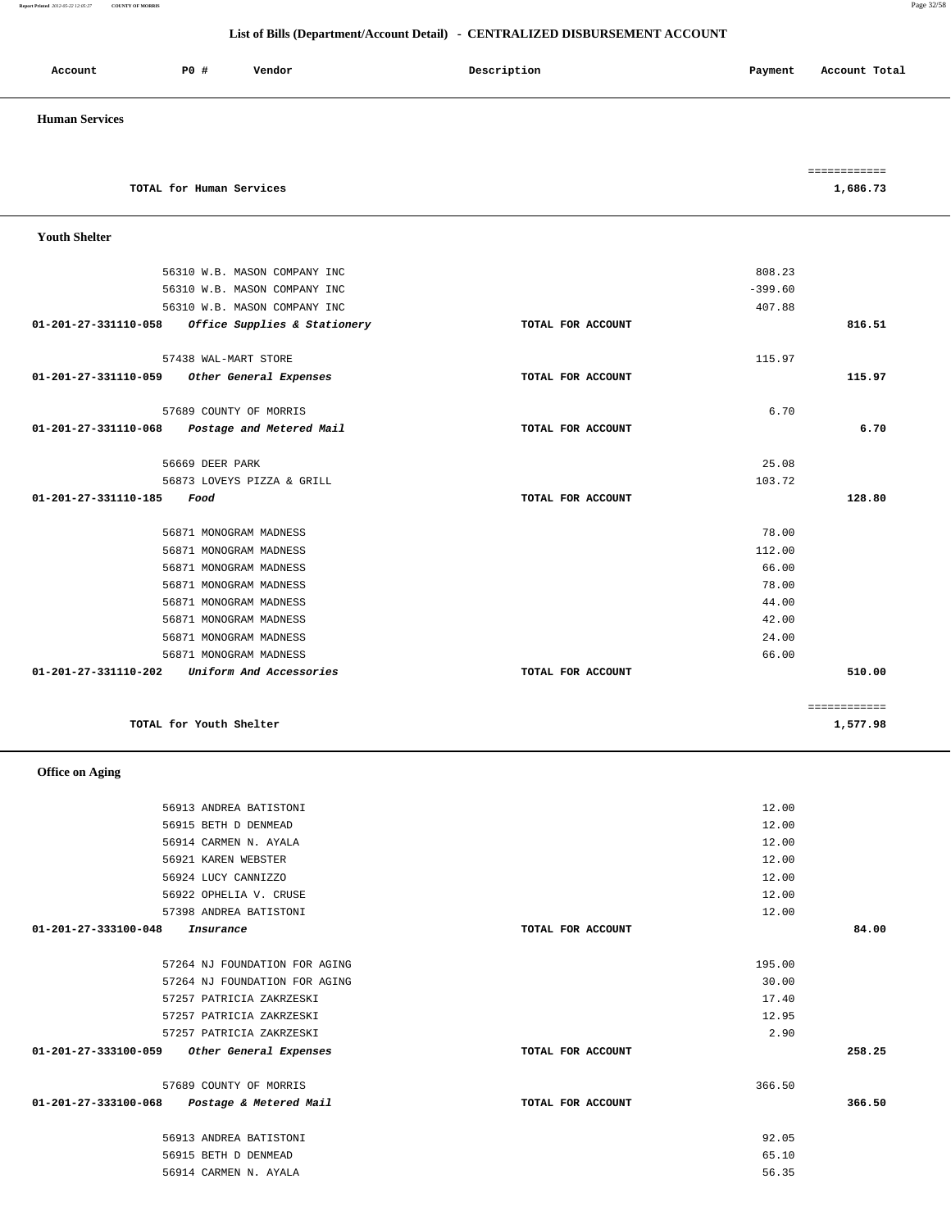### **List of Bills (Department/Account Detail) - CENTRALIZED DISBURSEMENT ACCOUNT**

| Account               | P0 # | Vendor | Description | Account Total<br>Payment |
|-----------------------|------|--------|-------------|--------------------------|
| <b>Human Services</b> |      |        |             |                          |

|                          | ____________<br>------------ |
|--------------------------|------------------------------|
| TOTAL for Human Services | .,686.73                     |

| <b>Youth Shelter</b> |                              |                   |           |              |
|----------------------|------------------------------|-------------------|-----------|--------------|
|                      | 56310 W.B. MASON COMPANY INC |                   | 808.23    |              |
|                      | 56310 W.B. MASON COMPANY INC |                   | $-399.60$ |              |
|                      | 56310 W.B. MASON COMPANY INC |                   | 407.88    |              |
| 01-201-27-331110-058 | Office Supplies & Stationery | TOTAL FOR ACCOUNT |           | 816.51       |
|                      | 57438 WAL-MART STORE         |                   | 115.97    |              |
| 01-201-27-331110-059 | Other General Expenses       | TOTAL FOR ACCOUNT |           | 115.97       |
|                      | 57689 COUNTY OF MORRIS       |                   | 6.70      |              |
| 01-201-27-331110-068 | Postage and Metered Mail     | TOTAL FOR ACCOUNT |           | 6.70         |
|                      | 56669 DEER PARK              |                   | 25.08     |              |
|                      | 56873 LOVEYS PIZZA & GRILL   |                   | 103.72    |              |
| 01-201-27-331110-185 | Food                         | TOTAL FOR ACCOUNT |           | 128.80       |
|                      | 56871 MONOGRAM MADNESS       |                   | 78.00     |              |
|                      | 56871 MONOGRAM MADNESS       |                   | 112.00    |              |
|                      | 56871 MONOGRAM MADNESS       |                   | 66.00     |              |
|                      | 56871 MONOGRAM MADNESS       |                   | 78.00     |              |
|                      | 56871 MONOGRAM MADNESS       |                   | 44.00     |              |
|                      | 56871 MONOGRAM MADNESS       |                   | 42.00     |              |
|                      | 56871 MONOGRAM MADNESS       |                   | 24.00     |              |
|                      | 56871 MONOGRAM MADNESS       |                   | 66.00     |              |
| 01-201-27-331110-202 | Uniform And Accessories      | TOTAL FOR ACCOUNT |           | 510.00       |
|                      |                              |                   |           | ============ |
|                      | TOTAL for Youth Shelter      |                   |           | 1,577.98     |

 **Office on Aging** 

 56913 ANDREA BATISTONI 12.00 56915 BETH D DENMEAD 12.00 56914 CARMEN N. AYALA 12.00 56921 KAREN WEBSTER 12.00 56924 LUCY CANNIZZO 12.00 56922 OPHELIA V. CRUSE 12.00 57398 ANDREA BATISTONI 12.00  **01-201-27-333100-048 Insurance TOTAL FOR ACCOUNT 84.00** 57264 NJ FOUNDATION FOR AGING 195.00 57264 NJ FOUNDATION FOR AGING 30.00 57257 PATRICIA ZAKRZESKI 17.40 57257 PATRICIA ZAKRZESKI 12.95 57257 PATRICIA ZAKRZESKI 2.90  **01-201-27-333100-059 Other General Expenses TOTAL FOR ACCOUNT 258.25** 57689 COUNTY OF MORRIS 366.50  **01-201-27-333100-068 Postage & Metered Mail TOTAL FOR ACCOUNT 366.50** 56913 ANDREA BATISTONI 92.05 56915 BETH D DENMEAD 65.10

56914 CARMEN N. AYALA 56.35

**Report Printed** *2012-05-22 12:05:27* **COUNTY OF MORRIS** Page 32/58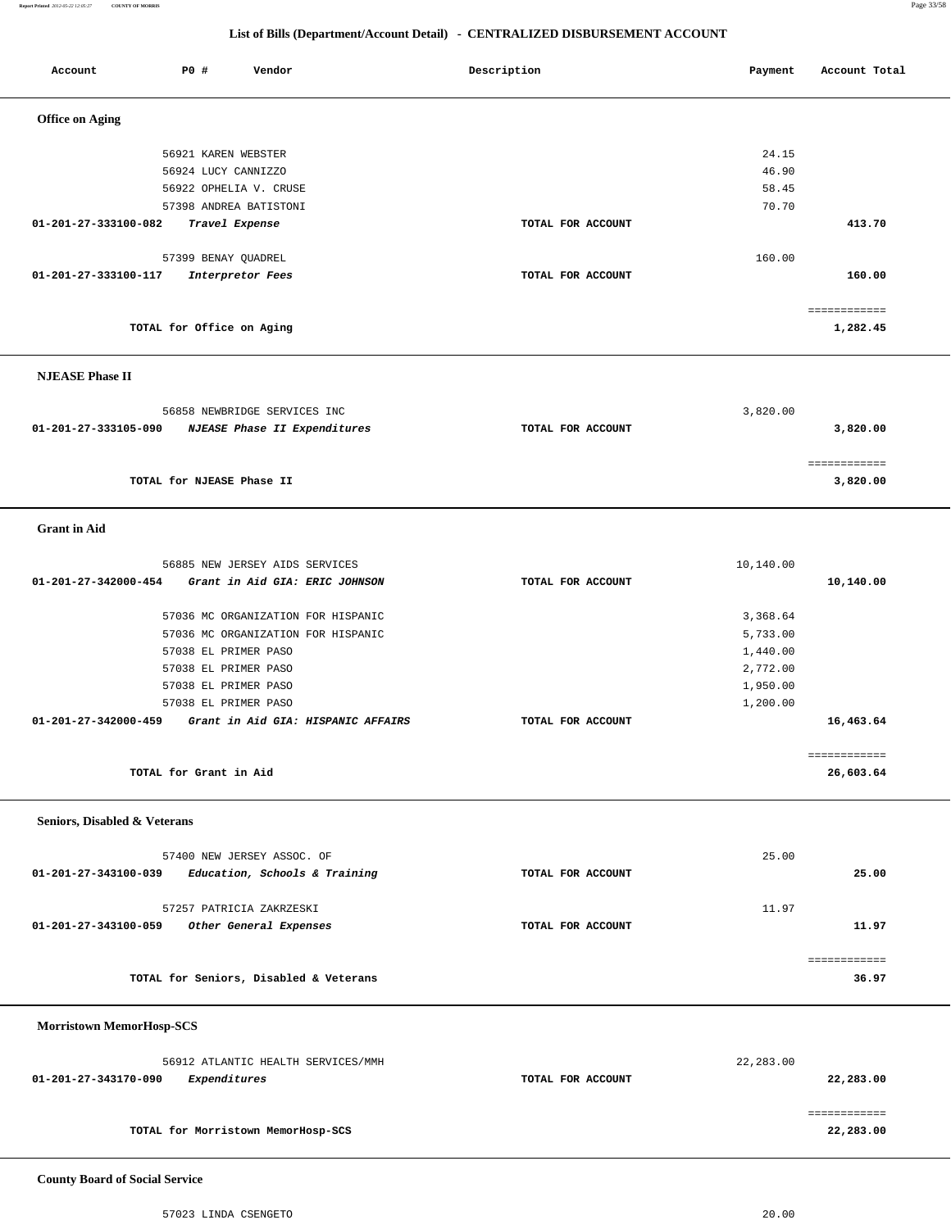**Report Printed** *2012-05-22 12:05:27* **COUNTY OF MORRIS** Page 33/58

### **List of Bills (Department/Account Detail) - CENTRALIZED DISBURSEMENT ACCOUNT**

Account **PO #** Vendor **Payment Payment Payment** Payment Paccount Total

| <b>Office on Aging</b>                                     |                   |           |              |  |
|------------------------------------------------------------|-------------------|-----------|--------------|--|
|                                                            |                   |           |              |  |
| 56921 KAREN WEBSTER                                        |                   | 24.15     |              |  |
| 56924 LUCY CANNIZZO                                        |                   | 46.90     |              |  |
| 56922 OPHELIA V. CRUSE                                     |                   | 58.45     |              |  |
| 57398 ANDREA BATISTONI                                     |                   | 70.70     |              |  |
| 01-201-27-333100-082<br>Travel Expense                     | TOTAL FOR ACCOUNT |           | 413.70       |  |
| 57399 BENAY QUADREL                                        |                   | 160.00    |              |  |
| 01-201-27-333100-117<br>Interpretor Fees                   | TOTAL FOR ACCOUNT |           | 160.00       |  |
|                                                            |                   |           |              |  |
|                                                            |                   |           | ============ |  |
| TOTAL for Office on Aging                                  |                   |           | 1,282.45     |  |
| <b>NJEASE Phase II</b>                                     |                   |           |              |  |
|                                                            |                   |           |              |  |
| 56858 NEWBRIDGE SERVICES INC                               |                   | 3,820.00  |              |  |
| 01-201-27-333105-090<br>NJEASE Phase II Expenditures       | TOTAL FOR ACCOUNT |           | 3,820.00     |  |
|                                                            |                   |           | ============ |  |
| TOTAL for NJEASE Phase II                                  |                   |           | 3,820.00     |  |
|                                                            |                   |           |              |  |
| <b>Grant</b> in Aid                                        |                   |           |              |  |
|                                                            |                   |           |              |  |
| 56885 NEW JERSEY AIDS SERVICES                             |                   | 10,140.00 |              |  |
| 01-201-27-342000-454<br>Grant in Aid GIA: ERIC JOHNSON     | TOTAL FOR ACCOUNT |           | 10,140.00    |  |
|                                                            |                   |           |              |  |
| 57036 MC ORGANIZATION FOR HISPANIC                         |                   | 3,368.64  |              |  |
| 57036 MC ORGANIZATION FOR HISPANIC                         |                   | 5,733.00  |              |  |
| 57038 EL PRIMER PASO                                       |                   | 1,440.00  |              |  |
| 57038 EL PRIMER PASO                                       |                   | 2,772.00  |              |  |
| 57038 EL PRIMER PASO                                       |                   | 1,950.00  |              |  |
| 57038 EL PRIMER PASO                                       |                   | 1,200.00  |              |  |
| 01-201-27-342000-459<br>Grant in Aid GIA: HISPANIC AFFAIRS | TOTAL FOR ACCOUNT |           | 16,463.64    |  |
|                                                            |                   |           |              |  |
|                                                            |                   |           | ============ |  |
| TOTAL for Grant in Aid                                     |                   |           | 26,603.64    |  |
| Seniors, Disabled & Veterans                               |                   |           |              |  |
|                                                            |                   |           |              |  |
| 57400 NEW JERSEY ASSOC. OF                                 |                   | 25.00     |              |  |
| Education, Schools & Training<br>01-201-27-343100-039      | TOTAL FOR ACCOUNT |           | 25.00        |  |
|                                                            |                   |           |              |  |
| 57257 PATRICIA ZAKRZESKI                                   |                   | 11.97     |              |  |
| 01-201-27-343100-059<br>Other General Expenses             | TOTAL FOR ACCOUNT |           | 11.97        |  |
|                                                            |                   |           | ============ |  |
| TOTAL for Seniors, Disabled & Veterans                     |                   |           | 36.97        |  |
|                                                            |                   |           |              |  |
| <b>Morristown MemorHosp-SCS</b>                            |                   |           |              |  |
|                                                            |                   |           |              |  |
| 56912 ATLANTIC HEALTH SERVICES/MMH                         |                   | 22,283.00 |              |  |
| Expenditures<br>01-201-27-343170-090                       | TOTAL FOR ACCOUNT |           | 22,283.00    |  |
|                                                            |                   |           |              |  |
|                                                            |                   |           | ============ |  |
| TOTAL for Morristown MemorHosp-SCS                         |                   |           | 22,283.00    |  |
|                                                            |                   |           |              |  |

 **County Board of Social Service**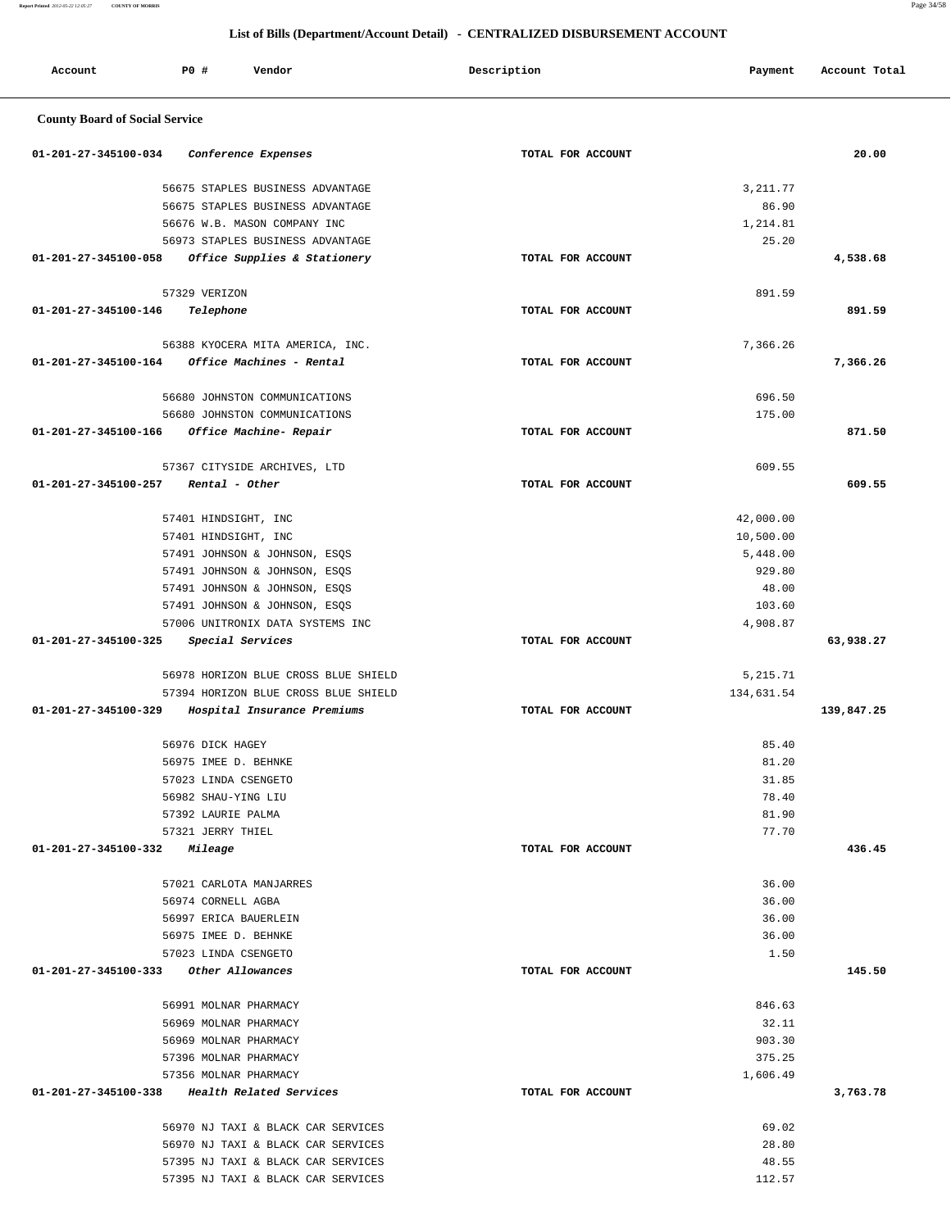**Report Printed** *2012-05-22 12:05:27* **COUNTY OF MORRIS** Page 34/58

| Account                                        | P0 #                  | Vendor                               | Description       | Payment    | Account Total |
|------------------------------------------------|-----------------------|--------------------------------------|-------------------|------------|---------------|
| <b>County Board of Social Service</b>          |                       |                                      |                   |            |               |
| 01-201-27-345100-034                           |                       | Conference Expenses                  | TOTAL FOR ACCOUNT |            | 20.00         |
|                                                |                       | 56675 STAPLES BUSINESS ADVANTAGE     |                   | 3, 211.77  |               |
|                                                |                       | 56675 STAPLES BUSINESS ADVANTAGE     |                   | 86.90      |               |
|                                                |                       | 56676 W.B. MASON COMPANY INC         |                   | 1,214.81   |               |
|                                                |                       | 56973 STAPLES BUSINESS ADVANTAGE     |                   | 25.20      |               |
| 01-201-27-345100-058                           |                       | Office Supplies & Stationery         | TOTAL FOR ACCOUNT |            | 4,538.68      |
|                                                | 57329 VERIZON         |                                      |                   | 891.59     |               |
| 01-201-27-345100-146                           | Telephone             |                                      | TOTAL FOR ACCOUNT |            | 891.59        |
|                                                |                       |                                      |                   |            |               |
|                                                |                       | 56388 KYOCERA MITA AMERICA, INC.     |                   | 7,366.26   |               |
| 01-201-27-345100-164                           |                       | Office Machines - Rental             | TOTAL FOR ACCOUNT |            | 7,366.26      |
|                                                |                       | 56680 JOHNSTON COMMUNICATIONS        |                   | 696.50     |               |
|                                                |                       | 56680 JOHNSTON COMMUNICATIONS        |                   | 175.00     |               |
| 01-201-27-345100-166                           |                       | Office Machine- Repair               | TOTAL FOR ACCOUNT |            | 871.50        |
|                                                |                       | 57367 CITYSIDE ARCHIVES, LTD         |                   | 609.55     |               |
| 01-201-27-345100-257                           | Rental - Other        |                                      | TOTAL FOR ACCOUNT |            | 609.55        |
|                                                | 57401 HINDSIGHT, INC  |                                      |                   | 42,000.00  |               |
|                                                | 57401 HINDSIGHT, INC  |                                      |                   | 10,500.00  |               |
|                                                |                       | 57491 JOHNSON & JOHNSON, ESQS        |                   | 5,448.00   |               |
|                                                |                       | 57491 JOHNSON & JOHNSON, ESQS        |                   | 929.80     |               |
|                                                |                       | 57491 JOHNSON & JOHNSON, ESQS        |                   | 48.00      |               |
|                                                |                       | 57491 JOHNSON & JOHNSON, ESQS        |                   | 103.60     |               |
|                                                |                       | 57006 UNITRONIX DATA SYSTEMS INC     |                   | 4,908.87   |               |
| 01-201-27-345100-325                           | Special Services      |                                      | TOTAL FOR ACCOUNT |            | 63,938.27     |
|                                                |                       | 56978 HORIZON BLUE CROSS BLUE SHIELD |                   | 5,215.71   |               |
|                                                |                       | 57394 HORIZON BLUE CROSS BLUE SHIELD |                   | 134,631.54 |               |
| 01-201-27-345100-329                           |                       | Hospital Insurance Premiums          | TOTAL FOR ACCOUNT |            | 139,847.25    |
|                                                | 56976 DICK HAGEY      |                                      |                   | 85.40      |               |
|                                                | 56975 IMEE D. BEHNKE  |                                      |                   | 81.20      |               |
|                                                | 57023 LINDA CSENGETO  |                                      |                   | 31.85      |               |
|                                                | 56982 SHAU-YING LIU   |                                      |                   | 78.40      |               |
|                                                | 57392 LAURIE PALMA    |                                      |                   | 81.90      |               |
|                                                | 57321 JERRY THIEL     |                                      |                   | 77.70      |               |
| 01-201-27-345100-332 Mileage                   |                       |                                      | TOTAL FOR ACCOUNT |            | 436.45        |
|                                                |                       | 57021 CARLOTA MANJARRES              |                   | 36.00      |               |
|                                                | 56974 CORNELL AGBA    |                                      |                   | 36.00      |               |
|                                                | 56997 ERICA BAUERLEIN |                                      |                   | 36.00      |               |
|                                                | 56975 IMEE D. BEHNKE  |                                      |                   | 36.00      |               |
| 01-201-27-345100-333 Other Allowances          | 57023 LINDA CSENGETO  |                                      | TOTAL FOR ACCOUNT | 1.50       | 145.50        |
|                                                |                       |                                      |                   |            |               |
|                                                | 56991 MOLNAR PHARMACY |                                      |                   | 846.63     |               |
|                                                | 56969 MOLNAR PHARMACY |                                      |                   | 32.11      |               |
|                                                | 56969 MOLNAR PHARMACY |                                      |                   | 903.30     |               |
|                                                | 57396 MOLNAR PHARMACY |                                      |                   | 375.25     |               |
|                                                | 57356 MOLNAR PHARMACY |                                      |                   | 1,606.49   |               |
| $01-201-27-345100-338$ Health Related Services |                       |                                      | TOTAL FOR ACCOUNT |            | 3,763.78      |
|                                                |                       | 56970 NJ TAXI & BLACK CAR SERVICES   |                   | 69.02      |               |
|                                                |                       | 56970 NJ TAXI & BLACK CAR SERVICES   |                   | 28.80      |               |
|                                                |                       | 57395 NJ TAXI & BLACK CAR SERVICES   |                   | 48.55      |               |
|                                                |                       | 57395 NJ TAXI & BLACK CAR SERVICES   |                   | 112.57     |               |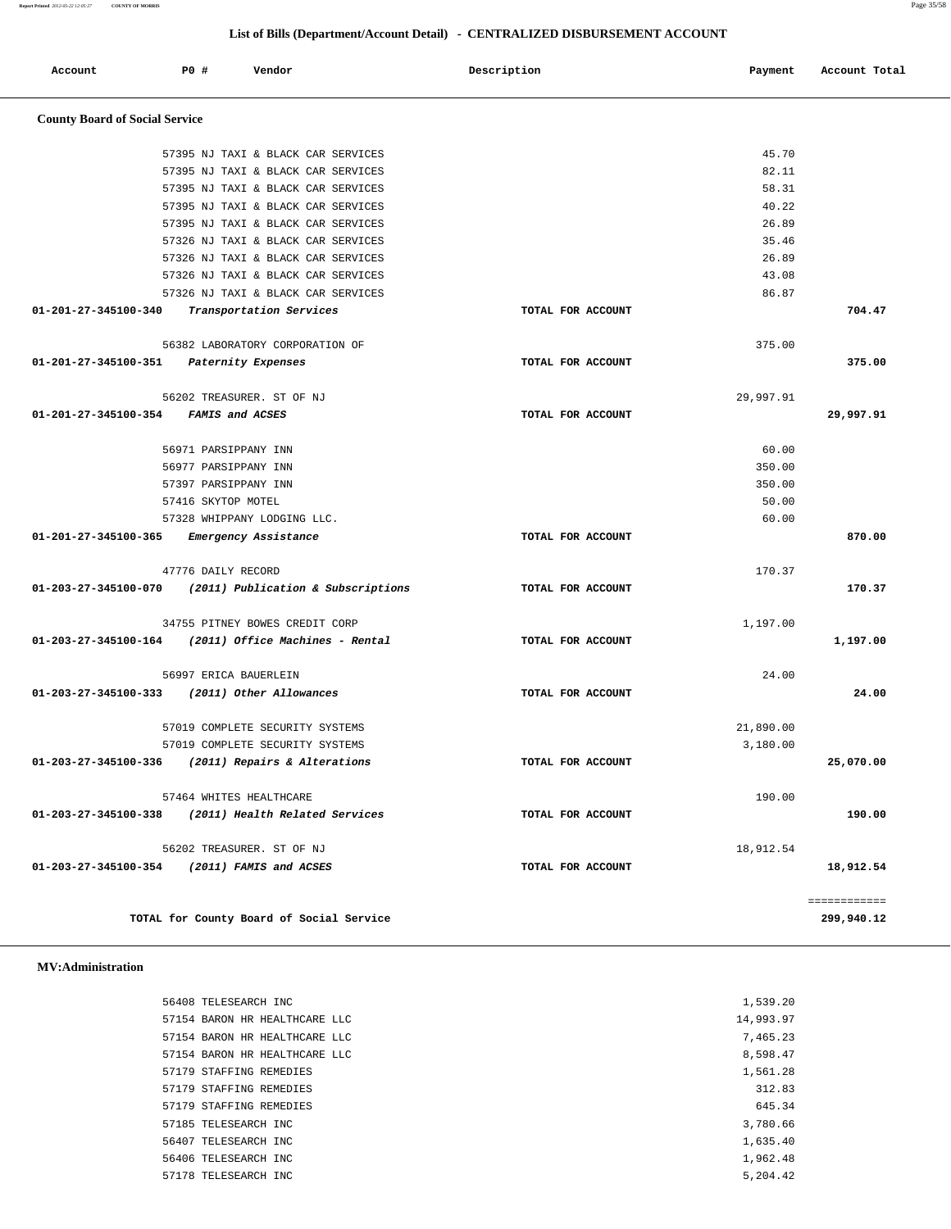|                                      | 57395 NJ TAXI & BLACK CAR SERVICES                      |                   | 45.70     |           |
|--------------------------------------|---------------------------------------------------------|-------------------|-----------|-----------|
|                                      | 57395 NJ TAXI & BLACK CAR SERVICES                      |                   | 82.11     |           |
|                                      | 57395 NJ TAXI & BLACK CAR SERVICES                      |                   | 58.31     |           |
|                                      | 57395 NJ TAXI & BLACK CAR SERVICES                      |                   | 40.22     |           |
|                                      | 57395 NJ TAXI & BLACK CAR SERVICES                      |                   | 26.89     |           |
|                                      | 57326 NJ TAXI & BLACK CAR SERVICES                      |                   | 35.46     |           |
|                                      | 57326 NJ TAXI & BLACK CAR SERVICES                      |                   | 26.89     |           |
|                                      | 57326 NJ TAXI & BLACK CAR SERVICES                      |                   | 43.08     |           |
|                                      | 57326 NJ TAXI & BLACK CAR SERVICES                      |                   | 86.87     |           |
| 01-201-27-345100-340                 | <i>Transportation Services</i>                          | TOTAL FOR ACCOUNT |           | 704.47    |
|                                      | 56382 LABORATORY CORPORATION OF                         |                   | 375.00    |           |
|                                      | 01-201-27-345100-351 Paternity Expenses                 | TOTAL FOR ACCOUNT |           | 375.00    |
|                                      | 56202 TREASURER. ST OF NJ                               |                   | 29,997.91 |           |
| 01-201-27-345100-354 FAMIS and ACSES |                                                         | TOTAL FOR ACCOUNT |           | 29,997.91 |
|                                      | 56971 PARSIPPANY INN                                    |                   | 60.00     |           |
|                                      | 56977 PARSIPPANY INN                                    |                   | 350.00    |           |
|                                      | 57397 PARSIPPANY INN                                    |                   | 350.00    |           |
|                                      | 57416 SKYTOP MOTEL                                      |                   | 50.00     |           |
|                                      | 57328 WHIPPANY LODGING LLC.                             |                   | 60.00     |           |
|                                      | 01-201-27-345100-365 Emergency Assistance               | TOTAL FOR ACCOUNT |           | 870.00    |
|                                      | 47776 DAILY RECORD                                      |                   | 170.37    |           |
|                                      | 01-203-27-345100-070 (2011) Publication & Subscriptions | TOTAL FOR ACCOUNT |           | 170.37    |
|                                      | 34755 PITNEY BOWES CREDIT CORP                          |                   | 1,197.00  |           |
|                                      | $01-203-27-345100-164$ (2011) Office Machines - Rental  | TOTAL FOR ACCOUNT |           | 1,197.00  |
|                                      | 56997 ERICA BAUERLEIN                                   |                   | 24.00     |           |
|                                      | 01-203-27-345100-333 (2011) Other Allowances            | TOTAL FOR ACCOUNT |           | 24.00     |
|                                      | 57019 COMPLETE SECURITY SYSTEMS                         |                   | 21,890.00 |           |
|                                      | 57019 COMPLETE SECURITY SYSTEMS                         |                   | 3,180.00  |           |
|                                      | 01-203-27-345100-336 (2011) Repairs & Alterations       | TOTAL FOR ACCOUNT |           | 25,070.00 |
|                                      | 57464 WHITES HEALTHCARE                                 |                   | 190.00    |           |
| 01-203-27-345100-338                 | (2011) Health Related Services                          | TOTAL FOR ACCOUNT |           | 190.00    |
|                                      | 56202 TREASURER. ST OF NJ                               |                   | 18,912.54 |           |

**TOTAL for County Board of Social Service 299,940.12**

 **MV:Administration** 

| 56408 TELESEARCH INC          | 1,539.20  |
|-------------------------------|-----------|
| 57154 BARON HR HEALTHCARE LLC | 14,993.97 |
| 57154 BARON HR HEALTHCARE LLC | 7,465.23  |
| 57154 BARON HR HEALTHCARE LLC | 8,598.47  |
| 57179 STAFFING REMEDIES       | 1,561.28  |
| 57179 STAFFING REMEDIES       | 312.83    |
| 57179 STAFFING REMEDIES       | 645.34    |
| 57185 TELESEARCH INC          | 3,780.66  |
| 56407 TELESEARCH INC          | 1,635.40  |
| 56406 TELESEARCH INC          | 1,962.48  |
| 57178 TELESEARCH INC          | 5,204.42  |
|                               |           |

 **01-203-27-345100-354 (2011) FAMIS and ACSES TOTAL FOR ACCOUNT 18,912.54**

============

## **List of Bills (Department/Account Detail) - CENTRALIZED DISBURSEMENT ACCOUNT**

Account **PO #** Vendor **Payment Payment Payment** Payment Payment Payment Account Total

**Report Printed** *2012-05-22 12:05:27* **COUNTY OF MORRIS** Page 35/58

 **County Board of Social Service**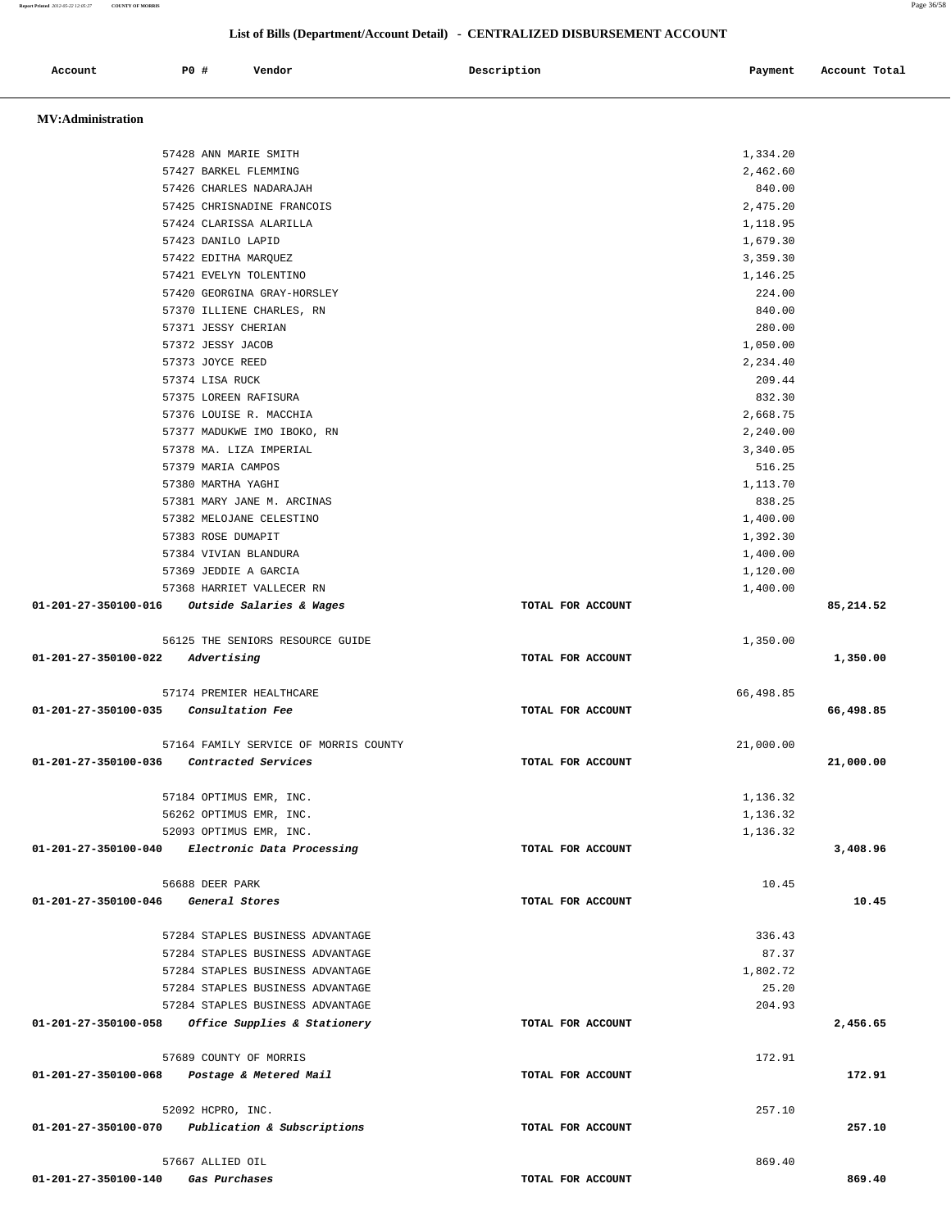**Report Printed** *2012-05-22 12:05:27* **COUNTY OF MORRIS** Page 36/58

### **List of Bills (Department/Account Detail) - CENTRALIZED DISBURSEMENT ACCOUNT**

| Account                  | <b>PO #</b><br>Vendor                                        | Description       | Payment              | Account Total |
|--------------------------|--------------------------------------------------------------|-------------------|----------------------|---------------|
|                          |                                                              |                   |                      |               |
| <b>MV:Administration</b> |                                                              |                   |                      |               |
|                          |                                                              |                   |                      |               |
|                          | 57428 ANN MARIE SMITH                                        |                   | 1,334.20             |               |
|                          | 57427 BARKEL FLEMMING                                        |                   | 2,462.60             |               |
|                          | 57426 CHARLES NADARAJAH                                      |                   | 840.00               |               |
|                          | 57425 CHRISNADINE FRANCOIS<br>57424 CLARISSA ALARILLA        |                   | 2,475.20<br>1,118.95 |               |
|                          | 57423 DANILO LAPID                                           |                   | 1,679.30             |               |
|                          | 57422 EDITHA MARQUEZ                                         |                   | 3,359.30             |               |
|                          | 57421 EVELYN TOLENTINO                                       |                   | 1,146.25             |               |
|                          | 57420 GEORGINA GRAY-HORSLEY                                  |                   | 224.00               |               |
|                          | 57370 ILLIENE CHARLES, RN                                    |                   | 840.00               |               |
|                          | 57371 JESSY CHERIAN                                          |                   | 280.00               |               |
|                          | 57372 JESSY JACOB                                            |                   | 1,050.00             |               |
|                          | 57373 JOYCE REED                                             |                   | 2,234.40             |               |
|                          | 57374 LISA RUCK                                              |                   | 209.44               |               |
|                          | 57375 LOREEN RAFISURA                                        |                   | 832.30               |               |
|                          | 57376 LOUISE R. MACCHIA<br>57377 MADUKWE IMO IBOKO, RN       |                   | 2,668.75<br>2,240.00 |               |
|                          | 57378 MA. LIZA IMPERIAL                                      |                   | 3,340.05             |               |
|                          | 57379 MARIA CAMPOS                                           |                   | 516.25               |               |
|                          | 57380 MARTHA YAGHI                                           |                   | 1,113.70             |               |
|                          | 57381 MARY JANE M. ARCINAS                                   |                   | 838.25               |               |
|                          | 57382 MELOJANE CELESTINO                                     |                   | 1,400.00             |               |
|                          | 57383 ROSE DUMAPIT                                           |                   | 1,392.30             |               |
|                          | 57384 VIVIAN BLANDURA                                        |                   | 1,400.00             |               |
|                          | 57369 JEDDIE A GARCIA                                        |                   | 1,120.00             |               |
|                          | 57368 HARRIET VALLECER RN                                    |                   | 1,400.00             |               |
| 01-201-27-350100-016     | Outside Salaries & Wages                                     | TOTAL FOR ACCOUNT |                      | 85,214.52     |
|                          | 56125 THE SENIORS RESOURCE GUIDE                             |                   | 1,350.00             |               |
| 01-201-27-350100-022     | Advertising                                                  | TOTAL FOR ACCOUNT |                      | 1,350.00      |
|                          |                                                              |                   |                      |               |
|                          | 57174 PREMIER HEALTHCARE                                     |                   | 66,498.85            |               |
| 01-201-27-350100-035     | Consultation Fee                                             | TOTAL FOR ACCOUNT |                      | 66,498.85     |
|                          |                                                              |                   |                      |               |
| 01-201-27-350100-036     | 57164 FAMILY SERVICE OF MORRIS COUNTY<br>Contracted Services | TOTAL FOR ACCOUNT | 21,000.00            | 21,000.00     |
|                          |                                                              |                   |                      |               |
|                          | 57184 OPTIMUS EMR, INC.                                      |                   | 1,136.32             |               |
|                          | 56262 OPTIMUS EMR, INC.                                      |                   | 1,136.32             |               |
|                          | 52093 OPTIMUS EMR, INC.                                      |                   | 1,136.32             |               |
|                          | 01-201-27-350100-040 Electronic Data Processing              | TOTAL FOR ACCOUNT |                      | 3,408.96      |
|                          |                                                              |                   |                      |               |
|                          | 56688 DEER PARK                                              |                   | 10.45                |               |
| 01-201-27-350100-046     | General Stores                                               | TOTAL FOR ACCOUNT |                      | 10.45         |
|                          | 57284 STAPLES BUSINESS ADVANTAGE                             |                   | 336.43               |               |
|                          | 57284 STAPLES BUSINESS ADVANTAGE                             |                   | 87.37                |               |
|                          | 57284 STAPLES BUSINESS ADVANTAGE                             |                   | 1,802.72             |               |
|                          | 57284 STAPLES BUSINESS ADVANTAGE                             |                   | 25.20                |               |
|                          | 57284 STAPLES BUSINESS ADVANTAGE                             |                   | 204.93               |               |
|                          | 01-201-27-350100-058 Office Supplies & Stationery            | TOTAL FOR ACCOUNT |                      | 2,456.65      |
|                          |                                                              |                   |                      |               |
|                          | 57689 COUNTY OF MORRIS                                       |                   | 172.91               |               |
|                          | 01-201-27-350100-068 Postage & Metered Mail                  | TOTAL FOR ACCOUNT |                      | 172.91        |
|                          |                                                              |                   |                      |               |
| 01-201-27-350100-070     | 52092 HCPRO, INC.<br>Publication & Subscriptions             | TOTAL FOR ACCOUNT | 257.10               | 257.10        |
|                          |                                                              |                   |                      |               |

 57667 ALLIED OIL 869.40  **01-201-27-350100-140 Gas Purchases TOTAL FOR ACCOUNT 869.40**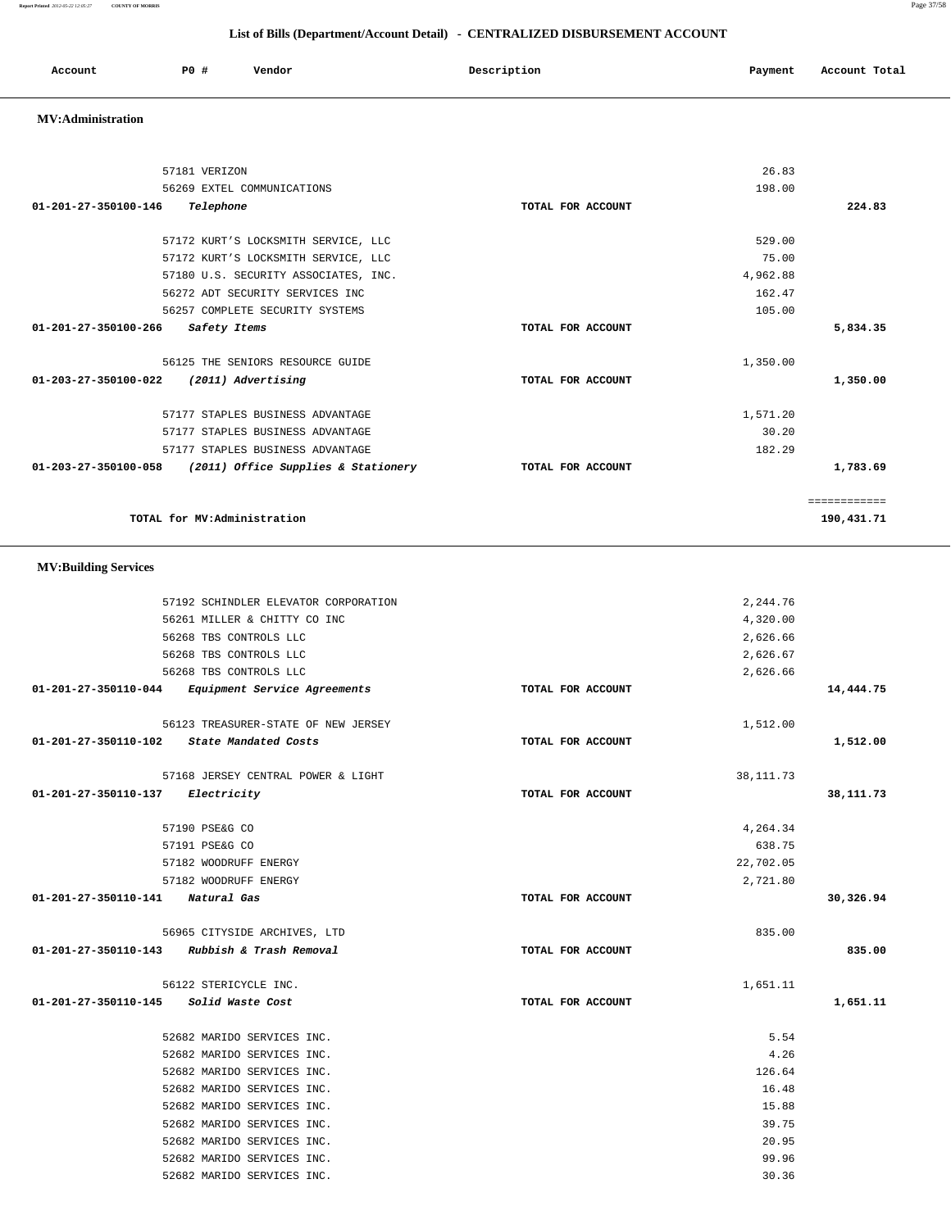**Report Printed** *2012-05-22 12:05:27* **COUNTY OF MORRIS** Page 37/58  **List of Bills (Department/Account Detail) - CENTRALIZED DISBURSEMENT ACCOUNT**

| Account | P <sub>0</sub> | Vendor | Description<br>$\sim$ $\sim$ | Payment | Account Total |
|---------|----------------|--------|------------------------------|---------|---------------|
|         |                |        |                              |         |               |

### **MV:Administration**

| 57181 VERIZON                                               |                   | 26.83    |              |  |
|-------------------------------------------------------------|-------------------|----------|--------------|--|
| 56269 EXTEL COMMUNICATIONS                                  |                   | 198.00   |              |  |
| 01-201-27-350100-146<br>Telephone                           | TOTAL FOR ACCOUNT |          | 224.83       |  |
|                                                             |                   |          |              |  |
| 57172 KURT'S LOCKSMITH SERVICE, LLC                         |                   | 529.00   |              |  |
| 57172 KURT'S LOCKSMITH SERVICE, LLC                         |                   | 75.00    |              |  |
| 57180 U.S. SECURITY ASSOCIATES, INC.                        |                   | 4,962.88 |              |  |
| 56272 ADT SECURITY SERVICES INC                             |                   | 162.47   |              |  |
| 56257 COMPLETE SECURITY SYSTEMS                             |                   | 105.00   |              |  |
| 01-201-27-350100-266<br>Safety Items                        | TOTAL FOR ACCOUNT |          | 5,834.35     |  |
| 56125 THE SENIORS RESOURCE GUIDE                            |                   | 1,350.00 |              |  |
| 01-203-27-350100-022<br>(2011) Advertising                  | TOTAL FOR ACCOUNT |          | 1,350.00     |  |
| 57177 STAPLES BUSINESS ADVANTAGE                            |                   | 1,571.20 |              |  |
| 57177 STAPLES BUSINESS ADVANTAGE                            |                   | 30.20    |              |  |
| 57177 STAPLES BUSINESS ADVANTAGE                            |                   | 182.29   |              |  |
| (2011) Office Supplies & Stationery<br>01-203-27-350100-058 | TOTAL FOR ACCOUNT |          | 1,783.69     |  |
|                                                             |                   |          | ============ |  |
| TOTAL for MV:Administration                                 |                   |          | 190,431.71   |  |
| <b>MV:Building Services</b>                                 |                   |          |              |  |
| 57192 SCHINDLER ELEVATOR CORPORATION                        |                   | 2,244.76 |              |  |
| 56261 MILLER & CHITTY CO INC                                |                   | 4,320.00 |              |  |
| 56268 TBS CONTROLS LLC                                      |                   | 2,626.66 |              |  |
| 56268 TBS CONTROLS LLC                                      |                   | 2,626.67 |              |  |
|                                                             |                   |          |              |  |

 56268 TBS CONTROLS LLC 2,626.66  **01-201-27-350110-044 Equipment Service Agreements TOTAL FOR ACCOUNT 14,444.75**

 56123 TREASURER-STATE OF NEW JERSEY 1,512.00  **01-201-27-350110-102 State Mandated Costs TOTAL FOR ACCOUNT 1,512.00**

57168 JERSEY CENTRAL POWER & LIGHT 38,111.73  **01-201-27-350110-137 Electricity TOTAL FOR ACCOUNT 38,111.73**

57190 PSE&G CO 4,264.34

 57182 WOODRUFF ENERGY 22,702.05 57182 WOODRUFF ENERGY 2,721.80  **01-201-27-350110-141 Natural Gas TOTAL FOR ACCOUNT 30,326.94**

 56965 CITYSIDE ARCHIVES, LTD 835.00  **01-201-27-350110-143 Rubbish & Trash Removal TOTAL FOR ACCOUNT 835.00**

 56122 STERICYCLE INC. 1,651.11  **01-201-27-350110-145 Solid Waste Cost TOTAL FOR ACCOUNT 1,651.11**

> 52682 MARIDO SERVICES INC. 5.54 52682 MARIDO SERVICES INC. 4.26 52682 MARIDO SERVICES INC. 126.64 52682 MARIDO SERVICES INC. 16.48 52682 MARIDO SERVICES INC. 15.88 52682 MARIDO SERVICES INC. 39.75 52682 MARIDO SERVICES INC. 20.95 52682 MARIDO SERVICES INC. 99.96 52682 MARIDO SERVICES INC. 30.36

57191 PSE&G CO 638.75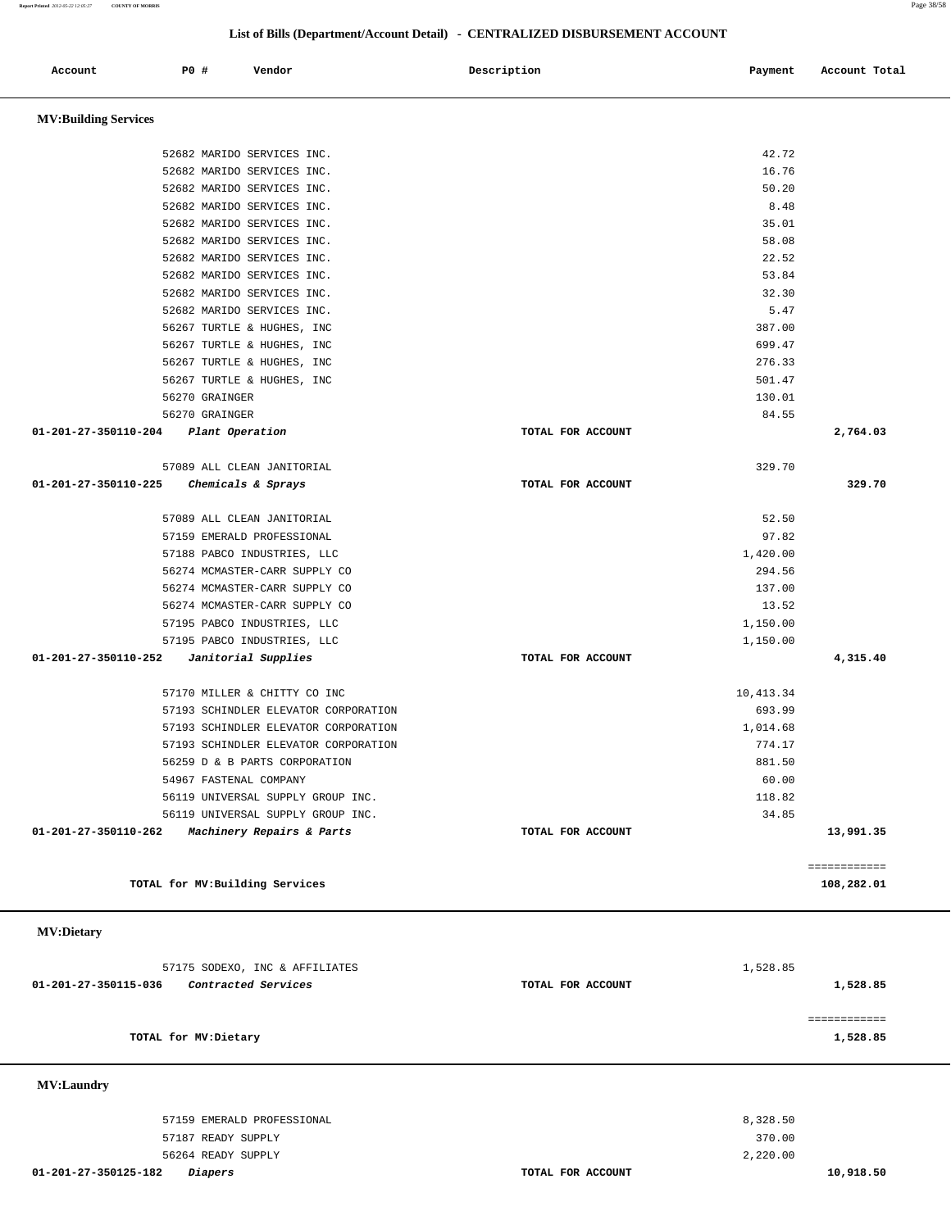## **List of Bills (Department/Account Detail) - CENTRALIZED DISBURSEMENT ACCOUNT**

|                                      | LIST OF DIES (Department/Account Detail) • CENTRALIZED DISDURSENIENT ACCOUNT |                                                          |                   |               |               |  |  |  |
|--------------------------------------|------------------------------------------------------------------------------|----------------------------------------------------------|-------------------|---------------|---------------|--|--|--|
| Account                              | P0 #                                                                         | Vendor                                                   | Description       | Payment       | Account Total |  |  |  |
| <b>MV:Building Services</b>          |                                                                              |                                                          |                   |               |               |  |  |  |
|                                      |                                                                              |                                                          |                   |               |               |  |  |  |
|                                      |                                                                              | 52682 MARIDO SERVICES INC.                               |                   | 42.72         |               |  |  |  |
|                                      |                                                                              | 52682 MARIDO SERVICES INC.                               |                   | 16.76         |               |  |  |  |
|                                      |                                                                              | 52682 MARIDO SERVICES INC.                               |                   | 50.20         |               |  |  |  |
|                                      |                                                                              | 52682 MARIDO SERVICES INC.<br>52682 MARIDO SERVICES INC. |                   | 8.48<br>35.01 |               |  |  |  |
|                                      |                                                                              | 52682 MARIDO SERVICES INC.                               |                   | 58.08         |               |  |  |  |
|                                      |                                                                              | 52682 MARIDO SERVICES INC.                               |                   | 22.52         |               |  |  |  |
|                                      |                                                                              | 52682 MARIDO SERVICES INC.                               |                   | 53.84         |               |  |  |  |
|                                      |                                                                              | 52682 MARIDO SERVICES INC.                               |                   | 32.30         |               |  |  |  |
|                                      |                                                                              | 52682 MARIDO SERVICES INC.                               |                   | 5.47          |               |  |  |  |
|                                      |                                                                              | 56267 TURTLE & HUGHES, INC                               |                   | 387.00        |               |  |  |  |
|                                      |                                                                              | 56267 TURTLE & HUGHES, INC                               |                   | 699.47        |               |  |  |  |
|                                      |                                                                              | 56267 TURTLE & HUGHES, INC                               |                   | 276.33        |               |  |  |  |
|                                      |                                                                              | 56267 TURTLE & HUGHES, INC                               |                   | 501.47        |               |  |  |  |
|                                      | 56270 GRAINGER                                                               |                                                          |                   | 130.01        |               |  |  |  |
|                                      | 56270 GRAINGER                                                               |                                                          |                   | 84.55         |               |  |  |  |
| 01-201-27-350110-204 Plant Operation |                                                                              |                                                          | TOTAL FOR ACCOUNT |               | 2,764.03      |  |  |  |
|                                      |                                                                              | 57089 ALL CLEAN JANITORIAL                               |                   | 329.70        |               |  |  |  |
| 01-201-27-350110-225                 |                                                                              | Chemicals & Sprays                                       | TOTAL FOR ACCOUNT |               | 329.70        |  |  |  |
|                                      |                                                                              | 57089 ALL CLEAN JANITORIAL                               |                   | 52.50         |               |  |  |  |
|                                      |                                                                              | 57159 EMERALD PROFESSIONAL                               |                   | 97.82         |               |  |  |  |
|                                      |                                                                              | 57188 PABCO INDUSTRIES, LLC                              |                   | 1,420.00      |               |  |  |  |
|                                      |                                                                              | 56274 MCMASTER-CARR SUPPLY CO                            |                   | 294.56        |               |  |  |  |
|                                      |                                                                              | 56274 MCMASTER-CARR SUPPLY CO                            |                   | 137.00        |               |  |  |  |
|                                      |                                                                              | 56274 MCMASTER-CARR SUPPLY CO                            |                   | 13.52         |               |  |  |  |
|                                      |                                                                              | 57195 PABCO INDUSTRIES, LLC                              |                   | 1,150.00      |               |  |  |  |
|                                      |                                                                              | 57195 PABCO INDUSTRIES, LLC                              |                   | 1,150.00      |               |  |  |  |
| 01-201-27-350110-252                 |                                                                              | Janitorial Supplies                                      | TOTAL FOR ACCOUNT |               | 4,315.40      |  |  |  |
|                                      |                                                                              | 57170 MILLER & CHITTY CO INC                             |                   | 10,413.34     |               |  |  |  |
|                                      |                                                                              | 57193 SCHINDLER ELEVATOR CORPORATION                     |                   | 693.99        |               |  |  |  |
|                                      |                                                                              | 57193 SCHINDLER ELEVATOR CORPORATION                     |                   | 1,014.68      |               |  |  |  |
|                                      |                                                                              | 57193 SCHINDLER ELEVATOR CORPORATION                     |                   | 774.17        |               |  |  |  |
|                                      |                                                                              | 56259 D & B PARTS CORPORATION                            |                   | 881.50        |               |  |  |  |
|                                      |                                                                              | 54967 FASTENAL COMPANY                                   |                   | 60.00         |               |  |  |  |
|                                      |                                                                              | 56119 UNIVERSAL SUPPLY GROUP INC.                        |                   | 118.82        |               |  |  |  |
|                                      |                                                                              | 56119 UNIVERSAL SUPPLY GROUP INC.                        |                   | 34.85         |               |  |  |  |
| 01-201-27-350110-262                 |                                                                              | Machinery Repairs & Parts                                | TOTAL FOR ACCOUNT |               | 13,991.35     |  |  |  |
|                                      |                                                                              |                                                          |                   |               | ============  |  |  |  |
|                                      |                                                                              | TOTAL for MV: Building Services                          |                   |               | 108,282.01    |  |  |  |
| <b>MV:Dietary</b>                    |                                                                              |                                                          |                   |               |               |  |  |  |
|                                      |                                                                              | 57175 SODEXO, INC & AFFILIATES                           |                   | 1,528.85      |               |  |  |  |
| 01-201-27-350115-036                 |                                                                              | Contracted Services                                      | TOTAL FOR ACCOUNT |               | 1,528.85      |  |  |  |
|                                      |                                                                              |                                                          |                   |               |               |  |  |  |

============

**TOTAL for MV:Dietary 1,528.85**

 **MV:Laundry** 

 57159 EMERALD PROFESSIONAL 8,328.50 57187 READY SUPPLY 370.00 56264 READY SUPPLY 2,220.00

 **01-201-27-350125-182 Diapers TOTAL FOR ACCOUNT 10,918.50**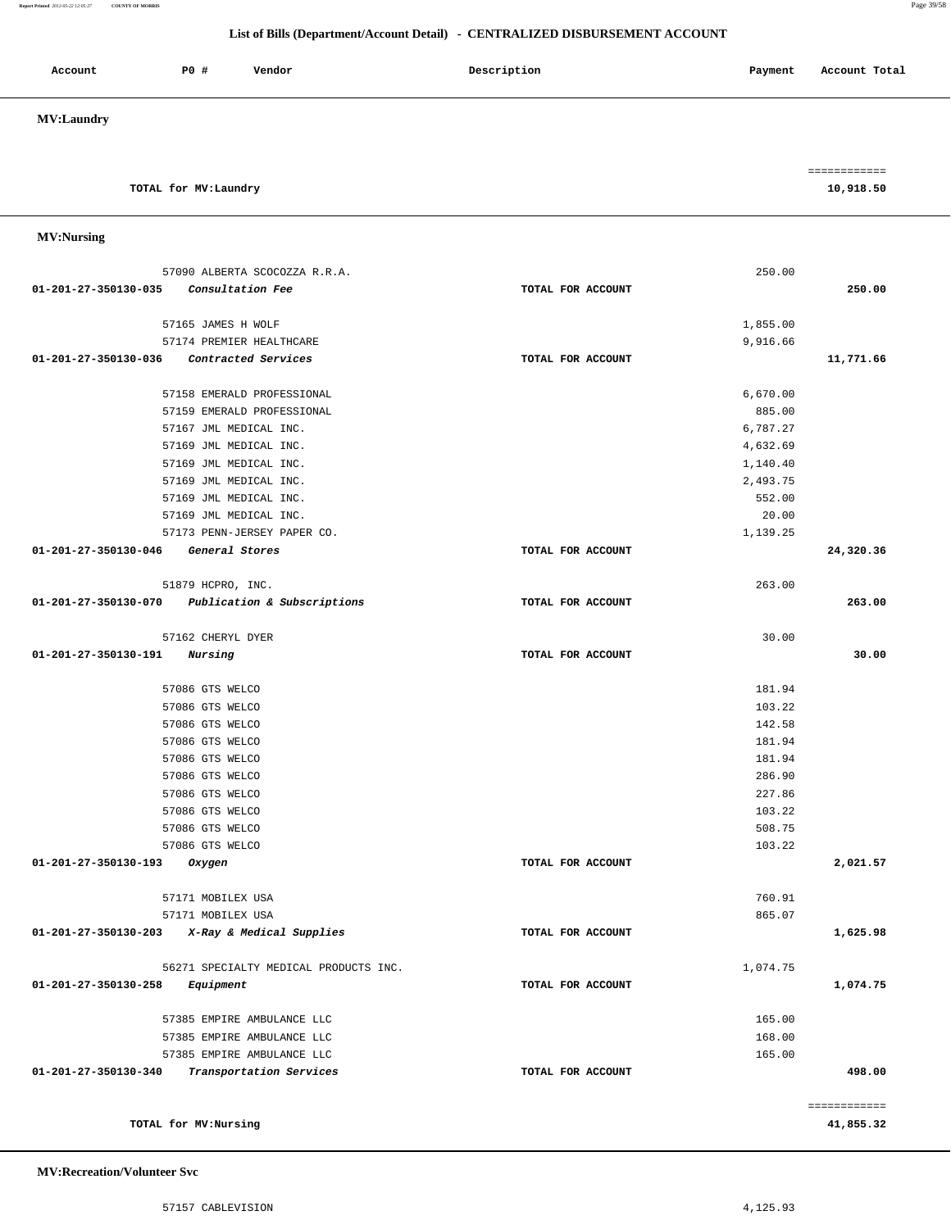### **Report Printed** *2012-05-22 12:05:27* **COUNTY OF MORRIS** Page 39/58

### **List of Bills (Department/Account Detail) - CENTRALIZED DISBURSEMENT ACCOUNT**

| Account           | P0 # | Vendor | Description | Payment | Account Total                |
|-------------------|------|--------|-------------|---------|------------------------------|
| <b>MV:Laundry</b> |      |        |             |         |                              |
|                   |      |        |             |         | ------------<br>____________ |

**TOTAL for MV:Laundry 10,918.50**

| <b>MV:Nursing</b> |
|-------------------|
|-------------------|

|                      | TOTAL for MV:Nursing                                 |                   |                    | 41,855.32    |
|----------------------|------------------------------------------------------|-------------------|--------------------|--------------|
|                      |                                                      |                   |                    | ============ |
| 01-201-27-350130-340 | Transportation Services                              | TOTAL FOR ACCOUNT |                    | 498.00       |
|                      | 57385 EMPIRE AMBULANCE LLC                           |                   | 165.00             |              |
|                      | 57385 EMPIRE AMBULANCE LLC                           |                   | 168.00             |              |
|                      | 57385 EMPIRE AMBULANCE LLC                           |                   | 165.00             |              |
|                      |                                                      |                   |                    |              |
| 01-201-27-350130-258 | Equipment                                            | TOTAL FOR ACCOUNT |                    | 1,074.75     |
|                      | 56271 SPECIALTY MEDICAL PRODUCTS INC.                |                   | 1,074.75           |              |
| 01-201-27-350130-203 | X-Ray & Medical Supplies                             | TOTAL FOR ACCOUNT |                    | 1,625.98     |
|                      | 57171 MOBILEX USA                                    |                   | 865.07             |              |
|                      | 57171 MOBILEX USA                                    |                   | 760.91             |              |
|                      |                                                      |                   |                    |              |
| 01-201-27-350130-193 | Oxygen                                               | TOTAL FOR ACCOUNT |                    | 2,021.57     |
|                      | 57086 GTS WELCO                                      |                   | 103.22             |              |
|                      | 57086 GTS WELCO                                      |                   | 508.75             |              |
|                      | 57086 GTS WELCO                                      |                   | 103.22             |              |
|                      | 57086 GTS WELCO                                      |                   | 227.86             |              |
|                      | 57086 GTS WELCO<br>57086 GTS WELCO                   |                   | 181.94<br>286.90   |              |
|                      | 57086 GTS WELCO                                      |                   | 181.94             |              |
|                      | 57086 GTS WELCO                                      |                   | 142.58             |              |
|                      | 57086 GTS WELCO                                      |                   | 103.22             |              |
|                      | 57086 GTS WELCO                                      |                   | 181.94             |              |
|                      |                                                      |                   |                    |              |
| 01-201-27-350130-191 | Nursing                                              | TOTAL FOR ACCOUNT |                    | 30.00        |
|                      | 57162 CHERYL DYER                                    |                   | 30.00              |              |
|                      | 01-201-27-350130-070 Publication & Subscriptions     | TOTAL FOR ACCOUNT |                    | 263.00       |
|                      | 51879 HCPRO, INC.                                    |                   | 263.00             |              |
|                      |                                                      |                   |                    |              |
| 01-201-27-350130-046 | General Stores                                       | TOTAL FOR ACCOUNT |                    | 24,320.36    |
|                      | 57173 PENN-JERSEY PAPER CO.                          |                   | 1,139.25           |              |
|                      | 57169 JML MEDICAL INC.                               |                   | 20.00              |              |
|                      | 57169 JML MEDICAL INC.                               |                   | 552.00             |              |
|                      | 57169 JML MEDICAL INC.                               |                   | 2,493.75           |              |
|                      | 57169 JML MEDICAL INC.                               |                   | 1,140.40           |              |
|                      | 57169 JML MEDICAL INC.                               |                   | 4,632.69           |              |
|                      | 57159 EMERALD PROFESSIONAL<br>57167 JML MEDICAL INC. |                   | 885.00<br>6,787.27 |              |
|                      | 57158 EMERALD PROFESSIONAL                           |                   | 6,670.00           |              |
|                      |                                                      |                   |                    |              |
| 01-201-27-350130-036 | Contracted Services                                  | TOTAL FOR ACCOUNT |                    | 11,771.66    |
|                      | 57174 PREMIER HEALTHCARE                             |                   | 9,916.66           |              |
|                      | 57165 JAMES H WOLF                                   |                   | 1,855.00           |              |
|                      |                                                      |                   |                    |              |
| 01-201-27-350130-035 | Consultation Fee                                     | TOTAL FOR ACCOUNT |                    | 250.00       |
|                      | 57090 ALBERTA SCOCOZZA R.R.A.                        |                   | 250.00             |              |

 **MV:Recreation/Volunteer Svc**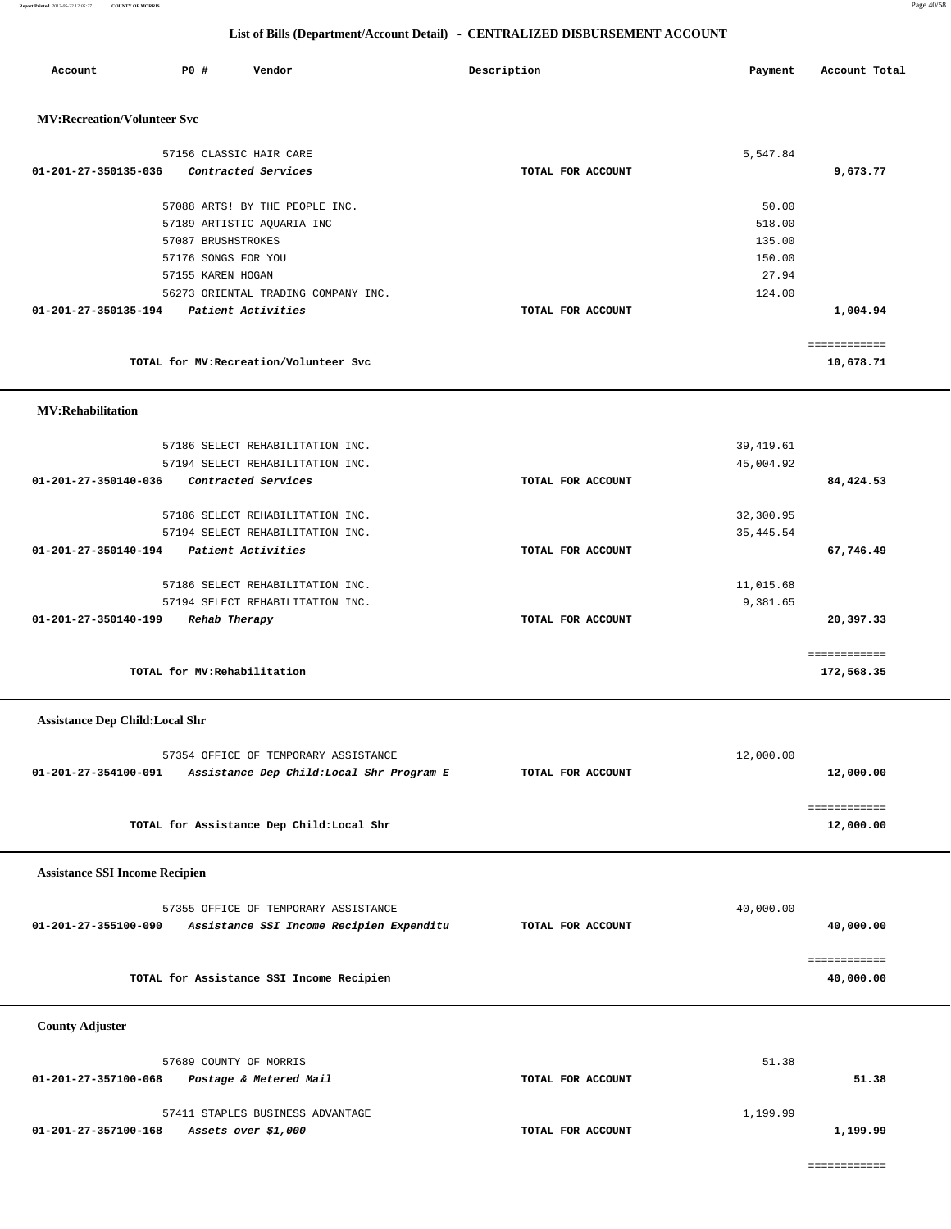### **Report Printed** *2012-05-22 12:05:27* **COUNTY OF MORRIS** Page 40/58

| Account                               | P0 # | Vendor                                                  |                                           | Description       | Payment    | Account Total |
|---------------------------------------|------|---------------------------------------------------------|-------------------------------------------|-------------------|------------|---------------|
| <b>MV:Recreation/Volunteer Svc</b>    |      |                                                         |                                           |                   |            |               |
|                                       |      |                                                         |                                           |                   |            |               |
| 01-201-27-350135-036                  |      | 57156 CLASSIC HAIR CARE<br>Contracted Services          |                                           | TOTAL FOR ACCOUNT | 5,547.84   | 9,673.77      |
|                                       |      |                                                         |                                           |                   |            |               |
|                                       |      | 57088 ARTS! BY THE PEOPLE INC.                          |                                           |                   | 50.00      |               |
|                                       |      | 57189 ARTISTIC AQUARIA INC                              |                                           |                   | 518.00     |               |
|                                       |      | 57087 BRUSHSTROKES                                      |                                           |                   | 135.00     |               |
|                                       |      | 57176 SONGS FOR YOU                                     |                                           |                   | 150.00     |               |
|                                       |      | 57155 KAREN HOGAN                                       |                                           |                   | 27.94      |               |
|                                       |      | 56273 ORIENTAL TRADING COMPANY INC.                     |                                           |                   | 124.00     |               |
| 01-201-27-350135-194                  |      | Patient Activities                                      |                                           | TOTAL FOR ACCOUNT |            | 1,004.94      |
|                                       |      |                                                         |                                           |                   |            | ============  |
|                                       |      | TOTAL for MV: Recreation/Volunteer Svc                  |                                           |                   |            | 10,678.71     |
|                                       |      |                                                         |                                           |                   |            |               |
| <b>MV:Rehabilitation</b>              |      |                                                         |                                           |                   |            |               |
|                                       |      | 57186 SELECT REHABILITATION INC.                        |                                           |                   | 39, 419.61 |               |
|                                       |      | 57194 SELECT REHABILITATION INC.                        |                                           |                   | 45,004.92  |               |
| 01-201-27-350140-036                  |      | Contracted Services                                     |                                           | TOTAL FOR ACCOUNT |            | 84,424.53     |
|                                       |      |                                                         |                                           |                   |            |               |
|                                       |      | 57186 SELECT REHABILITATION INC.                        |                                           |                   | 32,300.95  |               |
|                                       |      | 57194 SELECT REHABILITATION INC.                        |                                           |                   | 35, 445.54 |               |
| 01-201-27-350140-194                  |      | Patient Activities                                      |                                           | TOTAL FOR ACCOUNT |            | 67,746.49     |
|                                       |      | 57186 SELECT REHABILITATION INC.                        |                                           |                   | 11,015.68  |               |
|                                       |      | 57194 SELECT REHABILITATION INC.                        |                                           |                   | 9,381.65   |               |
| 01-201-27-350140-199                  |      | Rehab Therapy                                           |                                           | TOTAL FOR ACCOUNT |            | 20,397.33     |
|                                       |      |                                                         |                                           |                   |            |               |
|                                       |      |                                                         |                                           |                   |            | ============  |
|                                       |      | TOTAL for MV: Rehabilitation                            |                                           |                   |            | 172,568.35    |
| <b>Assistance Dep Child:Local Shr</b> |      |                                                         |                                           |                   |            |               |
|                                       |      |                                                         |                                           |                   |            |               |
|                                       |      | 57354 OFFICE OF TEMPORARY ASSISTANCE                    |                                           |                   | 12,000.00  |               |
| 01-201-27-354100-091                  |      |                                                         | Assistance Dep Child: Local Shr Program E | TOTAL FOR ACCOUNT |            | 12,000.00     |
|                                       |      |                                                         |                                           |                   |            | ============  |
|                                       |      | TOTAL for Assistance Dep Child: Local Shr               |                                           |                   |            | 12,000.00     |
|                                       |      |                                                         |                                           |                   |            |               |
| <b>Assistance SSI Income Recipien</b> |      |                                                         |                                           |                   |            |               |
|                                       |      |                                                         |                                           |                   |            |               |
|                                       |      | 57355 OFFICE OF TEMPORARY ASSISTANCE                    |                                           |                   | 40,000.00  |               |
| 01-201-27-355100-090                  |      |                                                         | Assistance SSI Income Recipien Expenditu  | TOTAL FOR ACCOUNT |            | 40,000.00     |
|                                       |      |                                                         |                                           |                   |            | ============  |
|                                       |      | TOTAL for Assistance SSI Income Recipien                |                                           |                   |            | 40,000.00     |
|                                       |      |                                                         |                                           |                   |            |               |
| <b>County Adjuster</b>                |      |                                                         |                                           |                   |            |               |
|                                       |      |                                                         |                                           |                   |            |               |
|                                       |      | 57689 COUNTY OF MORRIS                                  |                                           |                   | 51.38      |               |
| 01-201-27-357100-068                  |      | Postage & Metered Mail                                  |                                           | TOTAL FOR ACCOUNT |            | 51.38         |
|                                       |      |                                                         |                                           |                   |            |               |
| 01-201-27-357100-168                  |      | 57411 STAPLES BUSINESS ADVANTAGE<br>Assets over \$1,000 |                                           | TOTAL FOR ACCOUNT | 1,199.99   | 1,199.99      |
|                                       |      |                                                         |                                           |                   |            |               |
|                                       |      |                                                         |                                           |                   |            | ============  |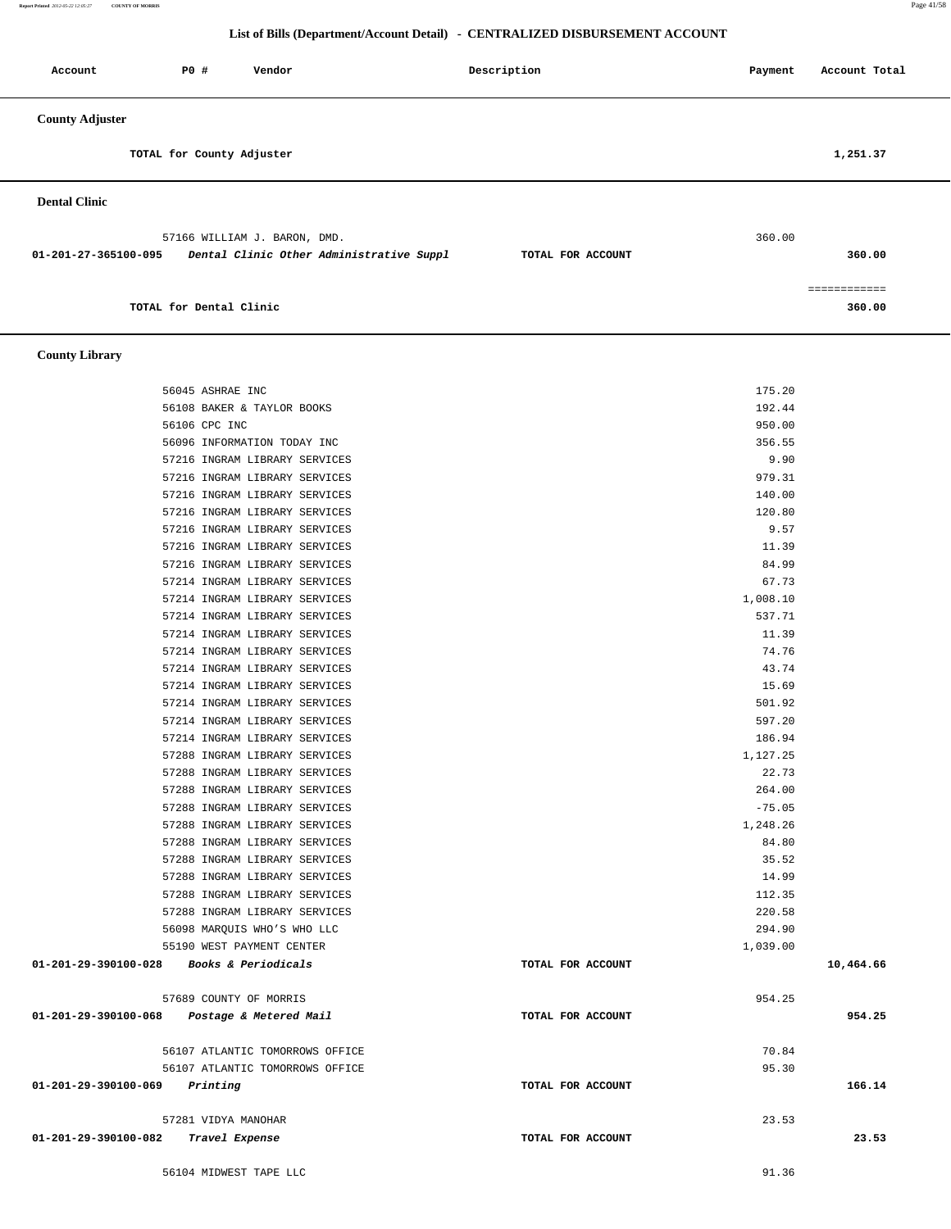**Report Printed** *2012-05-22 12:05:27* **COUNTY OF MORRIS** Page 41/58

### **List of Bills (Department/Account Detail) - CENTRALIZED DISBURSEMENT ACCOUNT**

|                                                                                                  | ны огранспользование реант - снатальный изменент иссобна |                   |                        |
|--------------------------------------------------------------------------------------------------|----------------------------------------------------------|-------------------|------------------------|
| P0 #<br>Account<br>Vendor                                                                        | Description                                              | Payment           | Account Total          |
| <b>County Adjuster</b>                                                                           |                                                          |                   |                        |
| TOTAL for County Adjuster                                                                        |                                                          |                   | 1,251.37               |
| <b>Dental Clinic</b>                                                                             |                                                          |                   |                        |
| 57166 WILLIAM J. BARON, DMD.<br>Dental Clinic Other Administrative Suppl<br>01-201-27-365100-095 | TOTAL FOR ACCOUNT                                        | 360.00            | 360.00                 |
| TOTAL for Dental Clinic                                                                          |                                                          |                   | ============<br>360.00 |
| <b>County Library</b>                                                                            |                                                          |                   |                        |
| 56045 ASHRAE INC                                                                                 |                                                          | 175.20            |                        |
| 56108 BAKER & TAYLOR BOOKS                                                                       |                                                          | 192.44            |                        |
| 56106 CPC INC                                                                                    |                                                          | 950.00            |                        |
| 56096 INFORMATION TODAY INC                                                                      |                                                          | 356.55            |                        |
| 57216 INGRAM LIBRARY SERVICES                                                                    |                                                          | 9.90              |                        |
| 57216 INGRAM LIBRARY SERVICES                                                                    |                                                          | 979.31            |                        |
| 57216 INGRAM LIBRARY SERVICES                                                                    |                                                          | 140.00            |                        |
| 57216 INGRAM LIBRARY SERVICES                                                                    |                                                          | 120.80            |                        |
| 57216 INGRAM LIBRARY SERVICES                                                                    |                                                          | 9.57              |                        |
| 57216 INGRAM LIBRARY SERVICES<br>57216 INGRAM LIBRARY SERVICES                                   |                                                          | 11.39<br>84.99    |                        |
| 57214 INGRAM LIBRARY SERVICES                                                                    |                                                          | 67.73             |                        |
| 57214 INGRAM LIBRARY SERVICES                                                                    |                                                          | 1,008.10          |                        |
| 57214 INGRAM LIBRARY SERVICES                                                                    |                                                          | 537.71            |                        |
| 57214 INGRAM LIBRARY SERVICES                                                                    |                                                          | 11.39             |                        |
| 57214 INGRAM LIBRARY SERVICES                                                                    |                                                          | 74.76             |                        |
| 57214 INGRAM LIBRARY SERVICES                                                                    |                                                          | 43.74             |                        |
| 57214 INGRAM LIBRARY SERVICES                                                                    |                                                          | 15.69             |                        |
| 57214 INGRAM LIBRARY SERVICES                                                                    |                                                          | 501.92            |                        |
| 57214 INGRAM LIBRARY SERVICES                                                                    |                                                          | 597.20            |                        |
| 57214 INGRAM LIBRARY SERVICES                                                                    |                                                          | 186.94            |                        |
| 57288 INGRAM LIBRARY SERVICES                                                                    |                                                          | 1,127.25          |                        |
| 57288 INGRAM LIBRARY SERVICES                                                                    |                                                          | 22.73             |                        |
| 57288 INGRAM LIBRARY SERVICES                                                                    |                                                          | 264.00            |                        |
| 57288 INGRAM LIBRARY SERVICES                                                                    |                                                          | $-75.05$          |                        |
| 57288 INGRAM LIBRARY SERVICES<br>57288 INGRAM LIBRARY SERVICES                                   |                                                          | 1,248.26<br>84.80 |                        |
| 57288 INGRAM LIBRARY SERVICES                                                                    |                                                          | 35.52             |                        |
| 57288 INGRAM LIBRARY SERVICES                                                                    |                                                          | 14.99             |                        |
| 57288 INGRAM LIBRARY SERVICES                                                                    |                                                          | 112.35            |                        |
| 57288 INGRAM LIBRARY SERVICES                                                                    |                                                          | 220.58            |                        |
| 56098 MARQUIS WHO'S WHO LLC                                                                      |                                                          | 294.90            |                        |
| 55190 WEST PAYMENT CENTER                                                                        |                                                          | 1,039.00          |                        |
| 01-201-29-390100-028<br><i>Books &amp; Periodicals</i>                                           | TOTAL FOR ACCOUNT                                        |                   | 10,464.66              |

 57689 COUNTY OF MORRIS 954.25  **01-201-29-390100-068 Postage & Metered Mail TOTAL FOR ACCOUNT 954.25**

 56107 ATLANTIC TOMORROWS OFFICE 70.84 56107 ATLANTIC TOMORROWS OFFICE 95.30  **01-201-29-390100-069 Printing TOTAL FOR ACCOUNT 166.14**

 57281 VIDYA MANOHAR 23.53  **01-201-29-390100-082 Travel Expense TOTAL FOR ACCOUNT 23.53**

56104 MIDWEST TAPE LLC 91.36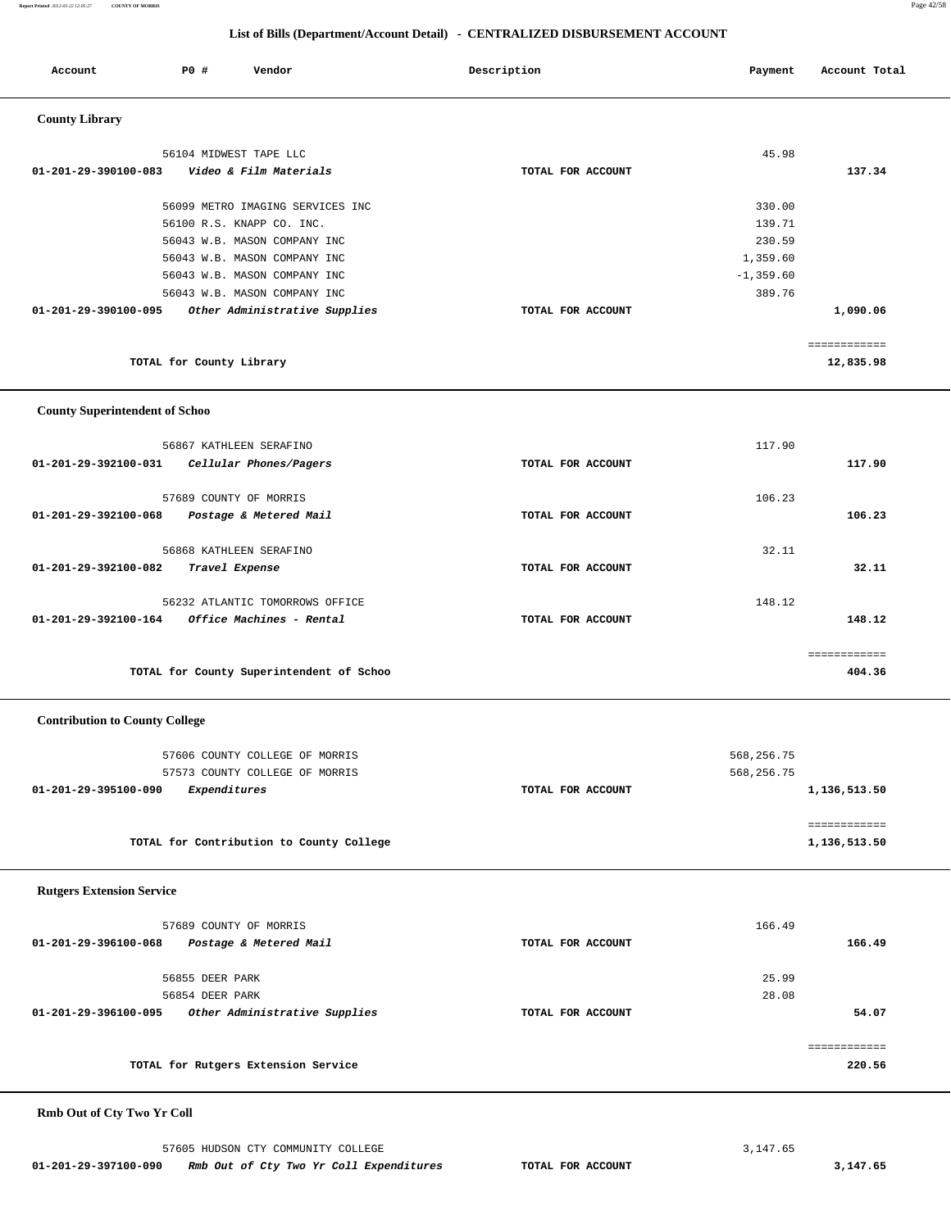**Report Printed** *2012-05-22 12:05:27* **COUNTY OF MORRIS** Page 42/58

### **List of Bills (Department/Account Detail) - CENTRALIZED DISBURSEMENT ACCOUNT**

| Account                               | P0 #                     | Vendor                                                       | Description |                   | Payment            | Account Total                |
|---------------------------------------|--------------------------|--------------------------------------------------------------|-------------|-------------------|--------------------|------------------------------|
| <b>County Library</b>                 |                          |                                                              |             |                   |                    |                              |
|                                       |                          | 56104 MIDWEST TAPE LLC                                       |             |                   | 45.98              |                              |
| 01-201-29-390100-083                  |                          | Video & Film Materials                                       |             | TOTAL FOR ACCOUNT |                    | 137.34                       |
|                                       |                          |                                                              |             |                   |                    |                              |
|                                       |                          | 56099 METRO IMAGING SERVICES INC                             |             |                   | 330.00             |                              |
|                                       |                          | 56100 R.S. KNAPP CO. INC.                                    |             |                   | 139.71             |                              |
|                                       |                          | 56043 W.B. MASON COMPANY INC<br>56043 W.B. MASON COMPANY INC |             |                   | 230.59<br>1,359.60 |                              |
|                                       |                          | 56043 W.B. MASON COMPANY INC                                 |             |                   | $-1, 359.60$       |                              |
|                                       |                          | 56043 W.B. MASON COMPANY INC                                 |             |                   | 389.76             |                              |
| 01-201-29-390100-095                  |                          | Other Administrative Supplies                                |             | TOTAL FOR ACCOUNT |                    | 1,090.06                     |
|                                       |                          |                                                              |             |                   |                    | ============                 |
|                                       | TOTAL for County Library |                                                              |             |                   |                    | 12,835.98                    |
| <b>County Superintendent of Schoo</b> |                          |                                                              |             |                   |                    |                              |
|                                       |                          | 56867 KATHLEEN SERAFINO                                      |             |                   | 117.90             |                              |
| 01-201-29-392100-031                  |                          | Cellular Phones/Pagers                                       |             | TOTAL FOR ACCOUNT |                    | 117.90                       |
|                                       |                          |                                                              |             |                   |                    |                              |
|                                       |                          | 57689 COUNTY OF MORRIS                                       |             |                   | 106.23             |                              |
| 01-201-29-392100-068                  |                          | Postage & Metered Mail                                       |             | TOTAL FOR ACCOUNT |                    | 106.23                       |
|                                       |                          | 56868 KATHLEEN SERAFINO                                      |             |                   | 32.11              |                              |
| 01-201-29-392100-082                  |                          | Travel Expense                                               |             | TOTAL FOR ACCOUNT |                    | 32.11                        |
|                                       |                          |                                                              |             |                   |                    |                              |
|                                       |                          | 56232 ATLANTIC TOMORROWS OFFICE                              |             |                   | 148.12             |                              |
| 01-201-29-392100-164                  |                          | Office Machines - Rental                                     |             | TOTAL FOR ACCOUNT |                    | 148.12                       |
|                                       |                          |                                                              |             |                   |                    | ============                 |
|                                       |                          | TOTAL for County Superintendent of Schoo                     |             |                   |                    | 404.36                       |
| <b>Contribution to County College</b> |                          |                                                              |             |                   |                    |                              |
|                                       |                          | 57606 COUNTY COLLEGE OF MORRIS                               |             |                   | 568,256.75         |                              |
|                                       |                          | 57573 COUNTY COLLEGE OF MORRIS                               |             |                   | 568,256.75         |                              |
| 01-201-29-395100-090                  | Expenditures             |                                                              |             | TOTAL FOR ACCOUNT |                    | 1,136,513.50                 |
|                                       |                          |                                                              |             |                   |                    |                              |
|                                       |                          | TOTAL for Contribution to County College                     |             |                   |                    | ============<br>1,136,513.50 |
|                                       |                          |                                                              |             |                   |                    |                              |
| <b>Rutgers Extension Service</b>      |                          |                                                              |             |                   |                    |                              |
|                                       |                          | 57689 COUNTY OF MORRIS                                       |             |                   | 166.49             |                              |
| 01-201-29-396100-068                  |                          | Postage & Metered Mail                                       |             | TOTAL FOR ACCOUNT |                    | 166.49                       |
|                                       |                          |                                                              |             |                   |                    |                              |
|                                       | 56855 DEER PARK          |                                                              |             |                   | 25.99              |                              |
| 01-201-29-396100-095                  | 56854 DEER PARK          | Other Administrative Supplies                                |             | TOTAL FOR ACCOUNT | 28.08              | 54.07                        |
|                                       |                          |                                                              |             |                   |                    |                              |
|                                       |                          |                                                              |             |                   |                    | ============                 |
|                                       |                          | TOTAL for Rutgers Extension Service                          |             |                   |                    | 220.56                       |
|                                       |                          |                                                              |             |                   |                    |                              |

## **Rmb Out of Cty Two Yr Coll**

57605 HUDSON CTY COMMUNITY COLLEGE 3, 147.65  **01-201-29-397100-090 Rmb Out of Cty Two Yr Coll Expenditures TOTAL FOR ACCOUNT 3,147.65**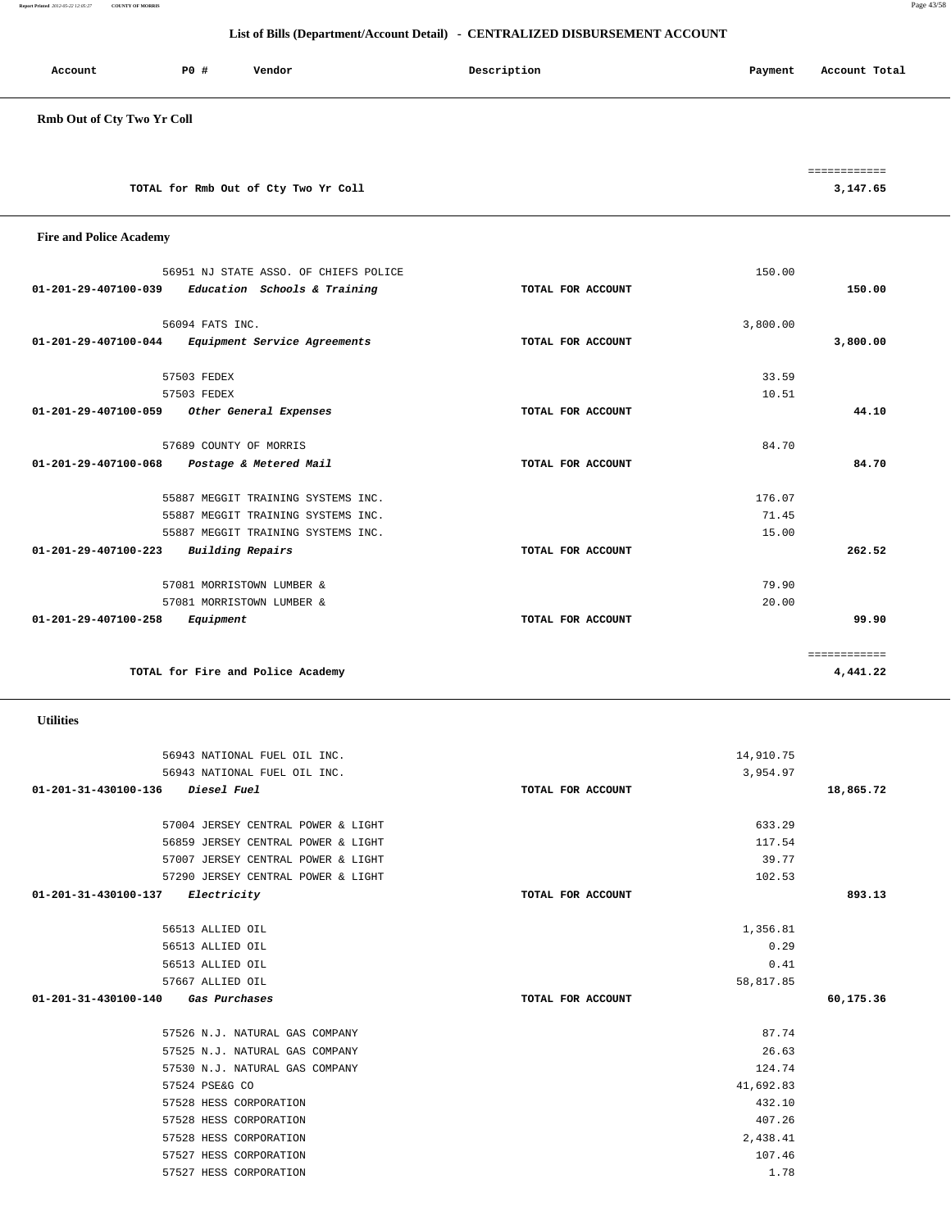**Report Printed** *2012-05-22 12:05:27* **COUNTY OF MORRIS** Page 43/58

### **List of Bills (Department/Account Detail) - CENTRALIZED DISBURSEMENT ACCOUNT**

| Account | PO# | Vendor | Description | Account Total<br>Payment |
|---------|-----|--------|-------------|--------------------------|
|         |     |        |             |                          |

## **Rmb Out of Cty Two Yr Coll**

|                                      | ____________<br>------------ |
|--------------------------------------|------------------------------|
| TOTAL for Rmb Out of Cty Two Yr Coll | 3,147.65                     |

| <b>Fire and Police Academy</b> |                                       |                   |          |              |
|--------------------------------|---------------------------------------|-------------------|----------|--------------|
|                                | 56951 NJ STATE ASSO. OF CHIEFS POLICE |                   | 150.00   |              |
| 01-201-29-407100-039           | Education Schools & Training          | TOTAL FOR ACCOUNT |          | 150.00       |
|                                | 56094 FATS INC.                       |                   | 3,800.00 |              |
| 01-201-29-407100-044           | Equipment Service Agreements          | TOTAL FOR ACCOUNT |          | 3,800.00     |
|                                | 57503 FEDEX                           |                   | 33.59    |              |
|                                | 57503 FEDEX                           |                   | 10.51    |              |
| 01-201-29-407100-059           | Other General Expenses                | TOTAL FOR ACCOUNT |          | 44.10        |
|                                | 57689 COUNTY OF MORRIS                |                   | 84.70    |              |
| 01-201-29-407100-068           | Postage & Metered Mail                | TOTAL FOR ACCOUNT |          | 84.70        |
|                                | 55887 MEGGIT TRAINING SYSTEMS INC.    |                   | 176.07   |              |
|                                | 55887 MEGGIT TRAINING SYSTEMS INC.    |                   | 71.45    |              |
|                                | 55887 MEGGIT TRAINING SYSTEMS INC.    |                   | 15.00    |              |
| 01-201-29-407100-223           | Building Repairs                      | TOTAL FOR ACCOUNT |          | 262.52       |
|                                | 57081 MORRISTOWN LUMBER &             |                   | 79.90    |              |
|                                | 57081 MORRISTOWN LUMBER &             |                   | 20.00    |              |
| 01-201-29-407100-258           | Equipment                             | TOTAL FOR ACCOUNT |          | 99.90        |
|                                |                                       |                   |          | ============ |
|                                | TOTAL for Fire and Police Academy     |                   |          | 4,441.22     |
|                                |                                       |                   |          |              |

### **Utilities**

|                   | 14,910.75 |           |
|-------------------|-----------|-----------|
|                   | 3,954.97  |           |
| TOTAL FOR ACCOUNT |           | 18,865.72 |
|                   |           |           |
|                   | 633.29    |           |
|                   | 117.54    |           |
|                   | 39.77     |           |
|                   | 102.53    |           |
| TOTAL FOR ACCOUNT |           | 893.13    |
|                   |           |           |
|                   | 1,356.81  |           |
|                   | 0.29      |           |
|                   | 0.41      |           |
|                   | 58,817.85 |           |
| TOTAL FOR ACCOUNT |           | 60,175.36 |
|                   |           |           |
|                   | 87.74     |           |
|                   | 26.63     |           |
|                   | 124.74    |           |
|                   | 41,692.83 |           |
|                   | 432.10    |           |
|                   | 407.26    |           |
|                   | 2,438.41  |           |
|                   | 107.46    |           |
|                   | 1.78      |           |
|                   |           |           |